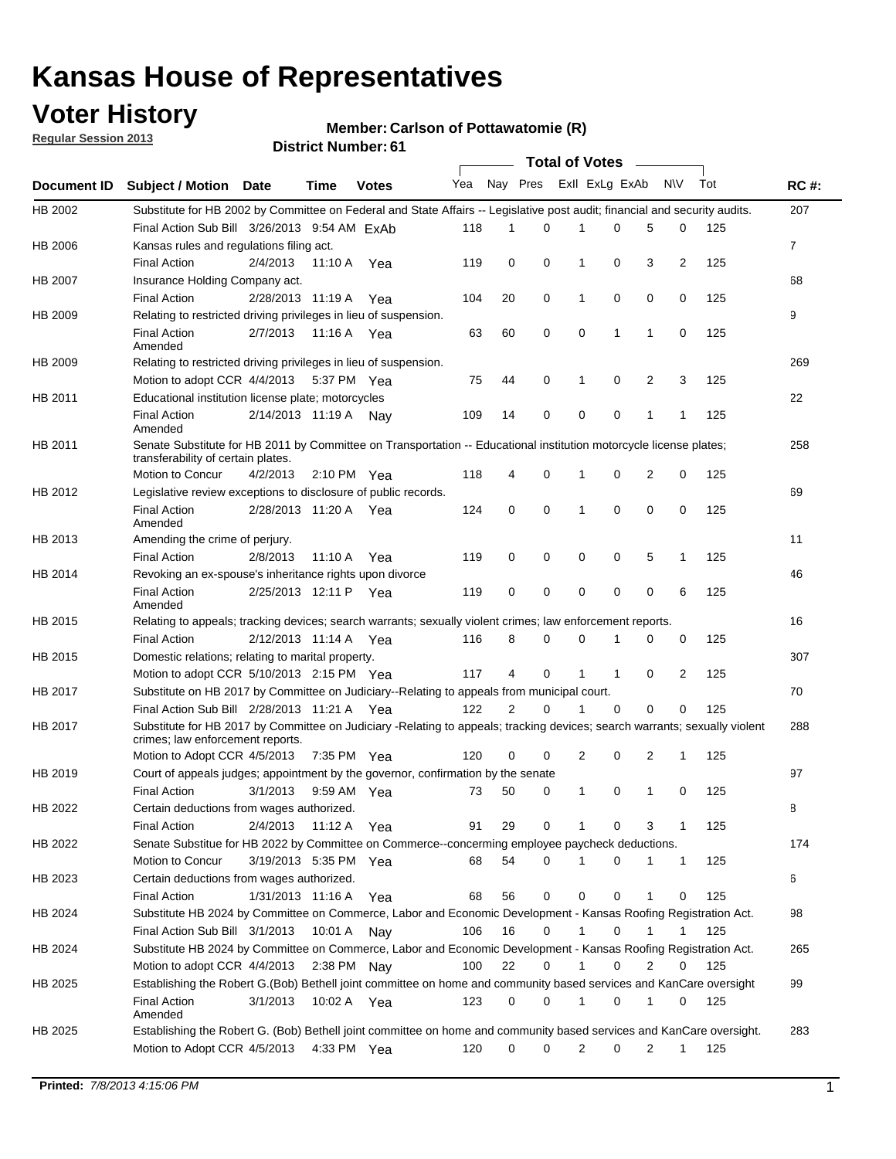## **Voter History**

**Member: Carlson of Pottawatomie (R)** 

**Regular Session 2013**

|             |                                                                                                                                                                |                       |             |              |     |                |          | <b>Total of Votes</b>   |              |                |                |     |                |
|-------------|----------------------------------------------------------------------------------------------------------------------------------------------------------------|-----------------------|-------------|--------------|-----|----------------|----------|-------------------------|--------------|----------------|----------------|-----|----------------|
| Document ID | <b>Subject / Motion Date</b>                                                                                                                                   |                       | Time        | <b>Votes</b> | Yea |                |          | Nay Pres Exll ExLg ExAb |              |                | N\V            | Tot | <b>RC#:</b>    |
| HB 2002     | Substitute for HB 2002 by Committee on Federal and State Affairs -- Legislative post audit; financial and security audits.                                     |                       |             |              |     |                |          |                         |              |                |                |     | 207            |
|             | Final Action Sub Bill 3/26/2013 9:54 AM ExAb                                                                                                                   |                       |             |              | 118 | 1              | 0        | 1                       | 0            | 5              | 0              | 125 |                |
| HB 2006     | Kansas rules and regulations filing act.                                                                                                                       |                       |             |              |     |                |          |                         |              |                |                |     | $\overline{7}$ |
|             | <b>Final Action</b>                                                                                                                                            | 2/4/2013              | 11:10 A     | Yea          | 119 | 0              | 0        | 1                       | 0            | 3              | $\overline{2}$ | 125 |                |
| HB 2007     | Insurance Holding Company act.                                                                                                                                 |                       |             |              |     |                |          |                         |              |                |                |     | 68             |
|             | <b>Final Action</b>                                                                                                                                            | 2/28/2013 11:19 A     |             | Yea          | 104 | 20             | 0        | 1                       | 0            | 0              | 0              | 125 |                |
| HB 2009     | Relating to restricted driving privileges in lieu of suspension.                                                                                               |                       |             |              |     |                |          |                         |              |                |                |     | 9              |
|             | <b>Final Action</b><br>Amended                                                                                                                                 | 2/7/2013              | 11:16 A     | Yea          | 63  | 60             | 0        | 0                       | $\mathbf{1}$ | $\mathbf{1}$   | 0              | 125 |                |
| HB 2009     | Relating to restricted driving privileges in lieu of suspension.                                                                                               |                       |             |              |     |                |          |                         |              |                |                |     | 269            |
|             | Motion to adopt CCR 4/4/2013 5:37 PM Yea                                                                                                                       |                       |             |              | 75  | 44             | 0        | 1                       | 0            | $\overline{2}$ | 3              | 125 |                |
| HB 2011     | Educational institution license plate; motorcycles                                                                                                             |                       |             |              |     |                |          |                         |              |                |                |     | 22             |
|             | <b>Final Action</b><br>Amended                                                                                                                                 | 2/14/2013 11:19 A     |             | Nay          | 109 | 14             | 0        | 0                       | 0            | $\mathbf{1}$   | 1              | 125 |                |
| HB 2011     | Senate Substitute for HB 2011 by Committee on Transportation -- Educational institution motorcycle license plates;                                             |                       |             |              |     |                |          |                         |              |                |                |     | 258            |
|             | transferability of certain plates.                                                                                                                             |                       |             |              |     |                |          |                         |              |                |                |     |                |
|             | Motion to Concur                                                                                                                                               | 4/2/2013              |             | 2:10 PM Yea  | 118 | 4              | 0        | 1                       | 0            | 2              | 0              | 125 |                |
| HB 2012     | Legislative review exceptions to disclosure of public records.                                                                                                 |                       |             |              |     |                |          |                         |              |                |                |     | 69             |
|             | <b>Final Action</b><br>Amended                                                                                                                                 | 2/28/2013 11:20 A     |             | Yea          | 124 | 0              | 0        | 1                       | 0            | $\mathbf 0$    | 0              | 125 |                |
| HB 2013     | Amending the crime of perjury.                                                                                                                                 |                       |             |              |     |                |          |                         |              |                |                |     | 11             |
|             | <b>Final Action</b>                                                                                                                                            | 2/8/2013              | 11:10 A     | Yea          | 119 | 0              | 0        | 0                       | 0            | 5              | 1              | 125 |                |
| HB 2014     | Revoking an ex-spouse's inheritance rights upon divorce                                                                                                        |                       |             |              |     |                |          |                         |              |                |                |     | 46             |
|             | <b>Final Action</b><br>Amended                                                                                                                                 | 2/25/2013 12:11 P     |             | Yea          | 119 | 0              | 0        | 0                       | 0            | $\mathbf 0$    | 6              | 125 |                |
| HB 2015     | Relating to appeals; tracking devices; search warrants; sexually violent crimes; law enforcement reports.                                                      |                       |             |              |     |                |          |                         |              |                |                |     | 16             |
|             | <b>Final Action</b>                                                                                                                                            | 2/12/2013 11:14 A Yea |             |              | 116 | 8              | 0        | 0                       | 1            | 0              | 0              | 125 |                |
| HB 2015     | Domestic relations; relating to marital property.                                                                                                              |                       |             |              |     |                |          |                         |              |                |                |     | 307            |
|             | Motion to adopt CCR 5/10/2013 2:15 PM Yea                                                                                                                      |                       |             |              | 117 | 4              | $\Omega$ | 1                       | $\mathbf{1}$ | $\Omega$       | 2              | 125 |                |
| HB 2017     | Substitute on HB 2017 by Committee on Judiciary--Relating to appeals from municipal court.                                                                     |                       |             |              |     |                |          |                         |              |                |                |     | 70             |
|             | Final Action Sub Bill 2/28/2013 11:21 A Yea                                                                                                                    |                       |             |              | 122 | $\overline{2}$ | $\Omega$ | 1                       | $\mathbf 0$  | $\Omega$       | $\Omega$       | 125 |                |
| HB 2017     | Substitute for HB 2017 by Committee on Judiciary -Relating to appeals; tracking devices; search warrants; sexually violent<br>crimes; law enforcement reports. |                       |             |              |     |                |          |                         |              |                |                |     | 288            |
|             | Motion to Adopt CCR 4/5/2013                                                                                                                                   |                       |             | 7:35 PM Yea  | 120 | $\Omega$       | 0        | 2                       | 0            | 2              | $\mathbf{1}$   | 125 |                |
| HB 2019     | Court of appeals judges; appointment by the governor, confirmation by the senate                                                                               |                       |             |              |     |                |          |                         |              |                |                |     | 97             |
|             | <b>Final Action</b>                                                                                                                                            | 3/1/2013              |             | 9:59 AM Yea  | 73  | 50             | 0        | 1                       | 0            | 1              | 0              | 125 |                |
| HB 2022     | Certain deductions from wages authorized.                                                                                                                      |                       |             |              |     |                |          |                         |              |                |                |     | В              |
|             | <b>Final Action</b>                                                                                                                                            | 2/4/2013              | 11:12 A Yea |              | 91  | 29             | 0        |                         | 0            | 3              | 1              | 125 |                |
| HB 2022     | Senate Substitue for HB 2022 by Committee on Commerce--concerming employee paycheck deductions.                                                                |                       |             |              |     |                |          |                         |              |                |                |     | 174            |
|             | Motion to Concur                                                                                                                                               | 3/19/2013 5:35 PM Yea |             |              | 68  | 54             | 0        | 1                       | 0            | 1              | 1              | 125 |                |
| HB 2023     | Certain deductions from wages authorized.                                                                                                                      |                       |             |              |     |                |          |                         |              |                |                |     | 6              |
|             | <b>Final Action</b>                                                                                                                                            | 1/31/2013 11:16 A Yea |             |              | 68  | 56             | 0        | 0                       | 0            | 1              | 0              | 125 |                |
| HB 2024     | Substitute HB 2024 by Committee on Commerce, Labor and Economic Development - Kansas Roofing Registration Act.                                                 |                       |             |              |     |                |          |                         |              |                |                |     | 98             |
|             | Final Action Sub Bill 3/1/2013 10:01 A Nay                                                                                                                     |                       |             |              | 106 | 16             | 0        | 1                       | 0            |                |                | 125 |                |
| HB 2024     | Substitute HB 2024 by Committee on Commerce, Labor and Economic Development - Kansas Roofing Registration Act.                                                 |                       |             |              |     |                |          |                         |              |                |                |     | 265            |
|             | Motion to adopt CCR 4/4/2013 2:38 PM Nay                                                                                                                       |                       |             |              | 100 | 22             | 0        |                         | 0            | 2              | 0              | 125 |                |
| HB 2025     | Establishing the Robert G.(Bob) Bethell joint committee on home and community based services and KanCare oversight                                             |                       |             |              |     |                |          |                         |              |                |                |     | 99             |
|             | <b>Final Action</b><br>Amended                                                                                                                                 | 3/1/2013              |             | 10:02 A Yea  | 123 | 0              | 0        | 1                       | 0            | 1              | 0              | 125 |                |
| HB 2025     | Establishing the Robert G. (Bob) Bethell joint committee on home and community based services and KanCare oversight.                                           |                       |             |              |     |                |          |                         |              |                |                |     | 283            |
|             | Motion to Adopt CCR 4/5/2013 4:33 PM Yea                                                                                                                       |                       |             |              | 120 | 0              | 0        | 2                       | 0            | 2              | 1              | 125 |                |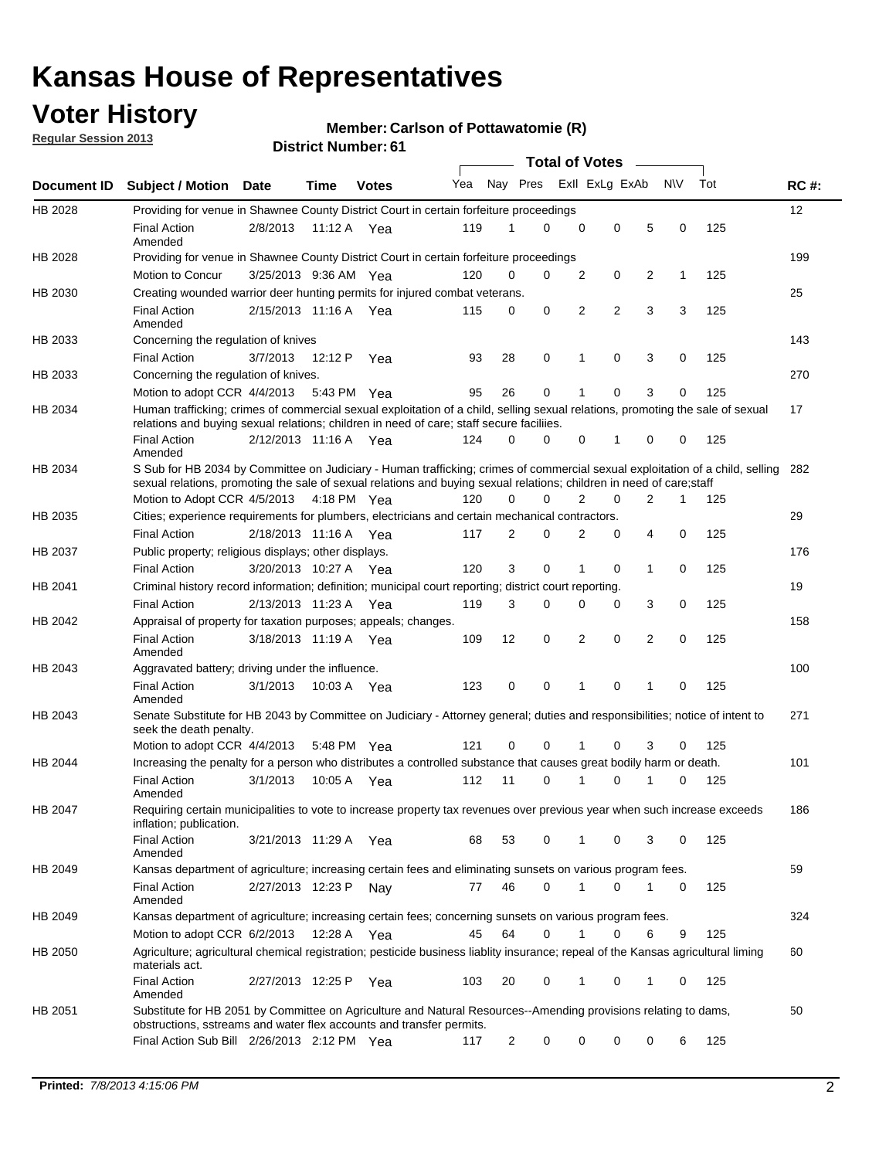## **Voter History**

**Member: Carlson of Pottawatomie (R)** 

**Regular Session 2013**

|             |                                                                                                                                                                                                                                                           |                       |         |              |     |          |             | <b>Total of Votes</b> |          |                |              |     |             |
|-------------|-----------------------------------------------------------------------------------------------------------------------------------------------------------------------------------------------------------------------------------------------------------|-----------------------|---------|--------------|-----|----------|-------------|-----------------------|----------|----------------|--------------|-----|-------------|
| Document ID | Subject / Motion Date                                                                                                                                                                                                                                     |                       | Time    | <b>Votes</b> | Yea | Nay Pres |             | Exll ExLg ExAb        |          |                | <b>NV</b>    | Tot | <b>RC#:</b> |
| HB 2028     | Providing for venue in Shawnee County District Court in certain forfeiture proceedings                                                                                                                                                                    |                       |         |              |     |          |             |                       |          |                |              |     | 12          |
|             | <b>Final Action</b><br>Amended                                                                                                                                                                                                                            | 2/8/2013              |         | 11:12 A Yea  | 119 | 1        | 0           | 0                     | 0        | 5              | 0            | 125 |             |
| HB 2028     | Providing for venue in Shawnee County District Court in certain forfeiture proceedings                                                                                                                                                                    |                       |         |              |     |          |             |                       |          |                |              |     | 199         |
|             | Motion to Concur                                                                                                                                                                                                                                          | 3/25/2013 9:36 AM Yea |         |              | 120 | 0        | 0           | 2                     | 0        | 2              | $\mathbf{1}$ | 125 |             |
| HB 2030     | Creating wounded warrior deer hunting permits for injured combat veterans.                                                                                                                                                                                |                       |         |              |     |          |             |                       |          |                |              |     | 25          |
|             | <b>Final Action</b><br>Amended                                                                                                                                                                                                                            | 2/15/2013 11:16 A Yea |         |              | 115 | 0        | 0           | 2                     | 2        | 3              | 3            | 125 |             |
| HB 2033     | Concerning the regulation of knives                                                                                                                                                                                                                       |                       |         |              |     |          |             |                       |          |                |              |     | 143         |
|             | <b>Final Action</b>                                                                                                                                                                                                                                       | 3/7/2013              | 12:12 P | Yea          | 93  | 28       | 0           | 1                     | 0        | 3              | 0            | 125 |             |
| HB 2033     | Concerning the regulation of knives.                                                                                                                                                                                                                      |                       |         |              |     |          |             |                       |          |                |              |     | 270         |
|             | Motion to adopt CCR 4/4/2013                                                                                                                                                                                                                              |                       |         | 5:43 PM Yea  | 95  | 26       | 0           | 1                     | 0        | 3              | 0            | 125 |             |
| HB 2034     | Human trafficking; crimes of commercial sexual exploitation of a child, selling sexual relations, promoting the sale of sexual<br>relations and buying sexual relations; children in need of care; staff secure faciliies.                                |                       |         |              |     |          |             |                       |          |                |              |     | 17          |
|             | <b>Final Action</b><br>Amended                                                                                                                                                                                                                            | 2/12/2013 11:16 A Yea |         |              | 124 | 0        | 0           | 0                     | 1        | 0              | 0            | 125 |             |
| HB 2034     | S Sub for HB 2034 by Committee on Judiciary - Human trafficking; crimes of commercial sexual exploitation of a child, selling 282<br>sexual relations, promoting the sale of sexual relations and buying sexual relations; children in need of care;staff |                       |         |              |     |          |             |                       |          |                |              |     |             |
|             | Motion to Adopt CCR 4/5/2013 4:18 PM Yea                                                                                                                                                                                                                  |                       |         |              | 120 | 0        | 0           | 2                     | 0        | 2              | 1            | 125 |             |
| HB 2035     | Cities; experience requirements for plumbers, electricians and certain mechanical contractors.                                                                                                                                                            |                       |         |              |     |          |             |                       |          |                |              |     | 29          |
|             | <b>Final Action</b>                                                                                                                                                                                                                                       | 2/18/2013 11:16 A Yea |         |              | 117 | 2        | 0           | 2                     | 0        | 4              | $\mathbf 0$  | 125 |             |
| HB 2037     | Public property; religious displays; other displays.                                                                                                                                                                                                      |                       |         |              |     |          |             |                       |          |                |              |     | 176         |
|             | <b>Final Action</b>                                                                                                                                                                                                                                       | 3/20/2013 10:27 A Yea |         |              | 120 | 3        | $\mathbf 0$ | 1                     | 0        | $\mathbf 1$    | $\mathbf 0$  | 125 |             |
| HB 2041     | Criminal history record information; definition; municipal court reporting; district court reporting.                                                                                                                                                     |                       |         |              |     |          |             |                       |          |                |              |     | 19          |
|             | <b>Final Action</b>                                                                                                                                                                                                                                       | 2/13/2013 11:23 A Yea |         |              | 119 | 3        | $\Omega$    | $\Omega$              | 0        | 3              | 0            | 125 |             |
| HB 2042     | Appraisal of property for taxation purposes; appeals; changes.                                                                                                                                                                                            |                       |         |              |     |          |             |                       |          |                |              |     | 158         |
|             | <b>Final Action</b><br>Amended                                                                                                                                                                                                                            | 3/18/2013 11:19 A Yea |         |              | 109 | 12       | 0           | $\overline{2}$        | 0        | $\overline{2}$ | $\mathbf 0$  | 125 |             |
| HB 2043     | Aggravated battery; driving under the influence.                                                                                                                                                                                                          |                       |         |              |     |          |             |                       |          |                |              |     | 100         |
|             | <b>Final Action</b><br>Amended                                                                                                                                                                                                                            | 3/1/2013              |         | 10:03 A Yea  | 123 | 0        | 0           | 1                     | 0        | 1              | 0            | 125 |             |
| HB 2043     | Senate Substitute for HB 2043 by Committee on Judiciary - Attorney general; duties and responsibilities; notice of intent to<br>seek the death penalty.                                                                                                   |                       |         |              |     |          |             |                       |          |                |              |     | 271         |
|             | Motion to adopt CCR 4/4/2013                                                                                                                                                                                                                              |                       |         | 5:48 PM Yea  | 121 | 0        | 0           |                       | 0        | 3              | 0            | 125 |             |
| HB 2044     | Increasing the penalty for a person who distributes a controlled substance that causes great bodily harm or death.                                                                                                                                        |                       |         |              |     |          |             |                       |          |                |              |     | 101         |
|             | <b>Final Action</b><br>Amended                                                                                                                                                                                                                            | 3/1/2013              |         | 10:05 A Yea  | 112 | 11       | $\Omega$    |                       | $\Omega$ |                | 0            | 125 |             |
| HB 2047     | Requiring certain municipalities to vote to increase property tax revenues over previous year when such increase exceeds<br>inflation; publication.                                                                                                       |                       |         |              |     |          |             |                       |          |                |              |     | 186         |
|             | <b>Final Action</b><br>Amended                                                                                                                                                                                                                            | 3/21/2013 11:29 A Yea |         |              | 68  | 53       | 0           | 1                     | 0        | 3              | 0            | 125 |             |
| HB 2049     | Kansas department of agriculture; increasing certain fees and eliminating sunsets on various program fees.                                                                                                                                                |                       |         |              |     |          |             |                       |          |                |              |     | 59          |
|             | <b>Final Action</b><br>Amended                                                                                                                                                                                                                            | 2/27/2013 12:23 P     |         | Nav          | 77  | 46       | 0           | 1                     | 0        |                | 0            | 125 |             |
| HB 2049     | Kansas department of agriculture; increasing certain fees; concerning sunsets on various program fees.                                                                                                                                                    |                       |         |              |     |          |             |                       |          |                |              |     | 324         |
|             | Motion to adopt CCR 6/2/2013                                                                                                                                                                                                                              |                       | 12:28 A | Yea          | 45  | 64       | 0           |                       | 0        | 6              | 9            | 125 |             |
| HB 2050     | Agriculture; agricultural chemical registration; pesticide business liablity insurance; repeal of the Kansas agricultural liming<br>materials act.                                                                                                        |                       |         |              |     |          |             |                       |          |                |              |     | 60          |
|             | <b>Final Action</b><br>Amended                                                                                                                                                                                                                            | 2/27/2013 12:25 P     |         | Yea          | 103 | 20       | 0           | 1                     | 0        | 1              | 0            | 125 |             |
| HB 2051     | Substitute for HB 2051 by Committee on Agriculture and Natural Resources--Amending provisions relating to dams,<br>obstructions, sstreams and water flex accounts and transfer permits.                                                                   |                       |         |              |     |          |             |                       |          |                |              |     | 50          |
|             | Final Action Sub Bill 2/26/2013 2:12 PM Yea                                                                                                                                                                                                               |                       |         |              | 117 | 2        | 0           | 0                     | 0        | 0              | 6            | 125 |             |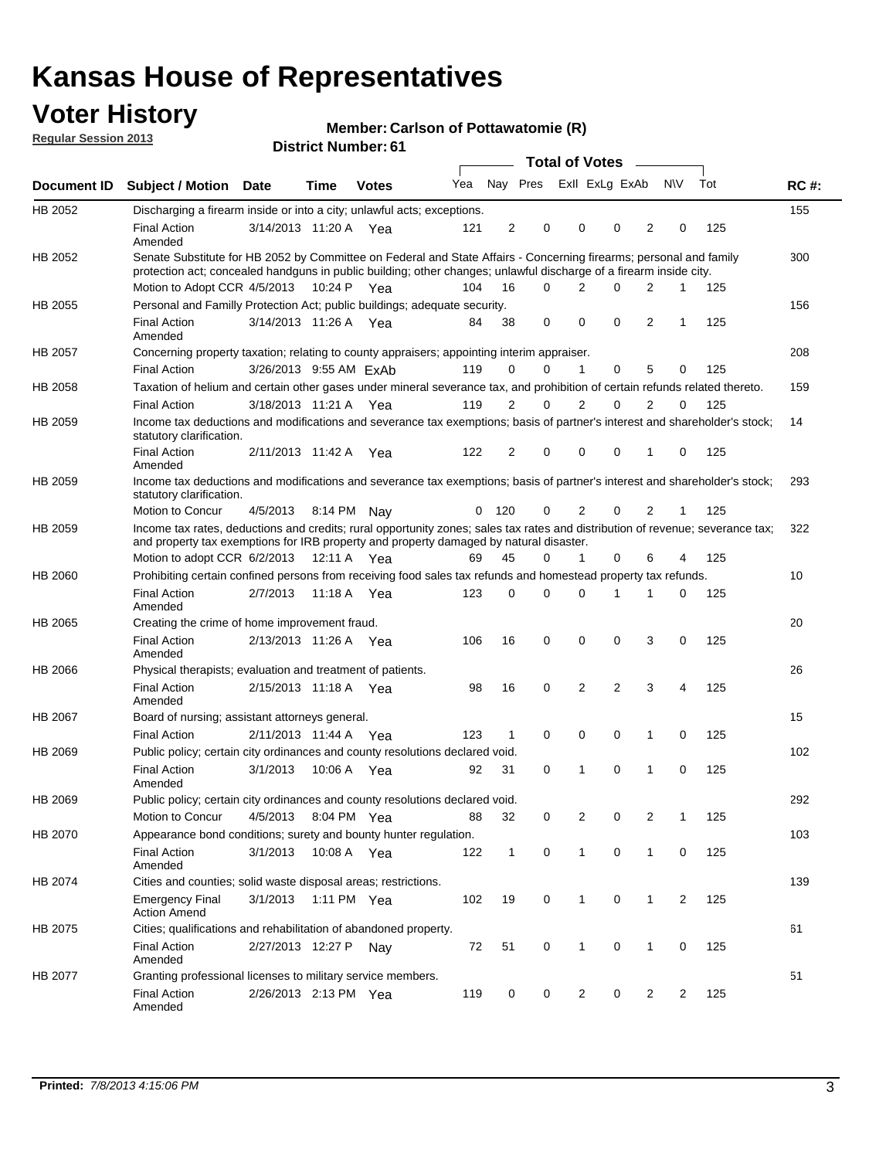## **Voter History**

**Member: Carlson of Pottawatomie (R)** 

**Regular Session 2013**

|             |                                                                                                                                                                                                                                          |                        |             |              |     |                | <b>Total of Votes</b> |                |                | $\sim$         |                |     |             |
|-------------|------------------------------------------------------------------------------------------------------------------------------------------------------------------------------------------------------------------------------------------|------------------------|-------------|--------------|-----|----------------|-----------------------|----------------|----------------|----------------|----------------|-----|-------------|
| Document ID | <b>Subject / Motion</b>                                                                                                                                                                                                                  | <b>Date</b>            | Time        | <b>Votes</b> | Yea | Nay Pres       |                       |                | Exll ExLg ExAb |                | <b>NV</b>      | Tot | <b>RC#:</b> |
| HB 2052     | Discharging a firearm inside or into a city; unlawful acts; exceptions.                                                                                                                                                                  |                        |             |              |     |                |                       |                |                |                |                |     | 155         |
|             | <b>Final Action</b><br>Amended                                                                                                                                                                                                           | 3/14/2013 11:20 A Yea  |             |              | 121 | $\overline{2}$ | 0                     | 0              | 0              | 2              | 0              | 125 |             |
| HB 2052     | Senate Substitute for HB 2052 by Committee on Federal and State Affairs - Concerning firearms; personal and family<br>protection act; concealed handguns in public building; other changes; unlawful discharge of a firearm inside city. |                        |             |              |     |                |                       |                |                |                |                |     | 300         |
|             | Motion to Adopt CCR 4/5/2013 10:24 P Yea                                                                                                                                                                                                 |                        |             |              | 104 | 16             | $\Omega$              | $\overline{2}$ | $\Omega$       | $\overline{2}$ | 1              | 125 |             |
| HB 2055     | Personal and Familly Protection Act; public buildings; adequate security.<br><b>Final Action</b><br>Amended                                                                                                                              | 3/14/2013 11:26 A Yea  |             |              | 84  | 38             | 0                     | $\Omega$       | $\Omega$       | $\overline{2}$ | $\mathbf{1}$   | 125 | 156         |
| HB 2057     | Concerning property taxation; relating to county appraisers; appointing interim appraiser.                                                                                                                                               |                        |             |              |     |                |                       |                |                |                |                |     | 208         |
|             | <b>Final Action</b>                                                                                                                                                                                                                      | 3/26/2013 9:55 AM ExAb |             |              | 119 | 0              | 0                     | 1              | 0              | 5              | 0              | 125 |             |
| HB 2058     | Taxation of helium and certain other gases under mineral severance tax, and prohibition of certain refunds related thereto.                                                                                                              |                        |             |              |     |                |                       |                |                |                |                |     | 159         |
|             | <b>Final Action</b>                                                                                                                                                                                                                      | 3/18/2013 11:21 A      |             | Yea          | 119 | 2              | $\Omega$              | 2              | 0              | $\overline{2}$ | 0              | 125 |             |
| HB 2059     | Income tax deductions and modifications and severance tax exemptions; basis of partner's interest and shareholder's stock;<br>statutory clarification.                                                                                   |                        |             |              |     |                |                       |                |                |                |                |     | 14          |
|             | <b>Final Action</b><br>Amended                                                                                                                                                                                                           | 2/11/2013 11:42 A      |             | Yea          | 122 | $\overline{2}$ | 0                     | 0              | 0              | 1              | 0              | 125 |             |
| HB 2059     | Income tax deductions and modifications and severance tax exemptions; basis of partner's interest and shareholder's stock;<br>statutory clarification.                                                                                   |                        |             |              |     |                |                       |                |                |                |                |     | 293         |
|             | Motion to Concur                                                                                                                                                                                                                         | 4/5/2013               |             | 8:14 PM Nav  | 0   | 120            | 0                     | 2              | 0              | $\overline{2}$ | 1              | 125 |             |
| HB 2059     | Income tax rates, deductions and credits; rural opportunity zones; sales tax rates and distribution of revenue; severance tax;<br>and property tax exemptions for IRB property and property damaged by natural disaster.                 |                        |             |              |     |                |                       |                |                |                |                |     | 322         |
|             | Motion to adopt CCR 6/2/2013                                                                                                                                                                                                             |                        | 12:11 A Yea |              | 69  | 45             | 0                     | $\mathbf{1}$   | 0              | 6              | 4              | 125 |             |
| HB 2060     | Prohibiting certain confined persons from receiving food sales tax refunds and homestead property tax refunds.                                                                                                                           |                        |             |              |     |                |                       |                |                |                |                |     | 10          |
|             | <b>Final Action</b><br>Amended                                                                                                                                                                                                           | 2/7/2013               | 11:18 A     | Yea          | 123 | 0              | 0                     | 0              | 1              | 1              | 0              | 125 |             |
| HB 2065     | Creating the crime of home improvement fraud.                                                                                                                                                                                            |                        |             |              |     |                |                       |                |                |                |                |     | 20          |
|             | <b>Final Action</b><br>Amended                                                                                                                                                                                                           | 2/13/2013 11:26 A Yea  |             |              | 106 | 16             | 0                     | 0              | 0              | 3              | 0              | 125 |             |
| HB 2066     | Physical therapists; evaluation and treatment of patients.                                                                                                                                                                               |                        |             |              |     |                |                       |                |                |                |                |     | 26          |
|             | <b>Final Action</b><br>Amended                                                                                                                                                                                                           | 2/15/2013 11:18 A Yea  |             |              | 98  | 16             | 0                     | 2              | 2              | 3              | 4              | 125 |             |
| HB 2067     | Board of nursing; assistant attorneys general.                                                                                                                                                                                           |                        |             |              |     |                |                       |                |                |                |                |     | 15          |
|             | <b>Final Action</b>                                                                                                                                                                                                                      | 2/11/2013 11:44 A Yea  |             |              | 123 | $\mathbf{1}$   | 0                     | 0              | 0              | 1              | 0              | 125 |             |
| HB 2069     | Public policy; certain city ordinances and county resolutions declared void.                                                                                                                                                             |                        |             |              |     |                |                       |                |                |                |                |     | 102         |
|             | <b>Final Action</b><br>Amended                                                                                                                                                                                                           | 3/1/2013               | 10:06 A     | Yea          | 92  | 31             | 0                     | 1              | 0              | 1              | 0              | 125 |             |
| HB 2069     | Public policy; certain city ordinances and county resolutions declared void.                                                                                                                                                             |                        |             |              |     |                |                       |                |                |                |                |     | 292         |
|             | Motion to Concur                                                                                                                                                                                                                         | 4/5/2013 8:04 PM Yea   |             |              | 88  | 32             | 0                     | 2              | 0              | 2              |                | 125 |             |
| HB 2070     | Appearance bond conditions; surety and bounty hunter regulation.                                                                                                                                                                         |                        |             |              |     |                |                       |                |                |                |                |     | 103         |
|             | <b>Final Action</b><br>Amended                                                                                                                                                                                                           | 3/1/2013               |             | 10:08 A Yea  | 122 | $\mathbf{1}$   | 0                     | $\mathbf{1}$   | 0              | $\mathbf{1}$   | 0              | 125 |             |
| HB 2074     | Cities and counties; solid waste disposal areas; restrictions.                                                                                                                                                                           |                        |             |              |     |                |                       |                |                |                |                |     | 139         |
|             | <b>Emergency Final</b><br><b>Action Amend</b>                                                                                                                                                                                            | 3/1/2013               |             | 1:11 PM Yea  | 102 | 19             | 0                     | 1              | 0              | $\mathbf{1}$   | $\overline{2}$ | 125 |             |
| HB 2075     | Cities; qualifications and rehabilitation of abandoned property.                                                                                                                                                                         |                        |             |              |     |                |                       |                |                |                |                |     | 61          |
|             | <b>Final Action</b><br>Amended                                                                                                                                                                                                           | 2/27/2013 12:27 P Nay  |             |              | 72  | 51             | 0                     | $\mathbf{1}$   | 0              | 1              | $\mathbf 0$    | 125 |             |
| HB 2077     | Granting professional licenses to military service members.<br><b>Final Action</b><br>Amended                                                                                                                                            | 2/26/2013 2:13 PM Yea  |             |              | 119 | 0              | 0                     | 2              | 0              | $\overline{2}$ | $\overline{c}$ | 125 | 51          |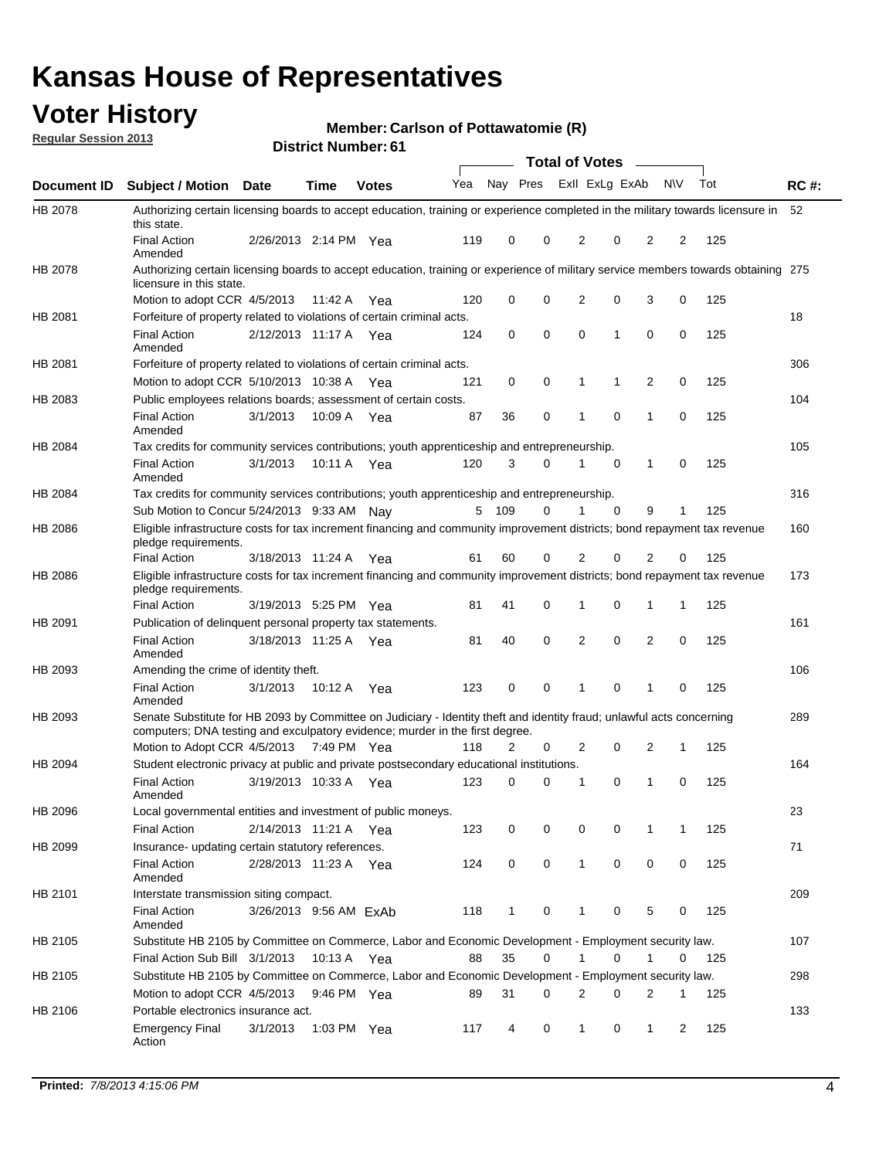## **Voter History**

**Member: Carlson of Pottawatomie (R)** 

**Regular Session 2013**

|                    |                                                                                                                                                                                                       |                        |               | ו ט . וסעווווטקו וטוש |              |                |   | <b>Total of Votes</b> |             | $\sim$         |             |     |             |
|--------------------|-------------------------------------------------------------------------------------------------------------------------------------------------------------------------------------------------------|------------------------|---------------|-----------------------|--------------|----------------|---|-----------------------|-------------|----------------|-------------|-----|-------------|
| <b>Document ID</b> | <b>Subject / Motion Date</b>                                                                                                                                                                          |                        | <b>Time</b>   | <b>Votes</b>          | Yea Nay Pres |                |   | Exll ExLg ExAb        |             |                | <b>NV</b>   | Tot | <b>RC#:</b> |
| HB 2078            | Authorizing certain licensing boards to accept education, training or experience completed in the military towards licensure in<br>this state.                                                        |                        |               |                       |              |                |   |                       |             |                |             |     | 52          |
|                    | <b>Final Action</b><br>Amended                                                                                                                                                                        | 2/26/2013 2:14 PM Yea  |               |                       | 119          | 0              | 0 | 2                     | 0           | 2              | 2           | 125 |             |
| HB 2078            | Authorizing certain licensing boards to accept education, training or experience of military service members towards obtaining 275<br>licensure in this state.                                        |                        |               |                       |              |                |   |                       |             |                |             |     |             |
|                    | Motion to adopt CCR 4/5/2013                                                                                                                                                                          |                        | 11:42 A       | Yea                   | 120          | 0              | 0 | $\overline{2}$        | 0           | 3              | 0           | 125 |             |
| HB 2081            | Forfeiture of property related to violations of certain criminal acts.                                                                                                                                |                        |               |                       |              |                |   |                       |             |                |             |     | 18          |
|                    | <b>Final Action</b><br>Amended                                                                                                                                                                        | 2/12/2013 11:17 A Yea  |               |                       | 124          | 0              | 0 | $\Omega$              | 1           | 0              | 0           | 125 |             |
| HB 2081            | Forfeiture of property related to violations of certain criminal acts.                                                                                                                                |                        |               |                       |              |                |   |                       |             |                |             |     | 306         |
|                    | Motion to adopt CCR 5/10/2013 10:38 A                                                                                                                                                                 |                        |               | Yea                   | 121          | 0              | 0 | 1                     | 1           | 2              | 0           | 125 |             |
| HB 2083            | Public employees relations boards; assessment of certain costs.                                                                                                                                       |                        |               |                       |              |                |   |                       |             |                |             |     | 104         |
|                    | <b>Final Action</b><br>Amended                                                                                                                                                                        | 3/1/2013               | 10:09 A       | Yea                   | 87           | 36             | 0 | 1                     | $\mathbf 0$ | 1              | $\mathbf 0$ | 125 |             |
| HB 2084            | Tax credits for community services contributions; youth apprenticeship and entrepreneurship.                                                                                                          |                        |               |                       |              |                |   |                       |             |                |             |     | 105         |
|                    | <b>Final Action</b><br>Amended                                                                                                                                                                        | 3/1/2013               | 10:11 A       | Yea                   | 120          | 3              | 0 | 1                     | $\mathbf 0$ | 1              | 0           | 125 |             |
| HB 2084            | Tax credits for community services contributions; youth apprenticeship and entrepreneurship.                                                                                                          |                        |               |                       |              |                |   |                       |             |                |             |     | 316         |
|                    | Sub Motion to Concur 5/24/2013 9:33 AM Nav                                                                                                                                                            |                        |               |                       | 5            | - 109          | 0 |                       | $\Omega$    | 9              | 1           | 125 |             |
| HB 2086            | Eligible infrastructure costs for tax increment financing and community improvement districts; bond repayment tax revenue<br>pledge requirements.                                                     |                        |               |                       |              |                |   |                       |             |                |             |     | 160         |
|                    | <b>Final Action</b>                                                                                                                                                                                   | 3/18/2013 11:24 A      |               | Yea                   | 61           | 60             | 0 | 2                     | 0           | $\overline{2}$ | 0           | 125 |             |
| HB 2086            | Eligible infrastructure costs for tax increment financing and community improvement districts; bond repayment tax revenue<br>pledge requirements.                                                     |                        |               |                       |              |                |   |                       |             |                |             |     | 173         |
|                    | <b>Final Action</b>                                                                                                                                                                                   | 3/19/2013 5:25 PM Yea  |               |                       | 81           | 41             | 0 | 1                     | 0           | 1              | 1           | 125 |             |
| HB 2091            | Publication of delinguent personal property tax statements.                                                                                                                                           |                        |               |                       |              |                |   |                       |             |                |             |     | 161         |
|                    | <b>Final Action</b><br>Amended                                                                                                                                                                        | 3/18/2013 11:25 A      |               | Yea                   | 81           | 40             | 0 | 2                     | 0           | $\overline{2}$ | 0           | 125 |             |
| HB 2093            | Amending the crime of identity theft.                                                                                                                                                                 |                        |               |                       |              |                |   |                       |             |                |             |     | 106         |
|                    | <b>Final Action</b><br>Amended                                                                                                                                                                        | 3/1/2013               | 10:12 A       | Yea                   | 123          | 0              | 0 | 1                     | $\Omega$    | 1              | 0           | 125 |             |
| HB 2093            | Senate Substitute for HB 2093 by Committee on Judiciary - Identity theft and identity fraud; unlawful acts concerning<br>computers; DNA testing and exculpatory evidence; murder in the first degree. |                        |               |                       |              |                |   |                       |             |                |             |     | 289         |
|                    | Motion to Adopt CCR 4/5/2013 7:49 PM Yea                                                                                                                                                              |                        |               |                       | 118          | $\overline{2}$ | 0 | 2                     | 0           | 2              | 1           | 125 |             |
| HB 2094            | Student electronic privacy at public and private postsecondary educational institutions.                                                                                                              |                        |               |                       |              |                |   |                       |             |                |             |     | 164         |
|                    | <b>Final Action</b><br>Amended                                                                                                                                                                        | 3/19/2013 10:33 A      |               | Yea                   | 123          | 0              | 0 | 1                     | 0           | 1              | 0           | 125 |             |
| HB 2096            | Local governmental entities and investment of public moneys.                                                                                                                                          |                        |               |                       |              |                |   |                       |             |                |             |     | 23          |
|                    | <b>Final Action</b>                                                                                                                                                                                   | 2/14/2013 11:21 A      |               | Yea                   | 123          | 0              | 0 | 0                     | 0           | 1              | 1           | 125 |             |
| HB 2099            | Insurance- updating certain statutory references.                                                                                                                                                     |                        |               |                       |              |                |   |                       |             |                |             |     | 71          |
|                    | <b>Final Action</b><br>Amended                                                                                                                                                                        | 2/28/2013 11:23 A Yea  |               |                       | 124          | 0              | 0 | 1                     | 0           | 0              | 0           | 125 |             |
| HB 2101            | Interstate transmission siting compact.                                                                                                                                                               |                        |               |                       |              |                |   |                       |             |                |             |     | 209         |
|                    | <b>Final Action</b><br>Amended                                                                                                                                                                        | 3/26/2013 9:56 AM ExAb |               |                       | 118          | $\mathbf{1}$   | 0 | 1                     | 0           | 5              | 0           | 125 |             |
| HB 2105            | Substitute HB 2105 by Committee on Commerce, Labor and Economic Development - Employment security law.                                                                                                |                        |               |                       |              |                |   |                       |             |                |             |     | 107         |
|                    | Final Action Sub Bill 3/1/2013                                                                                                                                                                        |                        | 10:13 A Yea   |                       | 88           | 35             | 0 |                       | 0           | 1              | 0           | 125 |             |
| HB 2105            | Substitute HB 2105 by Committee on Commerce, Labor and Economic Development - Employment security law.                                                                                                |                        |               |                       |              |                |   |                       |             |                |             |     | 298         |
|                    | Motion to adopt CCR 4/5/2013                                                                                                                                                                          |                        | 9:46 PM Yea   |                       | 89           | 31             | 0 | 2                     | 0           | 2              | 1           | 125 |             |
| HB 2106            | Portable electronics insurance act.                                                                                                                                                                   |                        |               |                       |              |                |   |                       |             |                |             |     | 133         |
|                    | <b>Emergency Final</b><br>Action                                                                                                                                                                      | 3/1/2013               | 1:03 PM $Yea$ |                       | 117          | 4              | 0 | $\mathbf{1}$          | 0           | $\mathbf{1}$   | 2           | 125 |             |
|                    |                                                                                                                                                                                                       |                        |               |                       |              |                |   |                       |             |                |             |     |             |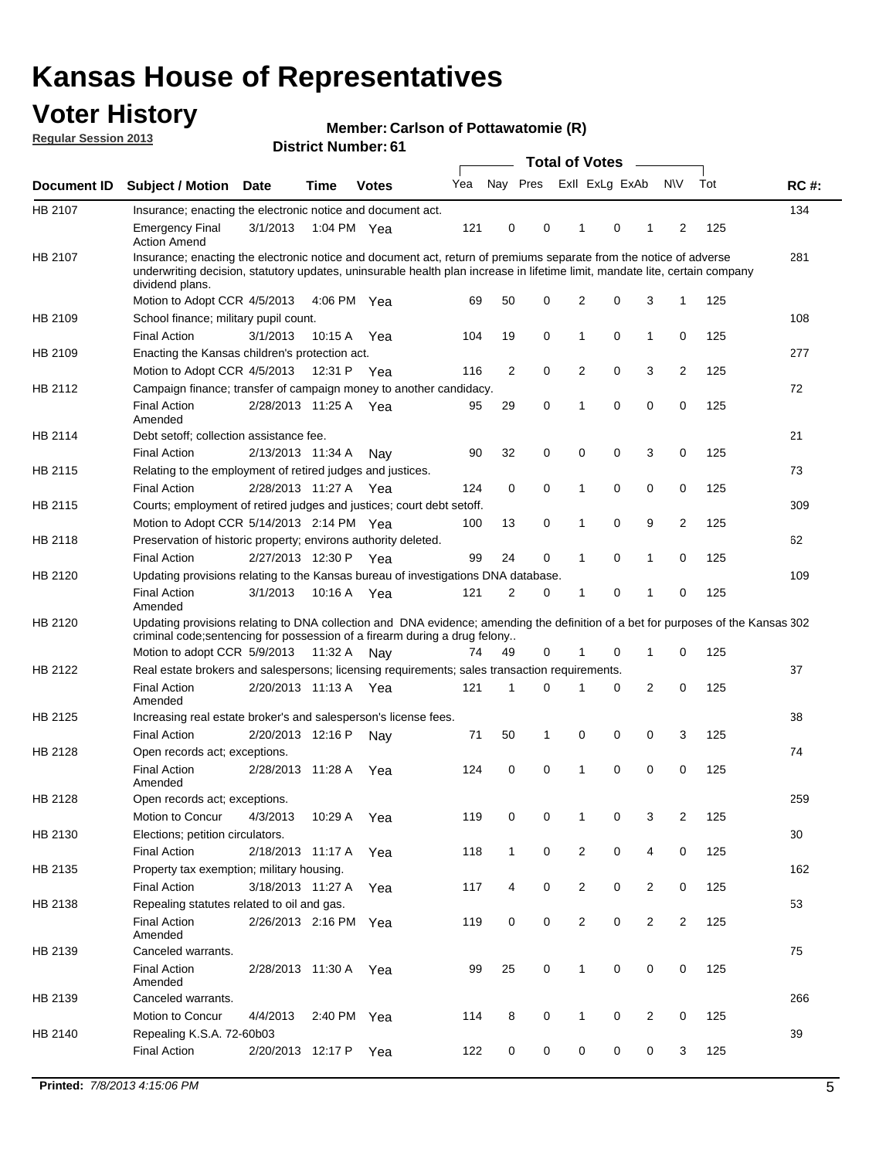## **Voter History**

**Member: Carlson of Pottawatomie (R)** 

**Regular Session 2013**

|             |                                                                                                                                                                                                                                                                      |                       |             |              |     |                         | <b>Total of Votes</b> |                |   | $\frac{1}{2}$  |                |     |             |
|-------------|----------------------------------------------------------------------------------------------------------------------------------------------------------------------------------------------------------------------------------------------------------------------|-----------------------|-------------|--------------|-----|-------------------------|-----------------------|----------------|---|----------------|----------------|-----|-------------|
| Document ID | <b>Subject / Motion</b>                                                                                                                                                                                                                                              | <b>Date</b>           | <b>Time</b> | <b>Votes</b> | Yea | Nay Pres Exll ExLg ExAb |                       |                |   |                | <b>NV</b>      | Tot | <b>RC#:</b> |
| HB 2107     | Insurance; enacting the electronic notice and document act.                                                                                                                                                                                                          |                       |             |              |     |                         |                       |                |   |                |                |     | 134         |
|             | <b>Emergency Final</b><br><b>Action Amend</b>                                                                                                                                                                                                                        | 3/1/2013              | 1:04 PM Yea |              | 121 | 0                       | 0                     | 1              | 0 | 1              | 2              | 125 |             |
| HB 2107     | Insurance; enacting the electronic notice and document act, return of premiums separate from the notice of adverse<br>underwriting decision, statutory updates, uninsurable health plan increase in lifetime limit, mandate lite, certain company<br>dividend plans. |                       |             |              |     |                         |                       |                |   |                |                |     | 281         |
|             | Motion to Adopt CCR 4/5/2013                                                                                                                                                                                                                                         |                       | 4:06 PM Yea |              | 69  | 50                      | 0                     | 2              | 0 | 3              | 1              | 125 |             |
| HB 2109     | School finance; military pupil count.                                                                                                                                                                                                                                |                       |             |              |     |                         |                       |                |   |                |                |     | 108         |
|             | <b>Final Action</b>                                                                                                                                                                                                                                                  | 3/1/2013              | 10:15 A     | Yea          | 104 | 19                      | 0                     | 1              | 0 | 1              | 0              | 125 |             |
| HB 2109     | Enacting the Kansas children's protection act.                                                                                                                                                                                                                       |                       |             |              |     |                         |                       |                |   |                |                |     | 277         |
|             | Motion to Adopt CCR 4/5/2013                                                                                                                                                                                                                                         |                       | 12:31 P Yea |              | 116 | 2                       | 0                     | 2              | 0 | 3              | 2              | 125 |             |
| HB 2112     | Campaign finance; transfer of campaign money to another candidacy.                                                                                                                                                                                                   |                       |             |              |     |                         |                       |                |   |                |                |     | 72          |
|             | <b>Final Action</b><br>Amended                                                                                                                                                                                                                                       | 2/28/2013 11:25 A Yea |             |              | 95  | 29                      | 0                     | 1              | 0 | 0              | 0              | 125 |             |
| HB 2114     | Debt setoff; collection assistance fee.                                                                                                                                                                                                                              |                       |             |              |     |                         |                       |                |   |                |                |     | 21          |
|             | <b>Final Action</b>                                                                                                                                                                                                                                                  | 2/13/2013 11:34 A     |             | Nay          | 90  | 32                      | 0                     | 0              | 0 | 3              | 0              | 125 |             |
| HB 2115     | Relating to the employment of retired judges and justices.                                                                                                                                                                                                           |                       |             |              |     |                         |                       |                |   |                |                |     | 73          |
|             | <b>Final Action</b>                                                                                                                                                                                                                                                  | 2/28/2013 11:27 A     |             | Yea          | 124 | 0                       | 0                     | 1              | 0 | 0              | 0              | 125 |             |
| HB 2115     | Courts; employment of retired judges and justices; court debt setoff.                                                                                                                                                                                                |                       |             |              |     |                         |                       |                |   |                |                |     | 309         |
|             | Motion to Adopt CCR 5/14/2013 2:14 PM Yea                                                                                                                                                                                                                            |                       |             |              | 100 | 13                      | 0                     | 1              | 0 | 9              | $\overline{2}$ | 125 |             |
| HB 2118     | Preservation of historic property; environs authority deleted.                                                                                                                                                                                                       |                       |             |              |     |                         |                       |                |   |                |                |     | 62          |
|             | <b>Final Action</b>                                                                                                                                                                                                                                                  | 2/27/2013 12:30 P     |             | Yea          | 99  | 24                      | 0                     | 1              | 0 | 1              | 0              | 125 |             |
| HB 2120     | Updating provisions relating to the Kansas bureau of investigations DNA database.                                                                                                                                                                                    |                       |             |              |     |                         |                       |                |   |                |                |     | 109         |
|             | <b>Final Action</b><br>Amended                                                                                                                                                                                                                                       | 3/1/2013              | 10:16 A     | Yea          | 121 | 2                       | 0                     | 1              | 0 | 1              | 0              | 125 |             |
| HB 2120     | Updating provisions relating to DNA collection and DNA evidence; amending the definition of a bet for purposes of the Kansas 302<br>criminal code; sentencing for possession of a firearm during a drug felony                                                       |                       |             |              |     |                         |                       |                |   |                |                |     |             |
|             | Motion to adopt CCR 5/9/2013 11:32 A Nay                                                                                                                                                                                                                             |                       |             |              | 74  | 49                      | 0                     | 1              | 0 | 1              | 0              | 125 |             |
| HB 2122     | Real estate brokers and salespersons; licensing requirements; sales transaction requirements.                                                                                                                                                                        |                       |             |              |     |                         |                       |                |   |                |                |     | 37          |
|             | <b>Final Action</b><br>Amended                                                                                                                                                                                                                                       | 2/20/2013 11:13 A Yea |             |              | 121 | 1                       | 0                     |                | 0 | 2              | 0              | 125 |             |
| HB 2125     | Increasing real estate broker's and salesperson's license fees.                                                                                                                                                                                                      |                       |             |              |     |                         |                       |                |   |                |                |     | 38          |
|             | <b>Final Action</b>                                                                                                                                                                                                                                                  | 2/20/2013 12:16 P     |             | Nav          | 71  | 50                      | 1                     | 0              | 0 | 0              | 3              | 125 |             |
| HB 2128     | Open records act; exceptions.                                                                                                                                                                                                                                        |                       |             |              |     |                         |                       |                |   |                |                |     | 74          |
|             | <b>Final Action</b>                                                                                                                                                                                                                                                  | 2/28/2013 11:28 A     |             | Yea          | 124 | 0                       | 0                     | 1              | 0 | 0              | 0              | 125 |             |
| HB 2128     | Amended<br>Open records act; exceptions.                                                                                                                                                                                                                             |                       |             |              |     |                         |                       |                |   |                |                |     | 259         |
|             | Motion to Concur                                                                                                                                                                                                                                                     | 4/3/2013              | 10:29 A     | Yea          | 119 | 0                       | 0                     | 1              | 0 | 3              | $\overline{2}$ | 125 |             |
| HB 2130     | Elections; petition circulators.                                                                                                                                                                                                                                     |                       |             |              |     |                         |                       |                |   |                |                |     | 30          |
|             | <b>Final Action</b>                                                                                                                                                                                                                                                  | 2/18/2013 11:17 A     |             | Yea          | 118 | $\mathbf{1}$            | 0                     | 2              | 0 | 4              | 0              | 125 |             |
|             |                                                                                                                                                                                                                                                                      |                       |             |              |     |                         |                       |                |   |                |                |     | 162         |
| HB 2135     | Property tax exemption; military housing.<br><b>Final Action</b>                                                                                                                                                                                                     | 3/18/2013 11:27 A     |             |              |     | 4                       | 0                     | $\overline{2}$ | 0 | $\overline{2}$ | 0              | 125 |             |
| HB 2138     | Repealing statutes related to oil and gas.                                                                                                                                                                                                                           |                       |             | Yea          | 117 |                         |                       |                |   |                |                |     | 53          |
|             | <b>Final Action</b>                                                                                                                                                                                                                                                  | 2/26/2013 2:16 PM Yea |             |              | 119 | 0                       | 0                     | $\overline{2}$ | 0 | $\overline{2}$ | $\overline{2}$ | 125 |             |
|             | Amended                                                                                                                                                                                                                                                              |                       |             |              |     |                         |                       |                |   |                |                |     |             |
| HB 2139     | Canceled warrants.                                                                                                                                                                                                                                                   |                       |             |              |     |                         |                       |                |   |                |                |     | 75          |
|             | <b>Final Action</b><br>Amended                                                                                                                                                                                                                                       | 2/28/2013 11:30 A     |             | Yea          | 99  | 25                      | 0                     | $\mathbf{1}$   | 0 | 0              | 0              | 125 |             |
| HB 2139     | Canceled warrants.                                                                                                                                                                                                                                                   |                       |             |              |     |                         |                       |                |   |                |                |     | 266         |
|             | Motion to Concur                                                                                                                                                                                                                                                     | 4/4/2013              | 2:40 PM     | Yea          | 114 | 8                       | 0                     | 1              | 0 | 2              | 0              | 125 |             |
| HB 2140     | Repealing K.S.A. 72-60b03                                                                                                                                                                                                                                            |                       |             |              |     |                         |                       |                |   |                |                |     | 39          |
|             | <b>Final Action</b>                                                                                                                                                                                                                                                  | 2/20/2013 12:17 P     |             | Yea          | 122 | 0                       | 0                     | 0              | 0 | 0              | 3              | 125 |             |
|             |                                                                                                                                                                                                                                                                      |                       |             |              |     |                         |                       |                |   |                |                |     |             |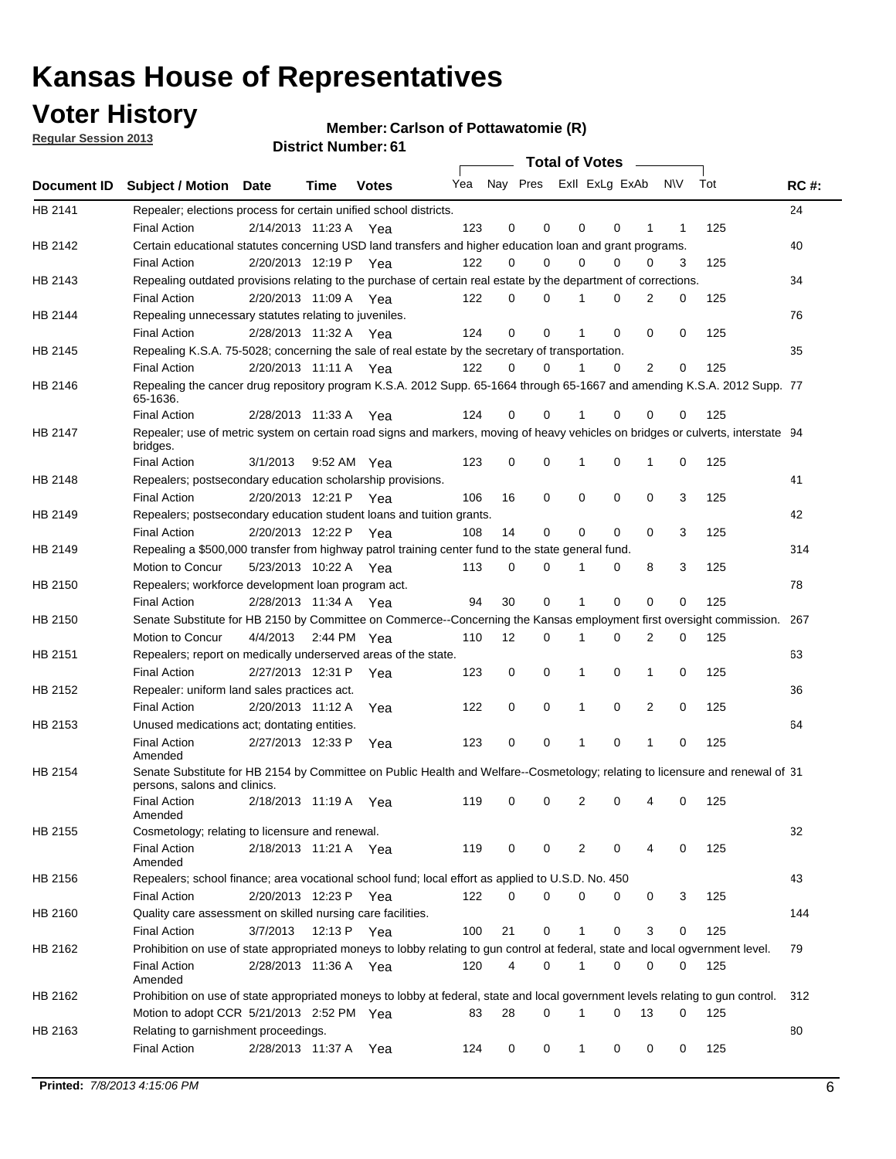## **Voter History**

**Member: Carlson of Pottawatomie (R)** 

**Regular Session 2013**

|             |                                                                                                                                              |          |                       |              |     |             | Total of Votes          |          |   |                |     |     |             |
|-------------|----------------------------------------------------------------------------------------------------------------------------------------------|----------|-----------------------|--------------|-----|-------------|-------------------------|----------|---|----------------|-----|-----|-------------|
| Document ID | <b>Subject / Motion Date</b>                                                                                                                 |          | Time                  | <b>Votes</b> | Yea |             | Nay Pres Exll ExLg ExAb |          |   |                | N\V | Tot | <b>RC#:</b> |
| HB 2141     | Repealer; elections process for certain unified school districts.<br><b>Final Action</b>                                                     |          | 2/14/2013 11:23 A Yea |              | 123 | 0           | 0                       | 0        | 0 | 1              | 1   | 125 | 24          |
| HB 2142     | Certain educational statutes concerning USD land transfers and higher education loan and grant programs.                                     |          |                       |              |     |             |                         |          |   |                |     |     | 40          |
|             | <b>Final Action</b>                                                                                                                          |          | 2/20/2013 12:19 P Yea |              | 122 | 0           | 0                       | $\Omega$ | 0 | $\Omega$       | 3   | 125 |             |
| HB 2143     | Repealing outdated provisions relating to the purchase of certain real estate by the department of corrections.                              |          |                       |              |     |             |                         |          |   |                |     |     | 34          |
|             | <b>Final Action</b>                                                                                                                          |          | 2/20/2013 11:09 A Yea |              | 122 | 0           | 0                       |          | 0 | $\overline{2}$ | 0   | 125 |             |
| HB 2144     | Repealing unnecessary statutes relating to juveniles.                                                                                        |          |                       |              |     |             |                         |          |   |                |     |     | 76          |
|             | <b>Final Action</b>                                                                                                                          |          | 2/28/2013 11:32 A Yea |              | 124 | $\mathbf 0$ | $\Omega$                |          | 0 | $\Omega$       | 0   | 125 |             |
| HB 2145     | Repealing K.S.A. 75-5028; concerning the sale of real estate by the secretary of transportation.                                             |          |                       |              |     |             |                         |          |   |                |     |     | 35          |
|             | <b>Final Action</b>                                                                                                                          |          | 2/20/2013 11:11 A Yea |              | 122 | 0           | 0                       | 1        | 0 | $\overline{2}$ | 0   | 125 |             |
| HB 2146     | Repealing the cancer drug repository program K.S.A. 2012 Supp. 65-1664 through 65-1667 and amending K.S.A. 2012 Supp. 77<br>65-1636.         |          |                       |              |     |             |                         |          |   |                |     |     |             |
|             | <b>Final Action</b>                                                                                                                          |          | 2/28/2013 11:33 A     | Yea          | 124 | 0           | 0                       |          | 0 | 0              | 0   | 125 |             |
| HB 2147     | Repealer; use of metric system on certain road signs and markers, moving of heavy vehicles on bridges or culverts, interstate 94<br>bridges. |          |                       |              |     |             |                         |          |   |                |     |     |             |
|             | <b>Final Action</b>                                                                                                                          | 3/1/2013 |                       | 9:52 AM Yea  | 123 | 0           | 0                       | 1        | 0 | 1              | 0   | 125 |             |
| HB 2148     | Repealers; postsecondary education scholarship provisions.                                                                                   |          |                       |              |     |             |                         |          |   |                |     |     | 41          |
|             | <b>Final Action</b>                                                                                                                          |          | 2/20/2013 12:21 P     | Yea          | 106 | 16          | 0                       | 0        | 0 | 0              | 3   | 125 |             |
| HB 2149     | Repealers; postsecondary education student loans and tuition grants.                                                                         |          |                       |              |     |             |                         |          |   |                |     |     | 42          |
|             | <b>Final Action</b>                                                                                                                          |          | 2/20/2013 12:22 P     | Yea          | 108 | 14          | 0                       | 0        | 0 | 0              | 3   | 125 |             |
| HB 2149     | Repealing a \$500,000 transfer from highway patrol training center fund to the state general fund.                                           |          |                       |              |     |             |                         |          |   |                |     |     | 314         |
|             | Motion to Concur                                                                                                                             |          | 5/23/2013 10:22 A Yea |              | 113 | 0           | 0                       | 1        | 0 | 8              | 3   | 125 |             |
| HB 2150     | Repealers; workforce development loan program act.                                                                                           |          |                       |              |     |             |                         |          |   |                |     |     | 78          |
|             | <b>Final Action</b>                                                                                                                          |          | 2/28/2013 11:34 A     | Yea          | 94  | 30          | 0                       | 1        | 0 | $\mathbf 0$    | 0   | 125 |             |
| HB 2150     | Senate Substitute for HB 2150 by Committee on Commerce--Concerning the Kansas employment first oversight commission.                         |          |                       |              |     |             |                         |          |   |                |     |     | 267         |
|             | Motion to Concur                                                                                                                             | 4/4/2013 |                       | 2:44 PM Yea  | 110 | 12          | 0                       | 1        | 0 | 2              | 0   | 125 |             |
| HB 2151     | Repealers; report on medically underserved areas of the state.                                                                               |          |                       |              |     |             |                         |          |   |                |     |     | 63          |
|             | <b>Final Action</b>                                                                                                                          |          | 2/27/2013 12:31 P     | Yea          | 123 | 0           | 0                       | 1        | 0 | 1              | 0   | 125 |             |
| HB 2152     | Repealer: uniform land sales practices act.                                                                                                  |          |                       |              |     |             |                         |          |   |                |     |     | 36          |
|             | <b>Final Action</b>                                                                                                                          |          | 2/20/2013 11:12 A     | Yea          | 122 | 0           | 0                       | 1        | 0 | 2              | 0   | 125 |             |
| HB 2153     | Unused medications act; dontating entities.                                                                                                  |          |                       |              |     |             |                         |          |   |                |     |     | 64          |
|             | <b>Final Action</b><br>Amended                                                                                                               |          | 2/27/2013 12:33 P     | Yea          | 123 | 0           | 0                       |          | 0 | 1              | 0   | 125 |             |
| HB 2154     | Senate Substitute for HB 2154 by Committee on Public Health and Welfare--Cosmetology; relating to licensure and renewal of 31                |          |                       |              |     |             |                         |          |   |                |     |     |             |
|             | persons, salons and clinics.                                                                                                                 |          |                       |              |     |             |                         |          |   |                |     |     |             |
|             | <b>Final Action</b><br>Amended                                                                                                               |          | 2/18/2013 11:19 A     | Yea          | 119 | 0           | 0                       | 2        | 0 | 4              | 0   | 125 |             |
| HB 2155     | Cosmetology; relating to licensure and renewal.                                                                                              |          |                       |              |     |             |                         |          |   |                |     |     | 32          |
|             | <b>Final Action</b>                                                                                                                          |          | 2/18/2013 11:21 A Yea |              | 119 | 0           | 0                       | 2        | 0 | 4              | 0   | 125 |             |
| HB 2156     | Amended<br>Repealers; school finance; area vocational school fund; local effort as applied to U.S.D. No. 450                                 |          |                       |              |     |             |                         |          |   |                |     |     | 43          |
|             | <b>Final Action</b>                                                                                                                          |          | 2/20/2013 12:23 P     |              | 122 | 0           | 0                       | 0        | 0 | 0              | 3   | 125 |             |
| HB 2160     | Quality care assessment on skilled nursing care facilities.                                                                                  |          |                       | Yea          |     |             |                         |          |   |                |     |     | 144         |
|             | <b>Final Action</b>                                                                                                                          | 3/7/2013 | 12:13 P               |              | 100 | 21          | 0                       | 1        | 0 | 3              | 0   | 125 |             |
| HB 2162     | Prohibition on use of state appropriated moneys to lobby relating to gun control at federal, state and local ogvernment level.               |          |                       | Yea          |     |             |                         |          |   |                |     |     | 79          |
|             | <b>Final Action</b>                                                                                                                          |          | 2/28/2013 11:36 A Yea |              | 120 | 4           | 0                       | 1        | 0 | 0              | 0   | 125 |             |
|             | Amended                                                                                                                                      |          |                       |              |     |             |                         |          |   |                |     |     |             |
| HB 2162     | Prohibition on use of state appropriated moneys to lobby at federal, state and local government levels relating to gun control.              |          |                       |              |     |             |                         |          |   |                |     |     | 312         |
|             | Motion to adopt CCR 5/21/2013 2:52 PM Yea                                                                                                    |          |                       |              | 83  | 28          | $\Omega$                | 1        | 0 | 13             | 0   | 125 |             |
| HB 2163     | Relating to garnishment proceedings.                                                                                                         |          |                       |              |     |             |                         |          |   |                |     |     | 80          |
|             | <b>Final Action</b>                                                                                                                          |          | 2/28/2013 11:37 A Yea |              | 124 | 0           | 0                       | 1        | 0 | 0              | 0   | 125 |             |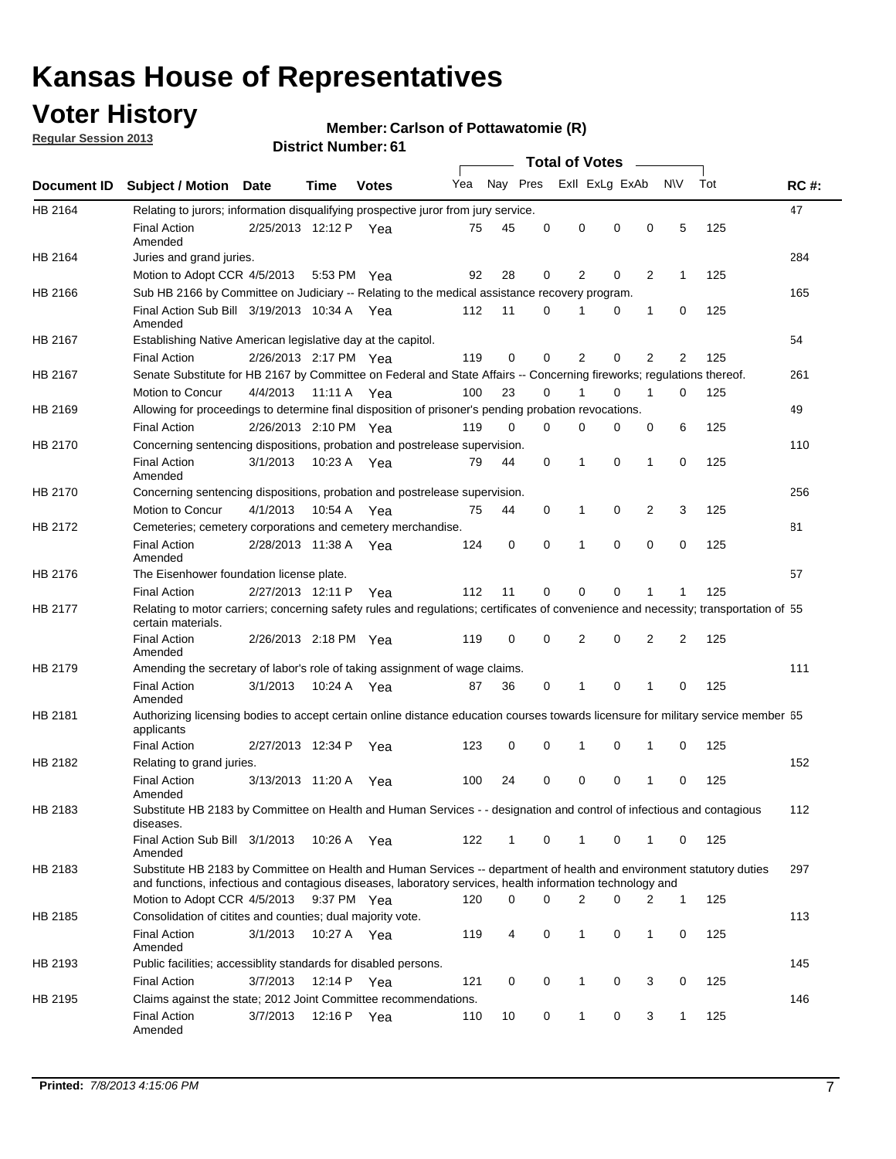## **Voter History**

**Regular Session 2013**

#### **Member: Carlson of Pottawatomie (R)**

|                |                                                                                                                                                                                                                                    |                       |         | <b>DISTRICT MAILINGL.OI</b> |     |              |          |                | Total of Votes – |   |              |     |             |
|----------------|------------------------------------------------------------------------------------------------------------------------------------------------------------------------------------------------------------------------------------|-----------------------|---------|-----------------------------|-----|--------------|----------|----------------|------------------|---|--------------|-----|-------------|
| Document ID    | <b>Subject / Motion</b>                                                                                                                                                                                                            | Date                  | Time    | <b>Votes</b>                | Yea |              | Nay Pres |                | Exll ExLg ExAb   |   | <b>NV</b>    | Tot | <b>RC#:</b> |
| HB 2164        | Relating to jurors; information disqualifying prospective juror from jury service.                                                                                                                                                 |                       |         |                             |     |              |          |                |                  |   |              |     | 47          |
|                | <b>Final Action</b><br>Amended                                                                                                                                                                                                     | 2/25/2013 12:12 P Yea |         |                             | 75  | 45           | 0        | $\mathbf 0$    | 0                | 0 | 5            | 125 |             |
| HB 2164        | Juries and grand juries.                                                                                                                                                                                                           |                       |         |                             |     |              |          |                |                  |   |              |     | 284         |
|                | Motion to Adopt CCR 4/5/2013                                                                                                                                                                                                       |                       |         | 5:53 PM Yea                 | 92  | 28           | 0        | 2              | 0                | 2 | $\mathbf{1}$ | 125 |             |
| HB 2166        | Sub HB 2166 by Committee on Judiciary -- Relating to the medical assistance recovery program.                                                                                                                                      |                       |         |                             |     |              |          |                |                  |   |              |     | 165         |
|                | Final Action Sub Bill 3/19/2013 10:34 A Yea<br>Amended                                                                                                                                                                             |                       |         |                             | 112 | 11           | 0        | 1              | 0                | 1 | 0            | 125 |             |
| HB 2167        | Establishing Native American legislative day at the capitol.                                                                                                                                                                       |                       |         |                             |     |              |          |                |                  |   |              |     | 54          |
|                | <b>Final Action</b>                                                                                                                                                                                                                | 2/26/2013 2:17 PM Yea |         |                             | 119 | 0            | 0        | 2              | $\Omega$         | 2 | 2            | 125 |             |
| HB 2167        | Senate Substitute for HB 2167 by Committee on Federal and State Affairs -- Concerning fireworks; regulations thereof.                                                                                                              |                       |         |                             |     |              |          |                |                  |   |              |     | 261         |
|                | Motion to Concur                                                                                                                                                                                                                   | 4/4/2013 11:11 A Yea  |         |                             | 100 | 23           | 0        | 1              | 0                | 1 | 0            | 125 |             |
| HB 2169        | Allowing for proceedings to determine final disposition of prisoner's pending probation revocations.                                                                                                                               |                       |         |                             |     |              |          |                |                  |   |              |     | 49          |
|                | <b>Final Action</b>                                                                                                                                                                                                                | 2/26/2013 2:10 PM Yea |         |                             | 119 | 0            | $\Omega$ | 0              | 0                | 0 | 6            | 125 |             |
| HB 2170        | Concerning sentencing dispositions, probation and postrelease supervision.                                                                                                                                                         |                       |         |                             |     |              |          |                |                  |   |              |     | 110         |
|                | <b>Final Action</b><br>Amended                                                                                                                                                                                                     | 3/1/2013              |         | 10:23 A Yea                 | 79  | 44           | 0        | 1              | 0                | 1 | 0            | 125 |             |
| HB 2170        | Concerning sentencing dispositions, probation and postrelease supervision.                                                                                                                                                         |                       |         |                             |     |              |          |                |                  |   |              |     | 256         |
|                | Motion to Concur                                                                                                                                                                                                                   | 4/1/2013              | 10:54 A | Yea                         | 75  | 44           | 0        | $\mathbf 1$    | 0                | 2 | 3            | 125 |             |
| HB 2172        | Cemeteries; cemetery corporations and cemetery merchandise.                                                                                                                                                                        |                       |         |                             |     |              |          |                |                  |   |              |     | 81          |
|                | <b>Final Action</b><br>Amended                                                                                                                                                                                                     | 2/28/2013 11:38 A     |         | Yea                         | 124 | 0            | 0        | 1              | $\Omega$         | 0 | 0            | 125 |             |
| HB 2176        | The Eisenhower foundation license plate.                                                                                                                                                                                           |                       |         |                             |     |              |          |                |                  |   |              |     | 57          |
|                | <b>Final Action</b>                                                                                                                                                                                                                | 2/27/2013 12:11 P     |         | Yea                         | 112 | 11           | 0        | 0              | 0                | 1 | 1            | 125 |             |
| <b>HB 2177</b> | Relating to motor carriers; concerning safety rules and regulations; certificates of convenience and necessity; transportation of 55<br>certain materials.                                                                         |                       |         |                             |     |              |          |                |                  |   |              |     |             |
|                | <b>Final Action</b><br>Amended                                                                                                                                                                                                     | 2/26/2013 2:18 PM Yea |         |                             | 119 | 0            | 0        | $\overline{2}$ | 0                | 2 | 2            | 125 |             |
| HB 2179        | Amending the secretary of labor's role of taking assignment of wage claims.                                                                                                                                                        |                       |         |                             |     |              |          |                |                  |   |              |     | 111         |
|                | <b>Final Action</b><br>Amended                                                                                                                                                                                                     | 3/1/2013              |         | 10:24 A Yea                 | 87  | 36           | 0        | 1              | 0                | 1 | 0            | 125 |             |
| HB 2181        | Authorizing licensing bodies to accept certain online distance education courses towards licensure for military service member 55<br>applicants                                                                                    |                       |         |                             |     |              |          |                |                  |   |              |     |             |
|                | <b>Final Action</b>                                                                                                                                                                                                                | 2/27/2013 12:34 P     |         | Yea                         | 123 | 0            | 0        | 1              | 0                | 1 | 0            | 125 |             |
| HB 2182        | Relating to grand juries.                                                                                                                                                                                                          |                       |         |                             |     |              |          |                |                  |   |              |     | 152         |
|                | <b>Final Action</b><br>Amended                                                                                                                                                                                                     | 3/13/2013 11:20 A     |         | Yea                         | 100 | 24           | 0        | 0              | 0                | 1 | 0            | 125 |             |
| HB 2183        | Substitute HB 2183 by Committee on Health and Human Services - - designation and control of infectious and contagious<br>diseases.                                                                                                 |                       |         |                             |     |              |          |                |                  |   |              |     | 112         |
|                | Final Action Sub Bill 3/1/2013<br>Amended                                                                                                                                                                                          |                       |         | 10:26 A Yea                 | 122 | $\mathbf{1}$ | 0        | $\mathbf{1}$   | 0                | 1 | 0            | 125 |             |
| HB 2183        | Substitute HB 2183 by Committee on Health and Human Services -- department of health and environment statutory duties<br>and functions, infectious and contagious diseases, laboratory services, health information technology and |                       |         |                             |     |              |          |                |                  |   |              |     | 297         |
|                | Motion to Adopt CCR 4/5/2013                                                                                                                                                                                                       |                       |         | 9:37 PM Yea                 | 120 | 0            | 0        | 2              | 0                | 2 | $\mathbf{1}$ | 125 |             |
| HB 2185        | Consolidation of citites and counties; dual majority vote.                                                                                                                                                                         |                       |         |                             |     |              |          |                |                  |   |              |     | 113         |
|                | <b>Final Action</b><br>Amended                                                                                                                                                                                                     | 3/1/2013              |         | 10:27 A Yea                 | 119 | 4            | 0        | 1              | 0                | 1 | 0            | 125 |             |
| HB 2193        | Public facilities; accessiblity standards for disabled persons.                                                                                                                                                                    |                       |         |                             |     |              |          |                |                  |   |              |     | 145         |
|                | <b>Final Action</b>                                                                                                                                                                                                                | 3/7/2013              | 12:14 P | Yea                         | 121 | 0            | 0        | 1              | 0                | 3 | 0            | 125 |             |
| HB 2195        | Claims against the state; 2012 Joint Committee recommendations.                                                                                                                                                                    |                       |         |                             |     |              |          |                |                  |   |              |     | 146         |
|                | Final Action<br>Amended                                                                                                                                                                                                            | 3/7/2013              |         | 12:16 P Yea                 | 110 | 10           | 0        | $\mathbf{1}$   | 0                | 3 | 1            | 125 |             |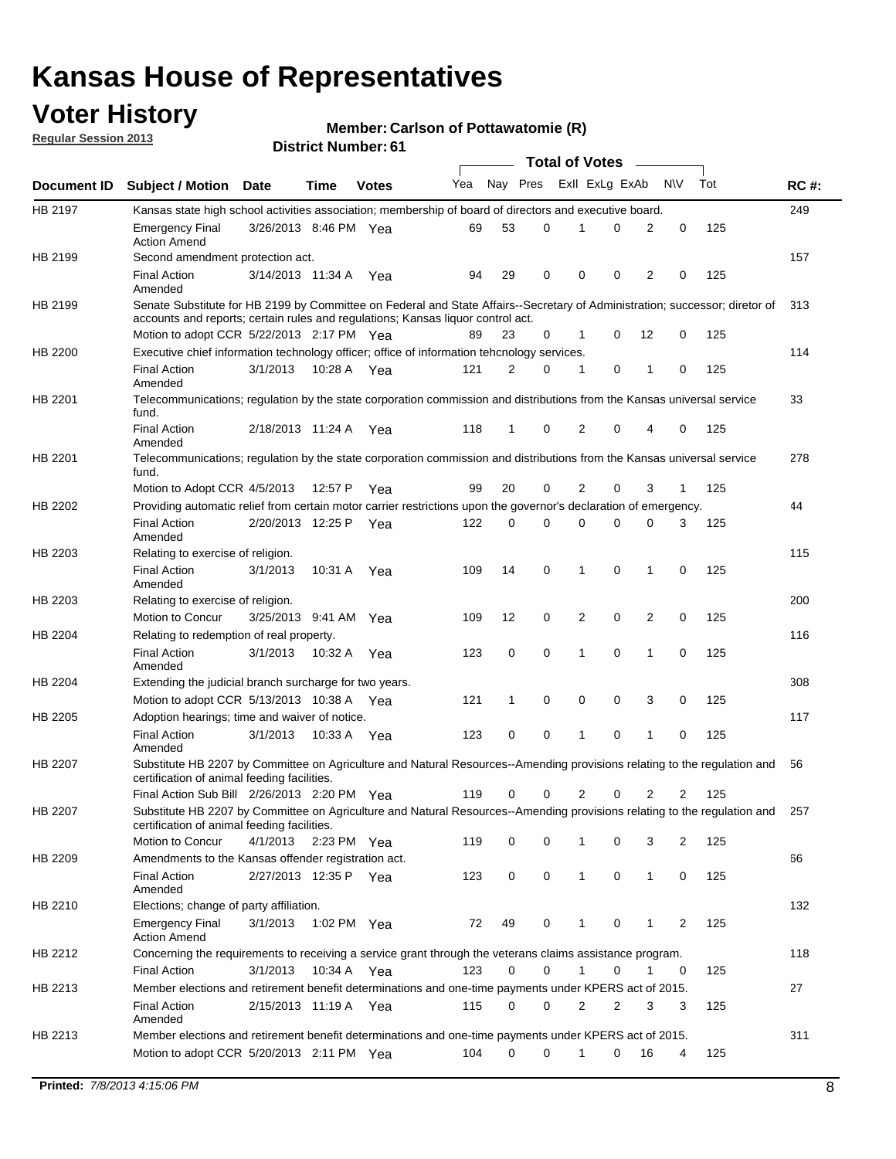## **Voter History**

**Member: Carlson of Pottawatomie (R)** 

**Regular Session 2013**

|                |                                                                                                                                                                                                                |                       |         |              |     |              |             | <b>Total of Votes</b> |   |                |                |     |             |
|----------------|----------------------------------------------------------------------------------------------------------------------------------------------------------------------------------------------------------------|-----------------------|---------|--------------|-----|--------------|-------------|-----------------------|---|----------------|----------------|-----|-------------|
| Document ID    | <b>Subject / Motion Date</b>                                                                                                                                                                                   |                       | Time    | <b>Votes</b> | Yea | Nay Pres     |             | Exll ExLg ExAb        |   |                | <b>NV</b>      | Tot | <b>RC#:</b> |
| HB 2197        | Kansas state high school activities association; membership of board of directors and executive board.                                                                                                         |                       |         |              |     |              |             |                       |   |                |                |     | 249         |
|                | Emergency Final<br><b>Action Amend</b>                                                                                                                                                                         | 3/26/2013 8:46 PM Yea |         |              | 69  | 53           | 0           |                       | 0 | $\overline{2}$ | 0              | 125 |             |
| HB 2199        | Second amendment protection act.                                                                                                                                                                               |                       |         |              |     |              |             |                       |   |                |                |     | 157         |
|                | Final Action<br>Amended                                                                                                                                                                                        | 3/14/2013 11:34 A     |         | Yea          | 94  | 29           | 0           | 0                     | 0 | $\overline{2}$ | 0              | 125 |             |
| HB 2199        | Senate Substitute for HB 2199 by Committee on Federal and State Affairs--Secretary of Administration; successor; diretor of<br>accounts and reports; certain rules and regulations; Kansas liquor control act. |                       |         |              |     |              |             |                       |   |                |                |     | 313         |
|                | Motion to adopt CCR 5/22/2013 2:17 PM Yea                                                                                                                                                                      |                       |         |              | 89  | 23           | 0           | 1                     | 0 | 12             | 0              | 125 |             |
| HB 2200        | Executive chief information technology officer; office of information tehcnology services.                                                                                                                     |                       |         |              |     |              |             |                       |   |                |                |     | 114         |
|                | <b>Final Action</b><br>Amended                                                                                                                                                                                 | 3/1/2013              | 10:28 A | Yea          | 121 | 2            | 0           | 1                     | 0 | -1             | 0              | 125 |             |
| HB 2201        | Telecommunications; regulation by the state corporation commission and distributions from the Kansas universal service<br>fund.                                                                                |                       |         |              |     |              |             |                       |   |                |                |     | 33          |
|                | <b>Final Action</b><br>Amended                                                                                                                                                                                 | 2/18/2013 11:24 A Yea |         |              | 118 | 1            | 0           | 2                     | 0 | 4              | 0              | 125 |             |
| HB 2201        | Telecommunications; regulation by the state corporation commission and distributions from the Kansas universal service<br>fund.                                                                                |                       |         |              |     |              |             |                       |   |                |                |     | 278         |
|                | Motion to Adopt CCR 4/5/2013                                                                                                                                                                                   |                       | 12:57 P | Yea          | 99  | 20           | 0           | 2                     | 0 | 3              | 1              | 125 |             |
| HB 2202        | Providing automatic relief from certain motor carrier restrictions upon the governor's declaration of emergency.                                                                                               |                       |         |              |     |              |             |                       |   |                |                |     | 44          |
|                | <b>Final Action</b><br>Amended                                                                                                                                                                                 | 2/20/2013 12:25 P     |         | Yea          | 122 | 0            | 0           | 0                     | 0 | 0              | 3              | 125 |             |
| HB 2203        | Relating to exercise of religion.                                                                                                                                                                              |                       |         |              |     |              |             |                       |   |                |                |     | 115         |
|                | <b>Final Action</b><br>Amended                                                                                                                                                                                 | 3/1/2013              | 10:31 A | Yea          | 109 | 14           | 0           | 1                     | 0 | 1              | 0              | 125 |             |
| HB 2203        | Relating to exercise of religion.                                                                                                                                                                              |                       |         |              |     |              |             |                       |   |                |                |     | 200         |
|                | Motion to Concur                                                                                                                                                                                               | 3/25/2013 9:41 AM     |         | Yea          | 109 | 12           | 0           | 2                     | 0 | 2              | 0              | 125 |             |
| HB 2204        | Relating to redemption of real property.                                                                                                                                                                       |                       |         |              |     |              |             |                       |   |                |                |     | 116         |
|                | <b>Final Action</b><br>Amended                                                                                                                                                                                 | 3/1/2013              | 10:32 A | Yea          | 123 | 0            | $\mathbf 0$ | 1                     | 0 | 1              | 0              | 125 |             |
| HB 2204        | Extending the judicial branch surcharge for two years.                                                                                                                                                         |                       |         |              |     |              |             |                       |   |                |                |     | 308         |
|                | Motion to adopt CCR 5/13/2013 10:38 A Yea                                                                                                                                                                      |                       |         |              | 121 | $\mathbf{1}$ | 0           | 0                     | 0 | 3              | 0              | 125 |             |
| HB 2205        | Adoption hearings; time and waiver of notice.                                                                                                                                                                  |                       |         |              |     |              |             |                       |   |                |                |     | 117         |
|                | <b>Final Action</b><br>Amended                                                                                                                                                                                 | 3/1/2013              |         | 10:33 A Yea  | 123 | 0            | 0           | 1                     | 0 | 1              | 0              | 125 |             |
| <b>HB 2207</b> | Substitute HB 2207 by Committee on Agriculture and Natural Resources--Amending provisions relating to the regulation and<br>certification of animal feeding facilities.                                        |                       |         |              |     |              |             |                       |   |                |                |     | 56          |
|                | Final Action Sub Bill 2/26/2013 2:20 PM Yea                                                                                                                                                                    |                       |         |              | 119 | 0            | 0           | 2                     | 0 | 2              | 2              | 125 |             |
| HB 2207        | Substitute HB 2207 by Committee on Agriculture and Natural Resources--Amending provisions relating to the regulation and 257<br>certification of animal feeding facilities.                                    |                       |         |              |     |              |             |                       |   |                |                |     |             |
|                | Motion to Concur                                                                                                                                                                                               | 4/1/2013              |         | 2:23 PM Yea  | 119 | 0            | 0           |                       | 0 | 3              | $\overline{2}$ | 125 |             |
| HB 2209        | Amendments to the Kansas offender registration act.                                                                                                                                                            |                       |         |              |     |              |             |                       |   |                |                |     | 66          |
|                | <b>Final Action</b><br>Amended                                                                                                                                                                                 | 2/27/2013 12:35 P Yea |         |              | 123 | 0            | 0           | $\mathbf{1}$          | 0 | $\mathbf{1}$   | 0              | 125 |             |
| HB 2210        | Elections; change of party affiliation.                                                                                                                                                                        |                       |         |              |     |              |             |                       |   |                |                |     | 132         |
|                | <b>Emergency Final</b><br><b>Action Amend</b>                                                                                                                                                                  | 3/1/2013              |         | 1:02 PM Yea  | 72  | 49           | 0           | 1                     | 0 | 1              | 2              | 125 |             |
| HB 2212        | Concerning the requirements to receiving a service grant through the veterans claims assistance program.                                                                                                       |                       |         |              |     |              |             |                       |   |                |                |     | 118         |
|                | <b>Final Action</b>                                                                                                                                                                                            | 3/1/2013              |         | 10:34 A Yea  | 123 | 0            | 0           | 1                     | 0 | 1              | 0              | 125 |             |
| HB 2213        | Member elections and retirement benefit determinations and one-time payments under KPERS act of 2015.                                                                                                          |                       |         |              |     |              |             |                       |   |                |                |     | 27          |
|                | <b>Final Action</b><br>Amended                                                                                                                                                                                 | 2/15/2013 11:19 A Yea |         |              | 115 | 0            | 0           | 2                     | 2 | 3              | 3              | 125 |             |
| HB 2213        | Member elections and retirement benefit determinations and one-time payments under KPERS act of 2015.                                                                                                          |                       |         |              |     |              |             |                       |   |                |                |     | 311         |
|                | Motion to adopt CCR 5/20/2013 2:11 PM Yea                                                                                                                                                                      |                       |         |              | 104 | 0            | 0           | 1                     | 0 | 16             | 4              | 125 |             |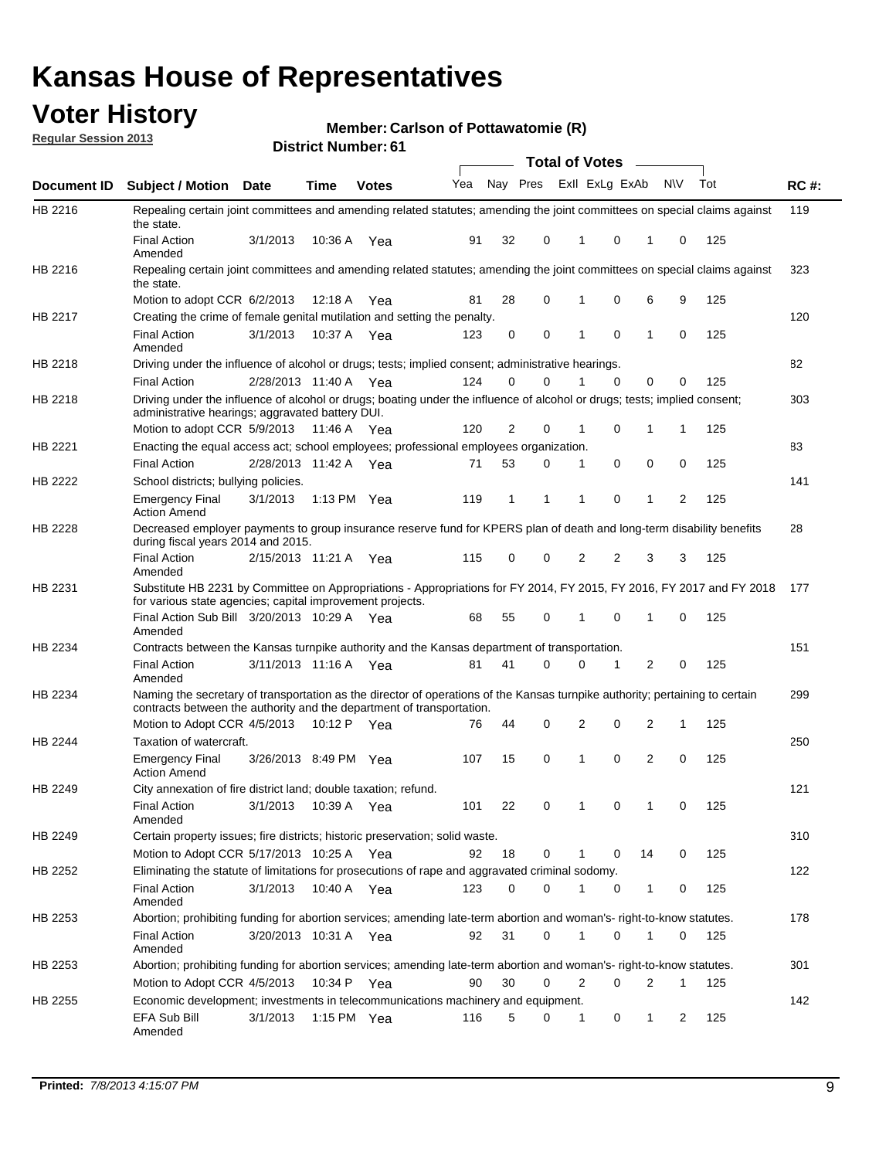## **Voter History**

**Member: Carlson of Pottawatomie (R)** 

**Regular Session 2013**

|                    |                                                                                                                                                                                                       |                       |             | ו ט . וסטווואר ועוווסוע |     |              |          | <b>Total of Votes</b> |                         | $\sim$         |           |     |             |
|--------------------|-------------------------------------------------------------------------------------------------------------------------------------------------------------------------------------------------------|-----------------------|-------------|-------------------------|-----|--------------|----------|-----------------------|-------------------------|----------------|-----------|-----|-------------|
| <b>Document ID</b> | <b>Subject / Motion</b>                                                                                                                                                                               | Date                  | Time        | <b>Votes</b>            | Yea |              |          |                       | Nay Pres Exll ExLg ExAb |                | <b>NV</b> | Tot | <b>RC#:</b> |
| HB 2216            | Repealing certain joint committees and amending related statutes; amending the joint committees on special claims against<br>the state.                                                               |                       |             |                         |     |              |          |                       |                         |                |           |     | 119         |
|                    | <b>Final Action</b><br>Amended                                                                                                                                                                        | 3/1/2013              | 10:36 A     | Yea                     | 91  | 32           | 0        | 1                     | 0                       | 1              | 0         | 125 |             |
| HB 2216            | Repealing certain joint committees and amending related statutes; amending the joint committees on special claims against<br>the state.                                                               |                       |             |                         |     |              |          |                       |                         |                |           |     | 323         |
|                    | Motion to adopt CCR 6/2/2013                                                                                                                                                                          |                       | 12:18 A     | Yea                     | 81  | 28           | 0        | 1                     | 0                       | 6              | 9         | 125 |             |
| HB 2217            | Creating the crime of female genital mutilation and setting the penalty.                                                                                                                              |                       |             |                         |     |              |          |                       |                         |                |           |     | 120         |
|                    | <b>Final Action</b><br>Amended                                                                                                                                                                        | 3/1/2013              |             | 10:37 A Yea             | 123 | 0            | 0        | 1                     | $\mathbf 0$             | $\mathbf{1}$   | 0         | 125 |             |
| HB 2218            | Driving under the influence of alcohol or drugs; tests; implied consent; administrative hearings.                                                                                                     |                       |             |                         |     |              |          |                       |                         |                |           |     | 82          |
|                    | <b>Final Action</b>                                                                                                                                                                                   | 2/28/2013 11:40 A Yea |             |                         | 124 | 0            | 0        | 1                     | $\Omega$                | 0              | 0         | 125 |             |
| HB 2218            | Driving under the influence of alcohol or drugs; boating under the influence of alcohol or drugs; tests; implied consent;<br>administrative hearings; aggravated battery DUI.                         |                       |             |                         |     |              |          |                       |                         |                |           |     | 303         |
|                    | Motion to adopt CCR 5/9/2013                                                                                                                                                                          |                       | 11:46 A Yea |                         | 120 | 2            | 0        | 1                     | 0                       | 1              | 1         | 125 |             |
| HB 2221            | Enacting the equal access act; school employees; professional employees organization.                                                                                                                 |                       |             |                         |     |              |          |                       |                         |                |           |     | 83          |
|                    | <b>Final Action</b>                                                                                                                                                                                   | 2/28/2013 11:42 A Yea |             |                         | 71  | 53           | 0        | 1                     | 0                       | 0              | 0         | 125 |             |
| HB 2222            | School districts; bullying policies.<br><b>Emergency Final</b>                                                                                                                                        | 3/1/2013              |             | 1:13 PM Yea             | 119 | $\mathbf{1}$ | 1        | 1                     | 0                       | $\mathbf{1}$   | 2         | 125 | 141         |
|                    | <b>Action Amend</b>                                                                                                                                                                                   |                       |             |                         |     |              |          |                       |                         |                |           |     |             |
| HB 2228            | Decreased employer payments to group insurance reserve fund for KPERS plan of death and long-term disability benefits<br>during fiscal years 2014 and 2015.                                           |                       |             |                         |     |              |          |                       |                         |                |           |     | 28          |
|                    | <b>Final Action</b><br>Amended                                                                                                                                                                        | 2/15/2013 11:21 A Yea |             |                         | 115 | 0            | 0        | 2                     | 2                       | 3              | 3         | 125 |             |
| HB 2231            | Substitute HB 2231 by Committee on Appropriations - Appropriations for FY 2014, FY 2015, FY 2016, FY 2017 and FY 2018<br>for various state agencies; capital improvement projects.                    |                       |             |                         |     |              |          |                       |                         |                |           |     | 177         |
|                    | Final Action Sub Bill 3/20/2013 10:29 A Yea<br>Amended                                                                                                                                                |                       |             |                         | 68  | 55           | 0        |                       | 0                       | 1              | 0         | 125 |             |
| HB 2234            | Contracts between the Kansas turnpike authority and the Kansas department of transportation.                                                                                                          |                       |             |                         |     |              |          |                       |                         |                |           |     | 151         |
|                    | <b>Final Action</b><br>Amended                                                                                                                                                                        | 3/11/2013 11:16 A Yea |             |                         | 81  | 41           | $\Omega$ | 0                     | 1                       | $\overline{2}$ | 0         | 125 |             |
| HB 2234            | Naming the secretary of transportation as the director of operations of the Kansas turnpike authority; pertaining to certain<br>contracts between the authority and the department of transportation. |                       |             |                         |     |              |          |                       |                         |                |           |     | 299         |
|                    | Motion to Adopt CCR 4/5/2013                                                                                                                                                                          |                       | 10:12 P     | Yea                     | 76  | 44           | 0        | 2                     | 0                       | 2              | 1         | 125 |             |
| HB 2244            | Taxation of watercraft.<br><b>Emergency Final</b>                                                                                                                                                     | 3/26/2013 8:49 PM Yea |             |                         | 107 | 15           | 0        | 1                     | 0                       | 2              | 0         | 125 | 250         |
|                    | <b>Action Amend</b>                                                                                                                                                                                   |                       |             |                         |     |              |          |                       |                         |                |           |     |             |
| HB 2249            | City annexation of fire district land; double taxation; refund.                                                                                                                                       |                       |             |                         |     |              |          |                       |                         |                |           |     | 121         |
|                    | Final Action 3/1/2013 10:39 A Yea<br>Amended                                                                                                                                                          |                       |             |                         | 101 | 22           | 0        | $\mathbf{1}$          | 0                       | $\mathbf{1}$   | 0         | 125 |             |
| HB 2249            | Certain property issues; fire districts; historic preservation; solid waste.                                                                                                                          |                       |             |                         |     |              |          |                       |                         |                |           |     | 310         |
|                    | Motion to Adopt CCR 5/17/2013 10:25 A Yea                                                                                                                                                             |                       |             |                         | 92  | 18           | 0        | 1                     | 0                       | 14             | 0         | 125 |             |
| HB 2252            | Eliminating the statute of limitations for prosecutions of rape and aggravated criminal sodomy.                                                                                                       |                       |             |                         |     |              |          |                       |                         |                |           |     | 122         |
|                    | <b>Final Action</b><br>Amended                                                                                                                                                                        | 3/1/2013              | 10:40 A Yea |                         | 123 | 0            | 0        | 1                     | 0                       | $\mathbf{1}$   | 0         | 125 |             |
| HB 2253            | Abortion; prohibiting funding for abortion services; amending late-term abortion and woman's- right-to-know statutes.                                                                                 |                       |             |                         |     |              |          |                       |                         |                |           |     | 178         |
|                    | <b>Final Action</b><br>Amended                                                                                                                                                                        | 3/20/2013 10:31 A Yea |             |                         | 92  | 31           | 0        | 1                     | 0                       | 1              | 0         | 125 |             |
| HB 2253            | Abortion; prohibiting funding for abortion services; amending late-term abortion and woman's- right-to-know statutes.                                                                                 |                       |             |                         |     |              |          |                       |                         |                |           |     | 301         |
|                    | Motion to Adopt CCR 4/5/2013                                                                                                                                                                          |                       |             | 10:34 P Yea             | 90  | 30           | 0        | 2                     | 0                       | 2              | 1         | 125 |             |
| HB 2255            | Economic development; investments in telecommunications machinery and equipment.                                                                                                                      |                       |             |                         |     |              |          |                       |                         |                |           |     | 142         |
|                    | EFA Sub Bill<br>Amended                                                                                                                                                                               | 3/1/2013              |             | 1:15 PM Yea             | 116 | 5            | 0        | 1                     | 0                       | 1              | 2         | 125 |             |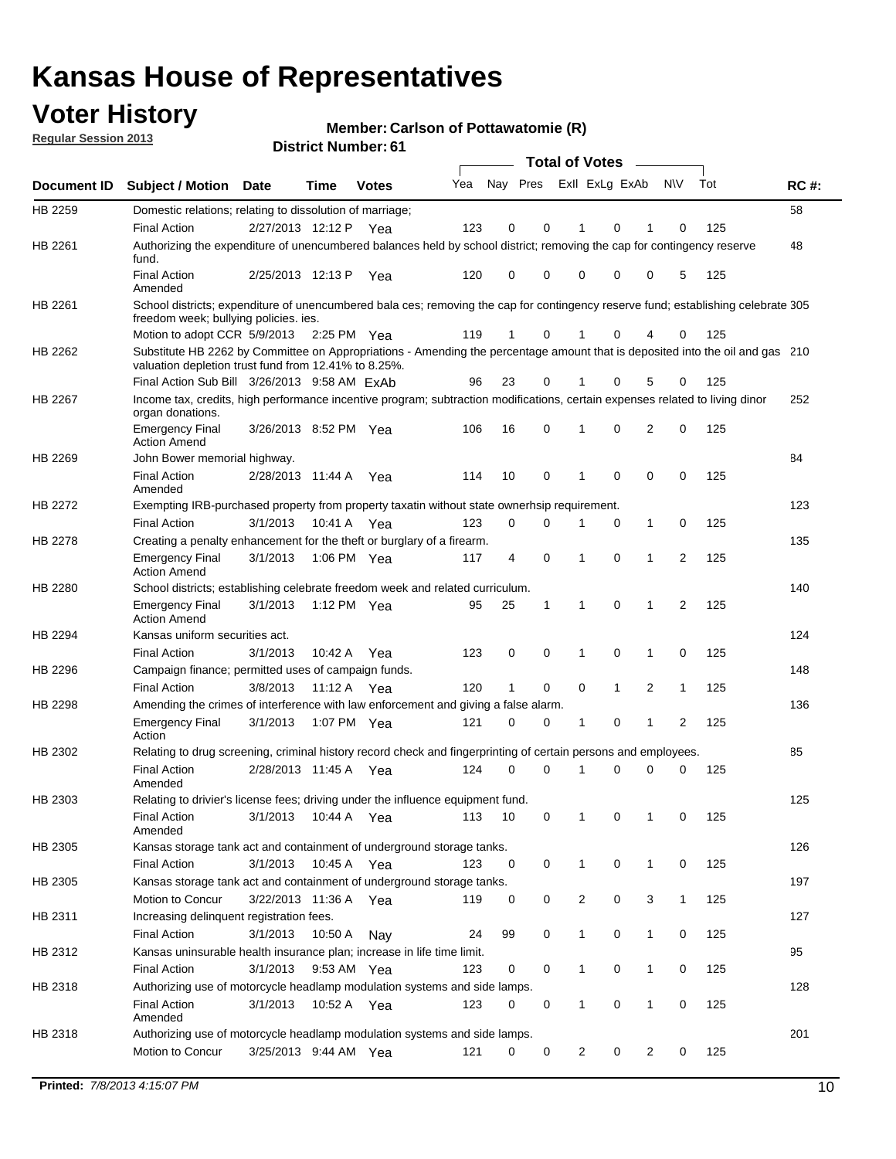## **Voter History**

**Member: Carlson of Pottawatomie (R)** 

**Regular Session 2013**

|             |                                                                                                                                                                                       |                        |             |               |     |          |   | <b>Total of Votes</b> |              |                |                |     |             |
|-------------|---------------------------------------------------------------------------------------------------------------------------------------------------------------------------------------|------------------------|-------------|---------------|-----|----------|---|-----------------------|--------------|----------------|----------------|-----|-------------|
| Document ID | <b>Subject / Motion</b>                                                                                                                                                               | <b>Date</b>            | Time        | <b>Votes</b>  | Yea | Nay Pres |   | Exll ExLg ExAb        |              |                | <b>NV</b>      | Tot | <b>RC#:</b> |
| HB 2259     | Domestic relations; relating to dissolution of marriage;                                                                                                                              |                        |             |               |     |          |   |                       |              |                |                |     | 58          |
|             | <b>Final Action</b>                                                                                                                                                                   | 2/27/2013 12:12 P      |             | Yea           | 123 | 0        | 0 |                       | 0            |                | 0              | 125 |             |
| HB 2261     | Authorizing the expenditure of unencumbered balances held by school district; removing the cap for contingency reserve<br>fund.                                                       |                        |             |               |     |          |   |                       |              |                |                |     | 48          |
|             | <b>Final Action</b><br>Amended                                                                                                                                                        | 2/25/2013 12:13 P      |             | Yea           | 120 | 0        | 0 | 0                     | 0            | 0              | 5              | 125 |             |
| HB 2261     | School districts; expenditure of unencumbered bala ces; removing the cap for contingency reserve fund; establishing celebrate 305<br>freedom week; bullying policies. ies.            |                        |             |               |     |          |   |                       |              |                |                |     |             |
|             | Motion to adopt CCR 5/9/2013                                                                                                                                                          |                        |             | 2:25 PM $Yea$ | 119 | 1        | 0 | 1                     | 0            | 4              | 0              | 125 |             |
| HB 2262     | Substitute HB 2262 by Committee on Appropriations - Amending the percentage amount that is deposited into the oil and gas 210<br>valuation depletion trust fund from 12.41% to 8.25%. |                        |             |               |     |          |   |                       |              |                |                |     |             |
|             | Final Action Sub Bill 3/26/2013 9:58 AM ExAb                                                                                                                                          |                        |             |               | 96  | 23       | 0 |                       | 0            | 5              | 0              | 125 |             |
| HB 2267     | Income tax, credits, high performance incentive program; subtraction modifications, certain expenses related to living dinor<br>organ donations.                                      |                        |             |               |     |          |   |                       |              |                |                |     | 252         |
|             | <b>Emergency Final</b><br><b>Action Amend</b>                                                                                                                                         | 3/26/2013 8:52 PM Yea  |             |               | 106 | 16       | 0 | 1                     | 0            | $\overline{2}$ | 0              | 125 |             |
| HB 2269     | John Bower memorial highway.                                                                                                                                                          |                        |             |               |     |          |   |                       |              |                |                |     | 84          |
|             | <b>Final Action</b><br>Amended                                                                                                                                                        | 2/28/2013 11:44 A      |             | Yea           | 114 | 10       | 0 | 1                     | 0            | 0              | 0              | 125 |             |
| HB 2272     | Exempting IRB-purchased property from property taxatin without state ownerhsip requirement.                                                                                           |                        |             |               |     |          |   |                       |              |                |                |     | 123         |
|             | <b>Final Action</b>                                                                                                                                                                   | 3/1/2013               |             | 10:41 A Yea   | 123 | 0        | 0 | 1                     | 0            | $\mathbf{1}$   | 0              | 125 |             |
| HB 2278     | Creating a penalty enhancement for the theft or burglary of a firearm.                                                                                                                |                        |             |               |     |          |   |                       |              |                |                |     | 135         |
|             | <b>Emergency Final</b><br><b>Action Amend</b>                                                                                                                                         | 3/1/2013               |             | 1:06 PM Yea   | 117 | 4        | 0 | 1                     | 0            | 1              | 2              | 125 |             |
| HB 2280     | School districts; establishing celebrate freedom week and related curriculum.                                                                                                         |                        |             |               |     |          |   |                       |              |                |                |     | 140         |
|             | <b>Emergency Final</b><br><b>Action Amend</b>                                                                                                                                         | 3/1/2013               | 1:12 PM Yea |               | 95  | 25       | 1 | $\mathbf 1$           | $\mathbf 0$  | 1              | 2              | 125 |             |
| HB 2294     | Kansas uniform securities act.                                                                                                                                                        |                        |             |               |     |          |   |                       |              |                |                |     | 124         |
|             | <b>Final Action</b>                                                                                                                                                                   | 3/1/2013               | 10:42 A     | Yea           | 123 | 0        | 0 | 1                     | 0            | 1              | 0              | 125 |             |
| HB 2296     | Campaign finance; permitted uses of campaign funds.                                                                                                                                   |                        |             |               |     |          |   |                       |              |                |                |     | 148         |
|             | <b>Final Action</b>                                                                                                                                                                   | 3/8/2013               |             | 11:12 A Yea   | 120 | 1        | 0 | 0                     | $\mathbf{1}$ | $\overline{2}$ | $\mathbf{1}$   | 125 |             |
| HB 2298     | Amending the crimes of interference with law enforcement and giving a false alarm.                                                                                                    |                        |             |               |     |          |   |                       |              |                |                |     | 136         |
|             | <b>Emergency Final</b><br>Action                                                                                                                                                      | 3/1/2013               |             | 1:07 PM Yea   | 121 | 0        | 0 | 1                     | 0            | 1              | $\overline{2}$ | 125 |             |
| HB 2302     | Relating to drug screening, criminal history record check and fingerprinting of certain persons and employees.                                                                        |                        |             |               |     |          |   |                       |              |                |                |     | 85          |
|             | <b>Final Action</b><br>Amended                                                                                                                                                        | 2/28/2013 11:45 A      |             | Yea           | 124 | 0        | 0 | 1                     | 0            | 0              | 0              | 125 |             |
| HB 2303     | Relating to drivier's license fees; driving under the influence equipment fund.                                                                                                       |                        |             |               |     |          |   |                       |              |                |                |     | 125         |
|             | <b>Final Action</b><br>Amended                                                                                                                                                        | 3/1/2013  10:44 A  Yea |             |               | 113 | 10       | 0 | $\mathbf{1}$          | 0            |                | 0              | 125 |             |
| HB 2305     | Kansas storage tank act and containment of underground storage tanks.                                                                                                                 |                        |             |               |     |          |   |                       |              |                |                |     | 126         |
|             | <b>Final Action</b>                                                                                                                                                                   | 3/1/2013               | 10:45 A     | Yea           | 123 | 0        | 0 | $\mathbf 1$           | 0            | $\mathbf{1}$   | 0              | 125 |             |
| HB 2305     | Kansas storage tank act and containment of underground storage tanks.                                                                                                                 |                        |             |               |     |          |   |                       |              |                |                |     | 197         |
|             | Motion to Concur                                                                                                                                                                      | 3/22/2013 11:36 A Yea  |             |               | 119 | 0        | 0 | 2                     | 0            | 3              | $\mathbf{1}$   | 125 |             |
| HB 2311     | Increasing delinquent registration fees.<br><b>Final Action</b>                                                                                                                       | 3/1/2013               | 10:50 A     | Nay           | 24  | 99       | 0 | 1                     | 0            | 1              | 0              | 125 | 127         |
| HB 2312     | Kansas uninsurable health insurance plan; increase in life time limit.                                                                                                                |                        |             |               |     |          |   |                       |              |                |                |     | 95          |
|             | <b>Final Action</b>                                                                                                                                                                   | 3/1/2013               |             | 9:53 AM Yea   | 123 | 0        | 0 | 1                     | 0            | 1              | 0              | 125 |             |
| HB 2318     | Authorizing use of motorcycle headlamp modulation systems and side lamps.                                                                                                             |                        |             |               |     |          |   |                       |              |                |                |     | 128         |
|             | <b>Final Action</b><br>Amended                                                                                                                                                        | 3/1/2013               | 10:52 A Yea |               | 123 | 0        | 0 | 1                     | 0            | 1              | 0              | 125 |             |
| HB 2318     | Authorizing use of motorcycle headlamp modulation systems and side lamps.                                                                                                             |                        |             |               |     |          |   |                       |              |                |                |     | 201         |
|             | Motion to Concur                                                                                                                                                                      | 3/25/2013 9:44 AM Yea  |             |               | 121 | 0        | 0 | $\overline{2}$        | 0            | $\overline{2}$ | 0              | 125 |             |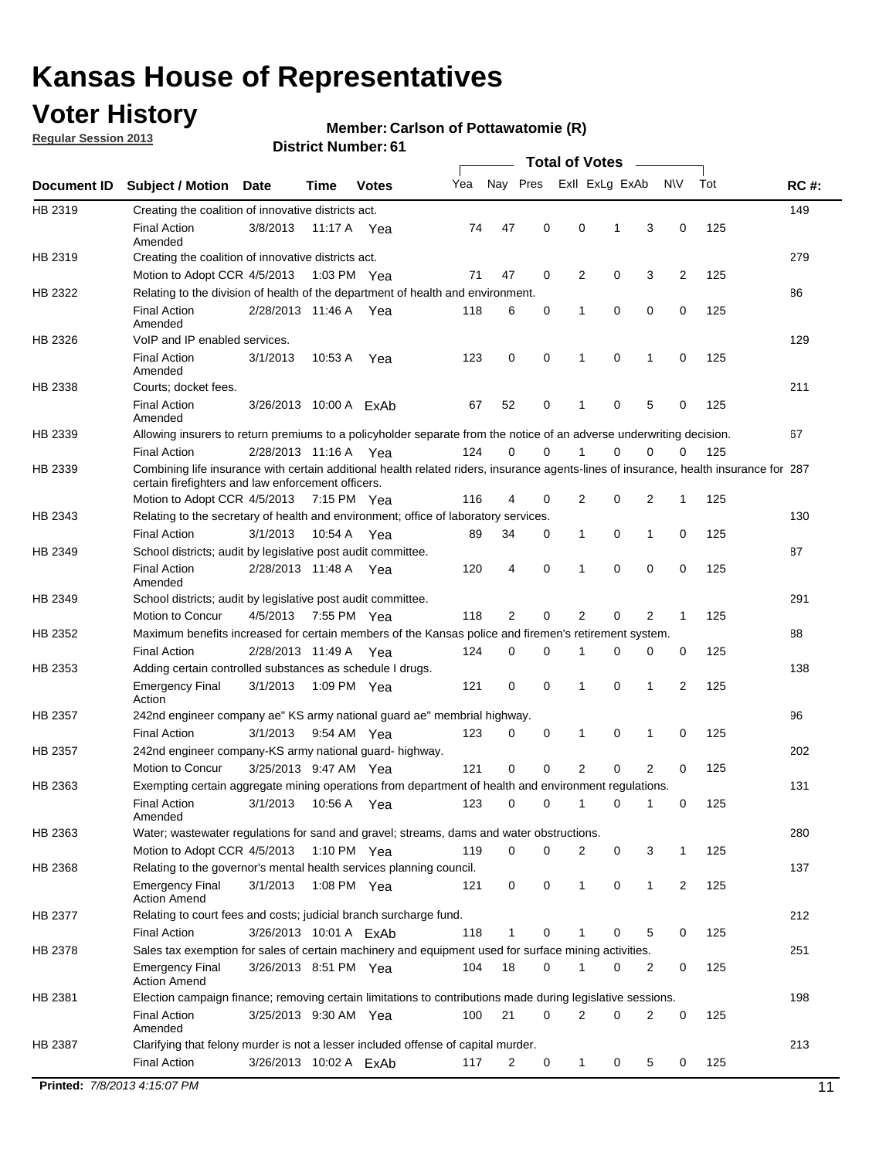## **Voter History**

**Regular Session 2013**

#### **Member: Carlson of Pottawatomie (R)**

| Nay Pres<br>Exll ExLg ExAb<br>Yea<br>N\V<br>Tot<br><b>RC#:</b><br><b>Subject / Motion</b><br><b>Date</b><br>Time<br><b>Votes</b><br>149<br>Creating the coalition of innovative districts act.<br>47<br>0<br>3<br>0<br>125<br><b>Final Action</b><br>3/8/2013<br>74<br>0<br>1<br>11:17 A Yea<br>Amended<br>279<br>Creating the coalition of innovative districts act.<br>47<br>0<br>0<br>3<br>2<br>125<br>Motion to Adopt CCR 4/5/2013<br>71<br>2<br>1:03 PM Yea<br>86<br>Relating to the division of health of the department of health and environment.<br>0<br>0<br>0<br>0<br>125<br><b>Final Action</b><br>2/28/2013 11:46 A Yea<br>118<br>6<br>1<br>Amended<br>VoIP and IP enabled services.<br>129<br>$\mathbf 0$<br>$\mathbf 0$<br>123<br>$\mathbf 0$<br>1<br>0<br>125<br><b>Final Action</b><br>3/1/2013<br>10:53 A<br>1<br>Yea<br>Amended<br>211<br>Courts; docket fees.<br><b>Final Action</b><br>125<br>67<br>52<br>0<br>1<br>0<br>5<br>0<br>3/26/2013 10:00 A ExAb<br>Amended<br>67<br>Allowing insurers to return premiums to a policyholder separate from the notice of an adverse underwriting decision.<br>2/28/2013 11:16 A Yea<br>124<br>0<br>0<br>1<br>0<br>0<br>125<br><b>Final Action</b><br>0<br>Combining life insurance with certain additional health related riders, insurance agents-lines of insurance, health insurance for 287<br>certain firefighters and law enforcement officers.<br>2<br>125<br>Motion to Adopt CCR 4/5/2013 7:15 PM Yea<br>116<br>4<br>0<br>2<br>0<br>1<br>Relating to the secretary of health and environment; office of laboratory services.<br>130<br><b>Final Action</b><br>0<br>0<br>125<br>3/1/2013<br>10:54 A Yea<br>89<br>34<br>0<br>1<br>1<br>87<br>School districts; audit by legislative post audit committee.<br>$\mathbf 0$<br>0<br>$\mathbf 0$<br>$\mathbf 0$<br>125<br><b>Final Action</b><br>2/28/2013 11:48 A Yea<br>120<br>4<br>1<br>Amended<br>291<br>School districts; audit by legislative post audit committee.<br>Motion to Concur<br>4/5/2013<br>7:55 PM Yea<br>118<br>2<br>0<br>2<br>0<br>2<br>125<br>1<br>Maximum benefits increased for certain members of the Kansas police and firemen's retirement system.<br>88<br><b>Final Action</b><br>2/28/2013 11:49 A<br>$\mathbf 0$<br>125<br>124<br>0<br>1<br>0<br>0<br>0<br>Yea<br>138<br>Adding certain controlled substances as schedule I drugs.<br>121<br>0<br>$\mathbf 0$<br>0<br>1<br>2<br>125<br><b>Emergency Final</b><br>3/1/2013<br>1:09 PM Yea<br>1<br>Action<br>96<br>242nd engineer company ae" KS army national guard ae" membrial highway.<br>3/1/2013<br>123<br>0<br>0<br>0<br>125<br><b>Final Action</b><br>9:54 AM Yea<br>0<br>1<br>1<br>202<br>242nd engineer company-KS army national guard-highway.<br>$\mathbf 0$<br>$\mathbf 0$<br>2<br>0<br>$\overline{2}$<br>3/25/2013 9:47 AM Yea<br>121<br>0<br>125<br>Motion to Concur<br>131<br>Exempting certain aggregate mining operations from department of health and environment regulations.<br>3/1/2013<br>10:56 A Yea<br>123<br>125<br><b>Final Action</b><br>0<br>0<br>1<br>0<br>1<br>0<br>Amended<br>280<br>Water; wastewater regulations for sand and gravel; streams, dams and water obstructions.<br>Motion to Adopt CCR 4/5/2013<br>119<br>0<br>0<br>3<br>125<br>1:10 PM Yea<br>2<br>0<br>1<br>Relating to the governor's mental health services planning council.<br>137<br>0<br>0<br><b>Emergency Final</b><br>3/1/2013<br>1:08 PM Yea<br>121<br>0<br>1<br>1<br>2<br>125<br><b>Action Amend</b><br>212<br>Relating to court fees and costs; judicial branch surcharge fund.<br>3/26/2013 10:01 A ExAb<br>118<br>5<br>125<br>Final Action<br>1<br>0<br>0<br>0<br>1<br>Sales tax exemption for sales of certain machinery and equipment used for surface mining activities.<br>251<br>18<br>0<br>1<br>0<br>125<br><b>Emergency Final</b><br>3/26/2013 8:51 PM Yea<br>104<br>0<br>2<br><b>Action Amend</b><br>198<br>Election campaign finance; removing certain limitations to contributions made during legislative sessions.<br><b>Final Action</b><br>21<br>$\mathbf 0$<br>2<br>0<br>2<br>$\mathbf 0$<br>3/25/2013 9:30 AM Yea<br>100<br>125<br>Amended<br>213<br>Clarifying that felony murder is not a lesser included offense of capital murder.<br><b>Final Action</b><br>125<br>3/26/2013 10:02 A ExAb<br>117<br>2<br>0<br>1<br>0<br>5<br>0<br>Printed: 7/8/2013 4:15:07 PM |             |  |  |  | <b>Total of Votes</b> |  |  |  |
|---------------------------------------------------------------------------------------------------------------------------------------------------------------------------------------------------------------------------------------------------------------------------------------------------------------------------------------------------------------------------------------------------------------------------------------------------------------------------------------------------------------------------------------------------------------------------------------------------------------------------------------------------------------------------------------------------------------------------------------------------------------------------------------------------------------------------------------------------------------------------------------------------------------------------------------------------------------------------------------------------------------------------------------------------------------------------------------------------------------------------------------------------------------------------------------------------------------------------------------------------------------------------------------------------------------------------------------------------------------------------------------------------------------------------------------------------------------------------------------------------------------------------------------------------------------------------------------------------------------------------------------------------------------------------------------------------------------------------------------------------------------------------------------------------------------------------------------------------------------------------------------------------------------------------------------------------------------------------------------------------------------------------------------------------------------------------------------------------------------------------------------------------------------------------------------------------------------------------------------------------------------------------------------------------------------------------------------------------------------------------------------------------------------------------------------------------------------------------------------------------------------------------------------------------------------------------------------------------------------------------------------------------------------------------------------------------------------------------------------------------------------------------------------------------------------------------------------------------------------------------------------------------------------------------------------------------------------------------------------------------------------------------------------------------------------------------------------------------------------------------------------------------------------------------------------------------------------------------------------------------------------------------------------------------------------------------------------------------------------------------------------------------------------------------------------------------------------------------------------------------------------------------------------------------------------------------------------------------------------------------------------------------------------------------------------------------------------------------------------------------------------------------------------------------------------------------------------------------------------------------------------------------------------------------------------------------------------------------------------------------------------------------------------------------------------------------------------------------------------------------------------------------------------------------------------------------------------------------------------------------------------------------------------------------------------------------------------------------------------------------------------------|-------------|--|--|--|-----------------------|--|--|--|
|                                                                                                                                                                                                                                                                                                                                                                                                                                                                                                                                                                                                                                                                                                                                                                                                                                                                                                                                                                                                                                                                                                                                                                                                                                                                                                                                                                                                                                                                                                                                                                                                                                                                                                                                                                                                                                                                                                                                                                                                                                                                                                                                                                                                                                                                                                                                                                                                                                                                                                                                                                                                                                                                                                                                                                                                                                                                                                                                                                                                                                                                                                                                                                                                                                                                                                                                                                                                                                                                                                                                                                                                                                                                                                                                                                                                                                                                                                                                                                                                                                                                                                                                                                                                                                                                                                                                                                                             | Document ID |  |  |  |                       |  |  |  |
|                                                                                                                                                                                                                                                                                                                                                                                                                                                                                                                                                                                                                                                                                                                                                                                                                                                                                                                                                                                                                                                                                                                                                                                                                                                                                                                                                                                                                                                                                                                                                                                                                                                                                                                                                                                                                                                                                                                                                                                                                                                                                                                                                                                                                                                                                                                                                                                                                                                                                                                                                                                                                                                                                                                                                                                                                                                                                                                                                                                                                                                                                                                                                                                                                                                                                                                                                                                                                                                                                                                                                                                                                                                                                                                                                                                                                                                                                                                                                                                                                                                                                                                                                                                                                                                                                                                                                                                             | HB 2319     |  |  |  |                       |  |  |  |
|                                                                                                                                                                                                                                                                                                                                                                                                                                                                                                                                                                                                                                                                                                                                                                                                                                                                                                                                                                                                                                                                                                                                                                                                                                                                                                                                                                                                                                                                                                                                                                                                                                                                                                                                                                                                                                                                                                                                                                                                                                                                                                                                                                                                                                                                                                                                                                                                                                                                                                                                                                                                                                                                                                                                                                                                                                                                                                                                                                                                                                                                                                                                                                                                                                                                                                                                                                                                                                                                                                                                                                                                                                                                                                                                                                                                                                                                                                                                                                                                                                                                                                                                                                                                                                                                                                                                                                                             |             |  |  |  |                       |  |  |  |
|                                                                                                                                                                                                                                                                                                                                                                                                                                                                                                                                                                                                                                                                                                                                                                                                                                                                                                                                                                                                                                                                                                                                                                                                                                                                                                                                                                                                                                                                                                                                                                                                                                                                                                                                                                                                                                                                                                                                                                                                                                                                                                                                                                                                                                                                                                                                                                                                                                                                                                                                                                                                                                                                                                                                                                                                                                                                                                                                                                                                                                                                                                                                                                                                                                                                                                                                                                                                                                                                                                                                                                                                                                                                                                                                                                                                                                                                                                                                                                                                                                                                                                                                                                                                                                                                                                                                                                                             | HB 2319     |  |  |  |                       |  |  |  |
|                                                                                                                                                                                                                                                                                                                                                                                                                                                                                                                                                                                                                                                                                                                                                                                                                                                                                                                                                                                                                                                                                                                                                                                                                                                                                                                                                                                                                                                                                                                                                                                                                                                                                                                                                                                                                                                                                                                                                                                                                                                                                                                                                                                                                                                                                                                                                                                                                                                                                                                                                                                                                                                                                                                                                                                                                                                                                                                                                                                                                                                                                                                                                                                                                                                                                                                                                                                                                                                                                                                                                                                                                                                                                                                                                                                                                                                                                                                                                                                                                                                                                                                                                                                                                                                                                                                                                                                             |             |  |  |  |                       |  |  |  |
|                                                                                                                                                                                                                                                                                                                                                                                                                                                                                                                                                                                                                                                                                                                                                                                                                                                                                                                                                                                                                                                                                                                                                                                                                                                                                                                                                                                                                                                                                                                                                                                                                                                                                                                                                                                                                                                                                                                                                                                                                                                                                                                                                                                                                                                                                                                                                                                                                                                                                                                                                                                                                                                                                                                                                                                                                                                                                                                                                                                                                                                                                                                                                                                                                                                                                                                                                                                                                                                                                                                                                                                                                                                                                                                                                                                                                                                                                                                                                                                                                                                                                                                                                                                                                                                                                                                                                                                             | HB 2322     |  |  |  |                       |  |  |  |
|                                                                                                                                                                                                                                                                                                                                                                                                                                                                                                                                                                                                                                                                                                                                                                                                                                                                                                                                                                                                                                                                                                                                                                                                                                                                                                                                                                                                                                                                                                                                                                                                                                                                                                                                                                                                                                                                                                                                                                                                                                                                                                                                                                                                                                                                                                                                                                                                                                                                                                                                                                                                                                                                                                                                                                                                                                                                                                                                                                                                                                                                                                                                                                                                                                                                                                                                                                                                                                                                                                                                                                                                                                                                                                                                                                                                                                                                                                                                                                                                                                                                                                                                                                                                                                                                                                                                                                                             |             |  |  |  |                       |  |  |  |
|                                                                                                                                                                                                                                                                                                                                                                                                                                                                                                                                                                                                                                                                                                                                                                                                                                                                                                                                                                                                                                                                                                                                                                                                                                                                                                                                                                                                                                                                                                                                                                                                                                                                                                                                                                                                                                                                                                                                                                                                                                                                                                                                                                                                                                                                                                                                                                                                                                                                                                                                                                                                                                                                                                                                                                                                                                                                                                                                                                                                                                                                                                                                                                                                                                                                                                                                                                                                                                                                                                                                                                                                                                                                                                                                                                                                                                                                                                                                                                                                                                                                                                                                                                                                                                                                                                                                                                                             | HB 2326     |  |  |  |                       |  |  |  |
|                                                                                                                                                                                                                                                                                                                                                                                                                                                                                                                                                                                                                                                                                                                                                                                                                                                                                                                                                                                                                                                                                                                                                                                                                                                                                                                                                                                                                                                                                                                                                                                                                                                                                                                                                                                                                                                                                                                                                                                                                                                                                                                                                                                                                                                                                                                                                                                                                                                                                                                                                                                                                                                                                                                                                                                                                                                                                                                                                                                                                                                                                                                                                                                                                                                                                                                                                                                                                                                                                                                                                                                                                                                                                                                                                                                                                                                                                                                                                                                                                                                                                                                                                                                                                                                                                                                                                                                             |             |  |  |  |                       |  |  |  |
|                                                                                                                                                                                                                                                                                                                                                                                                                                                                                                                                                                                                                                                                                                                                                                                                                                                                                                                                                                                                                                                                                                                                                                                                                                                                                                                                                                                                                                                                                                                                                                                                                                                                                                                                                                                                                                                                                                                                                                                                                                                                                                                                                                                                                                                                                                                                                                                                                                                                                                                                                                                                                                                                                                                                                                                                                                                                                                                                                                                                                                                                                                                                                                                                                                                                                                                                                                                                                                                                                                                                                                                                                                                                                                                                                                                                                                                                                                                                                                                                                                                                                                                                                                                                                                                                                                                                                                                             | HB 2338     |  |  |  |                       |  |  |  |
|                                                                                                                                                                                                                                                                                                                                                                                                                                                                                                                                                                                                                                                                                                                                                                                                                                                                                                                                                                                                                                                                                                                                                                                                                                                                                                                                                                                                                                                                                                                                                                                                                                                                                                                                                                                                                                                                                                                                                                                                                                                                                                                                                                                                                                                                                                                                                                                                                                                                                                                                                                                                                                                                                                                                                                                                                                                                                                                                                                                                                                                                                                                                                                                                                                                                                                                                                                                                                                                                                                                                                                                                                                                                                                                                                                                                                                                                                                                                                                                                                                                                                                                                                                                                                                                                                                                                                                                             |             |  |  |  |                       |  |  |  |
| 11                                                                                                                                                                                                                                                                                                                                                                                                                                                                                                                                                                                                                                                                                                                                                                                                                                                                                                                                                                                                                                                                                                                                                                                                                                                                                                                                                                                                                                                                                                                                                                                                                                                                                                                                                                                                                                                                                                                                                                                                                                                                                                                                                                                                                                                                                                                                                                                                                                                                                                                                                                                                                                                                                                                                                                                                                                                                                                                                                                                                                                                                                                                                                                                                                                                                                                                                                                                                                                                                                                                                                                                                                                                                                                                                                                                                                                                                                                                                                                                                                                                                                                                                                                                                                                                                                                                                                                                          | HB 2339     |  |  |  |                       |  |  |  |
|                                                                                                                                                                                                                                                                                                                                                                                                                                                                                                                                                                                                                                                                                                                                                                                                                                                                                                                                                                                                                                                                                                                                                                                                                                                                                                                                                                                                                                                                                                                                                                                                                                                                                                                                                                                                                                                                                                                                                                                                                                                                                                                                                                                                                                                                                                                                                                                                                                                                                                                                                                                                                                                                                                                                                                                                                                                                                                                                                                                                                                                                                                                                                                                                                                                                                                                                                                                                                                                                                                                                                                                                                                                                                                                                                                                                                                                                                                                                                                                                                                                                                                                                                                                                                                                                                                                                                                                             |             |  |  |  |                       |  |  |  |
|                                                                                                                                                                                                                                                                                                                                                                                                                                                                                                                                                                                                                                                                                                                                                                                                                                                                                                                                                                                                                                                                                                                                                                                                                                                                                                                                                                                                                                                                                                                                                                                                                                                                                                                                                                                                                                                                                                                                                                                                                                                                                                                                                                                                                                                                                                                                                                                                                                                                                                                                                                                                                                                                                                                                                                                                                                                                                                                                                                                                                                                                                                                                                                                                                                                                                                                                                                                                                                                                                                                                                                                                                                                                                                                                                                                                                                                                                                                                                                                                                                                                                                                                                                                                                                                                                                                                                                                             | HB 2339     |  |  |  |                       |  |  |  |
|                                                                                                                                                                                                                                                                                                                                                                                                                                                                                                                                                                                                                                                                                                                                                                                                                                                                                                                                                                                                                                                                                                                                                                                                                                                                                                                                                                                                                                                                                                                                                                                                                                                                                                                                                                                                                                                                                                                                                                                                                                                                                                                                                                                                                                                                                                                                                                                                                                                                                                                                                                                                                                                                                                                                                                                                                                                                                                                                                                                                                                                                                                                                                                                                                                                                                                                                                                                                                                                                                                                                                                                                                                                                                                                                                                                                                                                                                                                                                                                                                                                                                                                                                                                                                                                                                                                                                                                             |             |  |  |  |                       |  |  |  |
|                                                                                                                                                                                                                                                                                                                                                                                                                                                                                                                                                                                                                                                                                                                                                                                                                                                                                                                                                                                                                                                                                                                                                                                                                                                                                                                                                                                                                                                                                                                                                                                                                                                                                                                                                                                                                                                                                                                                                                                                                                                                                                                                                                                                                                                                                                                                                                                                                                                                                                                                                                                                                                                                                                                                                                                                                                                                                                                                                                                                                                                                                                                                                                                                                                                                                                                                                                                                                                                                                                                                                                                                                                                                                                                                                                                                                                                                                                                                                                                                                                                                                                                                                                                                                                                                                                                                                                                             | HB 2343     |  |  |  |                       |  |  |  |
|                                                                                                                                                                                                                                                                                                                                                                                                                                                                                                                                                                                                                                                                                                                                                                                                                                                                                                                                                                                                                                                                                                                                                                                                                                                                                                                                                                                                                                                                                                                                                                                                                                                                                                                                                                                                                                                                                                                                                                                                                                                                                                                                                                                                                                                                                                                                                                                                                                                                                                                                                                                                                                                                                                                                                                                                                                                                                                                                                                                                                                                                                                                                                                                                                                                                                                                                                                                                                                                                                                                                                                                                                                                                                                                                                                                                                                                                                                                                                                                                                                                                                                                                                                                                                                                                                                                                                                                             |             |  |  |  |                       |  |  |  |
|                                                                                                                                                                                                                                                                                                                                                                                                                                                                                                                                                                                                                                                                                                                                                                                                                                                                                                                                                                                                                                                                                                                                                                                                                                                                                                                                                                                                                                                                                                                                                                                                                                                                                                                                                                                                                                                                                                                                                                                                                                                                                                                                                                                                                                                                                                                                                                                                                                                                                                                                                                                                                                                                                                                                                                                                                                                                                                                                                                                                                                                                                                                                                                                                                                                                                                                                                                                                                                                                                                                                                                                                                                                                                                                                                                                                                                                                                                                                                                                                                                                                                                                                                                                                                                                                                                                                                                                             | HB 2349     |  |  |  |                       |  |  |  |
|                                                                                                                                                                                                                                                                                                                                                                                                                                                                                                                                                                                                                                                                                                                                                                                                                                                                                                                                                                                                                                                                                                                                                                                                                                                                                                                                                                                                                                                                                                                                                                                                                                                                                                                                                                                                                                                                                                                                                                                                                                                                                                                                                                                                                                                                                                                                                                                                                                                                                                                                                                                                                                                                                                                                                                                                                                                                                                                                                                                                                                                                                                                                                                                                                                                                                                                                                                                                                                                                                                                                                                                                                                                                                                                                                                                                                                                                                                                                                                                                                                                                                                                                                                                                                                                                                                                                                                                             |             |  |  |  |                       |  |  |  |
|                                                                                                                                                                                                                                                                                                                                                                                                                                                                                                                                                                                                                                                                                                                                                                                                                                                                                                                                                                                                                                                                                                                                                                                                                                                                                                                                                                                                                                                                                                                                                                                                                                                                                                                                                                                                                                                                                                                                                                                                                                                                                                                                                                                                                                                                                                                                                                                                                                                                                                                                                                                                                                                                                                                                                                                                                                                                                                                                                                                                                                                                                                                                                                                                                                                                                                                                                                                                                                                                                                                                                                                                                                                                                                                                                                                                                                                                                                                                                                                                                                                                                                                                                                                                                                                                                                                                                                                             | HB 2349     |  |  |  |                       |  |  |  |
|                                                                                                                                                                                                                                                                                                                                                                                                                                                                                                                                                                                                                                                                                                                                                                                                                                                                                                                                                                                                                                                                                                                                                                                                                                                                                                                                                                                                                                                                                                                                                                                                                                                                                                                                                                                                                                                                                                                                                                                                                                                                                                                                                                                                                                                                                                                                                                                                                                                                                                                                                                                                                                                                                                                                                                                                                                                                                                                                                                                                                                                                                                                                                                                                                                                                                                                                                                                                                                                                                                                                                                                                                                                                                                                                                                                                                                                                                                                                                                                                                                                                                                                                                                                                                                                                                                                                                                                             |             |  |  |  |                       |  |  |  |
|                                                                                                                                                                                                                                                                                                                                                                                                                                                                                                                                                                                                                                                                                                                                                                                                                                                                                                                                                                                                                                                                                                                                                                                                                                                                                                                                                                                                                                                                                                                                                                                                                                                                                                                                                                                                                                                                                                                                                                                                                                                                                                                                                                                                                                                                                                                                                                                                                                                                                                                                                                                                                                                                                                                                                                                                                                                                                                                                                                                                                                                                                                                                                                                                                                                                                                                                                                                                                                                                                                                                                                                                                                                                                                                                                                                                                                                                                                                                                                                                                                                                                                                                                                                                                                                                                                                                                                                             | HB 2352     |  |  |  |                       |  |  |  |
|                                                                                                                                                                                                                                                                                                                                                                                                                                                                                                                                                                                                                                                                                                                                                                                                                                                                                                                                                                                                                                                                                                                                                                                                                                                                                                                                                                                                                                                                                                                                                                                                                                                                                                                                                                                                                                                                                                                                                                                                                                                                                                                                                                                                                                                                                                                                                                                                                                                                                                                                                                                                                                                                                                                                                                                                                                                                                                                                                                                                                                                                                                                                                                                                                                                                                                                                                                                                                                                                                                                                                                                                                                                                                                                                                                                                                                                                                                                                                                                                                                                                                                                                                                                                                                                                                                                                                                                             |             |  |  |  |                       |  |  |  |
|                                                                                                                                                                                                                                                                                                                                                                                                                                                                                                                                                                                                                                                                                                                                                                                                                                                                                                                                                                                                                                                                                                                                                                                                                                                                                                                                                                                                                                                                                                                                                                                                                                                                                                                                                                                                                                                                                                                                                                                                                                                                                                                                                                                                                                                                                                                                                                                                                                                                                                                                                                                                                                                                                                                                                                                                                                                                                                                                                                                                                                                                                                                                                                                                                                                                                                                                                                                                                                                                                                                                                                                                                                                                                                                                                                                                                                                                                                                                                                                                                                                                                                                                                                                                                                                                                                                                                                                             | HB 2353     |  |  |  |                       |  |  |  |
|                                                                                                                                                                                                                                                                                                                                                                                                                                                                                                                                                                                                                                                                                                                                                                                                                                                                                                                                                                                                                                                                                                                                                                                                                                                                                                                                                                                                                                                                                                                                                                                                                                                                                                                                                                                                                                                                                                                                                                                                                                                                                                                                                                                                                                                                                                                                                                                                                                                                                                                                                                                                                                                                                                                                                                                                                                                                                                                                                                                                                                                                                                                                                                                                                                                                                                                                                                                                                                                                                                                                                                                                                                                                                                                                                                                                                                                                                                                                                                                                                                                                                                                                                                                                                                                                                                                                                                                             |             |  |  |  |                       |  |  |  |
|                                                                                                                                                                                                                                                                                                                                                                                                                                                                                                                                                                                                                                                                                                                                                                                                                                                                                                                                                                                                                                                                                                                                                                                                                                                                                                                                                                                                                                                                                                                                                                                                                                                                                                                                                                                                                                                                                                                                                                                                                                                                                                                                                                                                                                                                                                                                                                                                                                                                                                                                                                                                                                                                                                                                                                                                                                                                                                                                                                                                                                                                                                                                                                                                                                                                                                                                                                                                                                                                                                                                                                                                                                                                                                                                                                                                                                                                                                                                                                                                                                                                                                                                                                                                                                                                                                                                                                                             | HB 2357     |  |  |  |                       |  |  |  |
|                                                                                                                                                                                                                                                                                                                                                                                                                                                                                                                                                                                                                                                                                                                                                                                                                                                                                                                                                                                                                                                                                                                                                                                                                                                                                                                                                                                                                                                                                                                                                                                                                                                                                                                                                                                                                                                                                                                                                                                                                                                                                                                                                                                                                                                                                                                                                                                                                                                                                                                                                                                                                                                                                                                                                                                                                                                                                                                                                                                                                                                                                                                                                                                                                                                                                                                                                                                                                                                                                                                                                                                                                                                                                                                                                                                                                                                                                                                                                                                                                                                                                                                                                                                                                                                                                                                                                                                             |             |  |  |  |                       |  |  |  |
|                                                                                                                                                                                                                                                                                                                                                                                                                                                                                                                                                                                                                                                                                                                                                                                                                                                                                                                                                                                                                                                                                                                                                                                                                                                                                                                                                                                                                                                                                                                                                                                                                                                                                                                                                                                                                                                                                                                                                                                                                                                                                                                                                                                                                                                                                                                                                                                                                                                                                                                                                                                                                                                                                                                                                                                                                                                                                                                                                                                                                                                                                                                                                                                                                                                                                                                                                                                                                                                                                                                                                                                                                                                                                                                                                                                                                                                                                                                                                                                                                                                                                                                                                                                                                                                                                                                                                                                             | HB 2357     |  |  |  |                       |  |  |  |
|                                                                                                                                                                                                                                                                                                                                                                                                                                                                                                                                                                                                                                                                                                                                                                                                                                                                                                                                                                                                                                                                                                                                                                                                                                                                                                                                                                                                                                                                                                                                                                                                                                                                                                                                                                                                                                                                                                                                                                                                                                                                                                                                                                                                                                                                                                                                                                                                                                                                                                                                                                                                                                                                                                                                                                                                                                                                                                                                                                                                                                                                                                                                                                                                                                                                                                                                                                                                                                                                                                                                                                                                                                                                                                                                                                                                                                                                                                                                                                                                                                                                                                                                                                                                                                                                                                                                                                                             |             |  |  |  |                       |  |  |  |
|                                                                                                                                                                                                                                                                                                                                                                                                                                                                                                                                                                                                                                                                                                                                                                                                                                                                                                                                                                                                                                                                                                                                                                                                                                                                                                                                                                                                                                                                                                                                                                                                                                                                                                                                                                                                                                                                                                                                                                                                                                                                                                                                                                                                                                                                                                                                                                                                                                                                                                                                                                                                                                                                                                                                                                                                                                                                                                                                                                                                                                                                                                                                                                                                                                                                                                                                                                                                                                                                                                                                                                                                                                                                                                                                                                                                                                                                                                                                                                                                                                                                                                                                                                                                                                                                                                                                                                                             | HB 2363     |  |  |  |                       |  |  |  |
|                                                                                                                                                                                                                                                                                                                                                                                                                                                                                                                                                                                                                                                                                                                                                                                                                                                                                                                                                                                                                                                                                                                                                                                                                                                                                                                                                                                                                                                                                                                                                                                                                                                                                                                                                                                                                                                                                                                                                                                                                                                                                                                                                                                                                                                                                                                                                                                                                                                                                                                                                                                                                                                                                                                                                                                                                                                                                                                                                                                                                                                                                                                                                                                                                                                                                                                                                                                                                                                                                                                                                                                                                                                                                                                                                                                                                                                                                                                                                                                                                                                                                                                                                                                                                                                                                                                                                                                             |             |  |  |  |                       |  |  |  |
|                                                                                                                                                                                                                                                                                                                                                                                                                                                                                                                                                                                                                                                                                                                                                                                                                                                                                                                                                                                                                                                                                                                                                                                                                                                                                                                                                                                                                                                                                                                                                                                                                                                                                                                                                                                                                                                                                                                                                                                                                                                                                                                                                                                                                                                                                                                                                                                                                                                                                                                                                                                                                                                                                                                                                                                                                                                                                                                                                                                                                                                                                                                                                                                                                                                                                                                                                                                                                                                                                                                                                                                                                                                                                                                                                                                                                                                                                                                                                                                                                                                                                                                                                                                                                                                                                                                                                                                             | HB 2363     |  |  |  |                       |  |  |  |
|                                                                                                                                                                                                                                                                                                                                                                                                                                                                                                                                                                                                                                                                                                                                                                                                                                                                                                                                                                                                                                                                                                                                                                                                                                                                                                                                                                                                                                                                                                                                                                                                                                                                                                                                                                                                                                                                                                                                                                                                                                                                                                                                                                                                                                                                                                                                                                                                                                                                                                                                                                                                                                                                                                                                                                                                                                                                                                                                                                                                                                                                                                                                                                                                                                                                                                                                                                                                                                                                                                                                                                                                                                                                                                                                                                                                                                                                                                                                                                                                                                                                                                                                                                                                                                                                                                                                                                                             |             |  |  |  |                       |  |  |  |
|                                                                                                                                                                                                                                                                                                                                                                                                                                                                                                                                                                                                                                                                                                                                                                                                                                                                                                                                                                                                                                                                                                                                                                                                                                                                                                                                                                                                                                                                                                                                                                                                                                                                                                                                                                                                                                                                                                                                                                                                                                                                                                                                                                                                                                                                                                                                                                                                                                                                                                                                                                                                                                                                                                                                                                                                                                                                                                                                                                                                                                                                                                                                                                                                                                                                                                                                                                                                                                                                                                                                                                                                                                                                                                                                                                                                                                                                                                                                                                                                                                                                                                                                                                                                                                                                                                                                                                                             | HB 2368     |  |  |  |                       |  |  |  |
|                                                                                                                                                                                                                                                                                                                                                                                                                                                                                                                                                                                                                                                                                                                                                                                                                                                                                                                                                                                                                                                                                                                                                                                                                                                                                                                                                                                                                                                                                                                                                                                                                                                                                                                                                                                                                                                                                                                                                                                                                                                                                                                                                                                                                                                                                                                                                                                                                                                                                                                                                                                                                                                                                                                                                                                                                                                                                                                                                                                                                                                                                                                                                                                                                                                                                                                                                                                                                                                                                                                                                                                                                                                                                                                                                                                                                                                                                                                                                                                                                                                                                                                                                                                                                                                                                                                                                                                             |             |  |  |  |                       |  |  |  |
|                                                                                                                                                                                                                                                                                                                                                                                                                                                                                                                                                                                                                                                                                                                                                                                                                                                                                                                                                                                                                                                                                                                                                                                                                                                                                                                                                                                                                                                                                                                                                                                                                                                                                                                                                                                                                                                                                                                                                                                                                                                                                                                                                                                                                                                                                                                                                                                                                                                                                                                                                                                                                                                                                                                                                                                                                                                                                                                                                                                                                                                                                                                                                                                                                                                                                                                                                                                                                                                                                                                                                                                                                                                                                                                                                                                                                                                                                                                                                                                                                                                                                                                                                                                                                                                                                                                                                                                             | HB 2377     |  |  |  |                       |  |  |  |
|                                                                                                                                                                                                                                                                                                                                                                                                                                                                                                                                                                                                                                                                                                                                                                                                                                                                                                                                                                                                                                                                                                                                                                                                                                                                                                                                                                                                                                                                                                                                                                                                                                                                                                                                                                                                                                                                                                                                                                                                                                                                                                                                                                                                                                                                                                                                                                                                                                                                                                                                                                                                                                                                                                                                                                                                                                                                                                                                                                                                                                                                                                                                                                                                                                                                                                                                                                                                                                                                                                                                                                                                                                                                                                                                                                                                                                                                                                                                                                                                                                                                                                                                                                                                                                                                                                                                                                                             |             |  |  |  |                       |  |  |  |
|                                                                                                                                                                                                                                                                                                                                                                                                                                                                                                                                                                                                                                                                                                                                                                                                                                                                                                                                                                                                                                                                                                                                                                                                                                                                                                                                                                                                                                                                                                                                                                                                                                                                                                                                                                                                                                                                                                                                                                                                                                                                                                                                                                                                                                                                                                                                                                                                                                                                                                                                                                                                                                                                                                                                                                                                                                                                                                                                                                                                                                                                                                                                                                                                                                                                                                                                                                                                                                                                                                                                                                                                                                                                                                                                                                                                                                                                                                                                                                                                                                                                                                                                                                                                                                                                                                                                                                                             | HB 2378     |  |  |  |                       |  |  |  |
|                                                                                                                                                                                                                                                                                                                                                                                                                                                                                                                                                                                                                                                                                                                                                                                                                                                                                                                                                                                                                                                                                                                                                                                                                                                                                                                                                                                                                                                                                                                                                                                                                                                                                                                                                                                                                                                                                                                                                                                                                                                                                                                                                                                                                                                                                                                                                                                                                                                                                                                                                                                                                                                                                                                                                                                                                                                                                                                                                                                                                                                                                                                                                                                                                                                                                                                                                                                                                                                                                                                                                                                                                                                                                                                                                                                                                                                                                                                                                                                                                                                                                                                                                                                                                                                                                                                                                                                             |             |  |  |  |                       |  |  |  |
|                                                                                                                                                                                                                                                                                                                                                                                                                                                                                                                                                                                                                                                                                                                                                                                                                                                                                                                                                                                                                                                                                                                                                                                                                                                                                                                                                                                                                                                                                                                                                                                                                                                                                                                                                                                                                                                                                                                                                                                                                                                                                                                                                                                                                                                                                                                                                                                                                                                                                                                                                                                                                                                                                                                                                                                                                                                                                                                                                                                                                                                                                                                                                                                                                                                                                                                                                                                                                                                                                                                                                                                                                                                                                                                                                                                                                                                                                                                                                                                                                                                                                                                                                                                                                                                                                                                                                                                             | HB 2381     |  |  |  |                       |  |  |  |
|                                                                                                                                                                                                                                                                                                                                                                                                                                                                                                                                                                                                                                                                                                                                                                                                                                                                                                                                                                                                                                                                                                                                                                                                                                                                                                                                                                                                                                                                                                                                                                                                                                                                                                                                                                                                                                                                                                                                                                                                                                                                                                                                                                                                                                                                                                                                                                                                                                                                                                                                                                                                                                                                                                                                                                                                                                                                                                                                                                                                                                                                                                                                                                                                                                                                                                                                                                                                                                                                                                                                                                                                                                                                                                                                                                                                                                                                                                                                                                                                                                                                                                                                                                                                                                                                                                                                                                                             |             |  |  |  |                       |  |  |  |
|                                                                                                                                                                                                                                                                                                                                                                                                                                                                                                                                                                                                                                                                                                                                                                                                                                                                                                                                                                                                                                                                                                                                                                                                                                                                                                                                                                                                                                                                                                                                                                                                                                                                                                                                                                                                                                                                                                                                                                                                                                                                                                                                                                                                                                                                                                                                                                                                                                                                                                                                                                                                                                                                                                                                                                                                                                                                                                                                                                                                                                                                                                                                                                                                                                                                                                                                                                                                                                                                                                                                                                                                                                                                                                                                                                                                                                                                                                                                                                                                                                                                                                                                                                                                                                                                                                                                                                                             | HB 2387     |  |  |  |                       |  |  |  |
|                                                                                                                                                                                                                                                                                                                                                                                                                                                                                                                                                                                                                                                                                                                                                                                                                                                                                                                                                                                                                                                                                                                                                                                                                                                                                                                                                                                                                                                                                                                                                                                                                                                                                                                                                                                                                                                                                                                                                                                                                                                                                                                                                                                                                                                                                                                                                                                                                                                                                                                                                                                                                                                                                                                                                                                                                                                                                                                                                                                                                                                                                                                                                                                                                                                                                                                                                                                                                                                                                                                                                                                                                                                                                                                                                                                                                                                                                                                                                                                                                                                                                                                                                                                                                                                                                                                                                                                             |             |  |  |  |                       |  |  |  |
|                                                                                                                                                                                                                                                                                                                                                                                                                                                                                                                                                                                                                                                                                                                                                                                                                                                                                                                                                                                                                                                                                                                                                                                                                                                                                                                                                                                                                                                                                                                                                                                                                                                                                                                                                                                                                                                                                                                                                                                                                                                                                                                                                                                                                                                                                                                                                                                                                                                                                                                                                                                                                                                                                                                                                                                                                                                                                                                                                                                                                                                                                                                                                                                                                                                                                                                                                                                                                                                                                                                                                                                                                                                                                                                                                                                                                                                                                                                                                                                                                                                                                                                                                                                                                                                                                                                                                                                             |             |  |  |  |                       |  |  |  |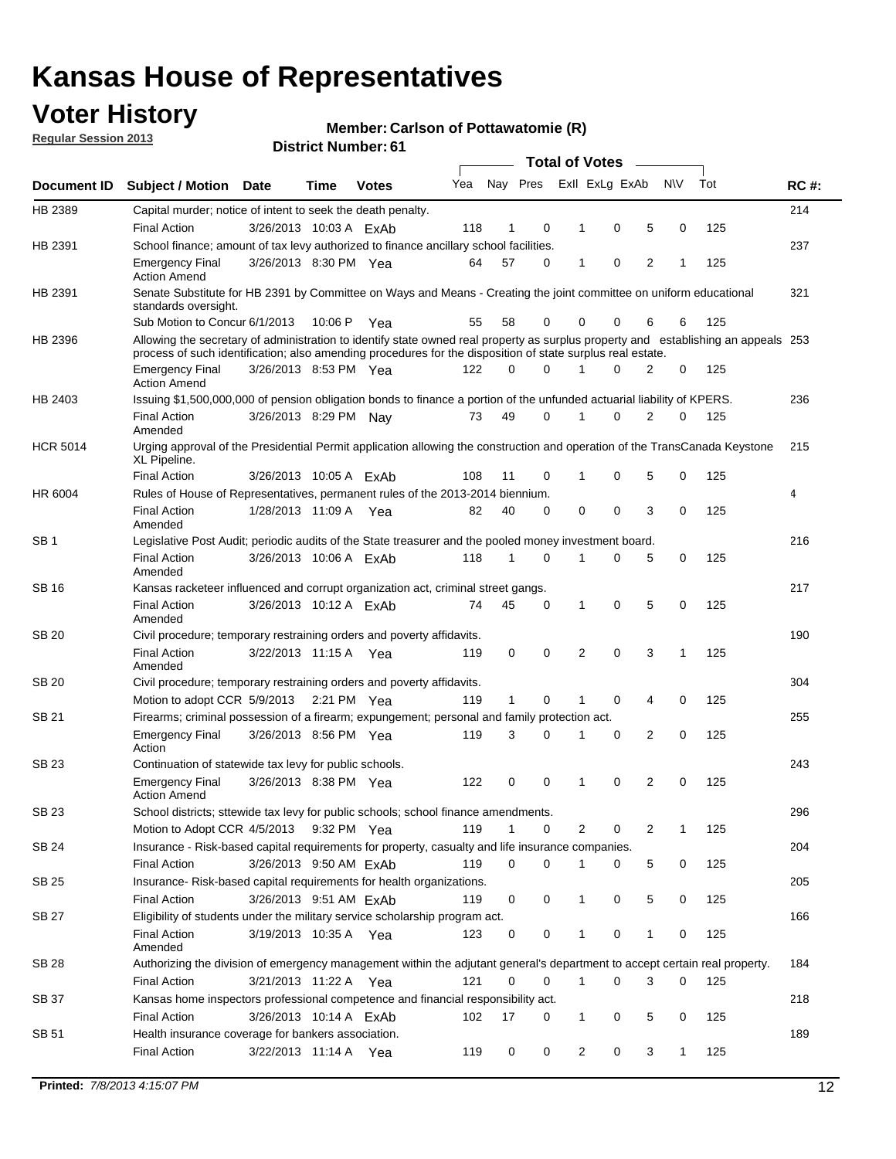## **Voter History**

**Member: Carlson of Pottawatomie (R)** 

**Regular Session 2013**

| Document ID     |                                                                                                                                                                                                                                                                           |                                                                                                                                                                             |             |              |     | <b>Total of Votes</b> |          |                |   |   |              |     |             |  |  |  |  |  |  |  |
|-----------------|---------------------------------------------------------------------------------------------------------------------------------------------------------------------------------------------------------------------------------------------------------------------------|-----------------------------------------------------------------------------------------------------------------------------------------------------------------------------|-------------|--------------|-----|-----------------------|----------|----------------|---|---|--------------|-----|-------------|--|--|--|--|--|--|--|
|                 | Subject / Motion Date                                                                                                                                                                                                                                                     |                                                                                                                                                                             | Time        | <b>Votes</b> | Yea | Nay Pres              |          | Exll ExLg ExAb |   |   | <b>NV</b>    | Tot | <b>RC#:</b> |  |  |  |  |  |  |  |
| HB 2389         | Capital murder; notice of intent to seek the death penalty.                                                                                                                                                                                                               |                                                                                                                                                                             |             |              |     |                       |          |                |   |   |              |     | 214         |  |  |  |  |  |  |  |
|                 | <b>Final Action</b>                                                                                                                                                                                                                                                       | 3/26/2013 10:03 A ExAb                                                                                                                                                      |             |              | 118 | 1                     | 0        | 1              | 0 | 5 | 0            | 125 |             |  |  |  |  |  |  |  |
| HB 2391         | School finance; amount of tax levy authorized to finance ancillary school facilities.                                                                                                                                                                                     |                                                                                                                                                                             |             |              |     |                       |          |                |   |   |              |     | 237         |  |  |  |  |  |  |  |
|                 | <b>Emergency Final</b><br><b>Action Amend</b>                                                                                                                                                                                                                             | 3/26/2013 8:30 PM Yea                                                                                                                                                       |             |              | 64  | 57                    | 0        | 1              | 0 | 2 | 1            | 125 |             |  |  |  |  |  |  |  |
| HB 2391         |                                                                                                                                                                                                                                                                           | Senate Substitute for HB 2391 by Committee on Ways and Means - Creating the joint committee on uniform educational<br>standards oversight.<br>Sub Motion to Concur 6/1/2013 |             |              |     |                       |          |                |   |   |              |     |             |  |  |  |  |  |  |  |
|                 |                                                                                                                                                                                                                                                                           |                                                                                                                                                                             | 10:06 P     | Yea          | 55  | 58                    | 0        | 0              | 0 | 6 | 6            | 125 |             |  |  |  |  |  |  |  |
| HB 2396         | Allowing the secretary of administration to identify state owned real property as surplus property and establishing an appeals 253<br>process of such identification; also amending procedures for the disposition of state surplus real estate.<br>3/26/2013 8:53 PM Yea |                                                                                                                                                                             |             |              |     |                       |          |                |   |   |              |     |             |  |  |  |  |  |  |  |
|                 | <b>Emergency Final</b><br>Action Amend                                                                                                                                                                                                                                    |                                                                                                                                                                             |             |              | 122 | 0                     | 0        |                | 0 | 2 | 0            | 125 |             |  |  |  |  |  |  |  |
| HB 2403         | Issuing \$1,500,000,000 of pension obligation bonds to finance a portion of the unfunded actuarial liability of KPERS.                                                                                                                                                    |                                                                                                                                                                             |             |              |     |                       |          |                |   |   |              |     | 236         |  |  |  |  |  |  |  |
|                 | <b>Final Action</b><br>Amended                                                                                                                                                                                                                                            | 3/26/2013 8:29 PM Nay                                                                                                                                                       |             |              | 73  | 49                    | 0        | 1              | 0 | 2 | 0            | 125 |             |  |  |  |  |  |  |  |
| <b>HCR 5014</b> | Urging approval of the Presidential Permit application allowing the construction and operation of the TransCanada Keystone<br>XL Pipeline.                                                                                                                                |                                                                                                                                                                             |             |              |     |                       |          |                |   |   |              |     | 215         |  |  |  |  |  |  |  |
|                 | <b>Final Action</b>                                                                                                                                                                                                                                                       | 3/26/2013 10:05 A ExAb                                                                                                                                                      |             |              | 108 | 11                    | 0        |                | 0 | 5 | 0            | 125 |             |  |  |  |  |  |  |  |
| HR 6004         | Rules of House of Representatives, permanent rules of the 2013-2014 biennium.                                                                                                                                                                                             |                                                                                                                                                                             |             |              |     |                       |          |                |   |   |              |     | 4           |  |  |  |  |  |  |  |
|                 | <b>Final Action</b><br>Amended                                                                                                                                                                                                                                            | 1/28/2013 11:09 A                                                                                                                                                           |             | Yea          | 82  | 40                    | 0        | 0              | 0 | 3 | 0            | 125 |             |  |  |  |  |  |  |  |
| SB 1            | Legislative Post Audit; periodic audits of the State treasurer and the pooled money investment board.                                                                                                                                                                     |                                                                                                                                                                             |             |              |     |                       |          |                |   |   |              |     | 216         |  |  |  |  |  |  |  |
|                 | <b>Final Action</b><br>Amended                                                                                                                                                                                                                                            | 3/26/2013 10:06 A FxAb                                                                                                                                                      |             |              | 118 | 1                     | 0        | 1              | 0 | 5 | 0            | 125 |             |  |  |  |  |  |  |  |
| SB 16           | Kansas racketeer influenced and corrupt organization act, criminal street gangs.                                                                                                                                                                                          |                                                                                                                                                                             |             |              |     |                       |          |                |   |   |              |     | 217         |  |  |  |  |  |  |  |
|                 | <b>Final Action</b><br>Amended                                                                                                                                                                                                                                            | 3/26/2013 10:12 A ExAb                                                                                                                                                      |             |              | 74  | 45                    | 0        | 1              | 0 | 5 | 0            | 125 |             |  |  |  |  |  |  |  |
| SB 20           | Civil procedure; temporary restraining orders and poverty affidavits.                                                                                                                                                                                                     |                                                                                                                                                                             |             |              |     |                       |          |                |   |   |              |     | 190         |  |  |  |  |  |  |  |
|                 | <b>Final Action</b><br>Amended                                                                                                                                                                                                                                            | 3/22/2013 11:15 A                                                                                                                                                           |             | Yea          | 119 | 0                     | 0        | 2              | 0 | 3 | $\mathbf{1}$ | 125 |             |  |  |  |  |  |  |  |
| SB 20           | Civil procedure; temporary restraining orders and poverty affidavits.                                                                                                                                                                                                     |                                                                                                                                                                             |             |              |     |                       |          |                |   |   |              |     | 304         |  |  |  |  |  |  |  |
|                 | Motion to adopt CCR 5/9/2013                                                                                                                                                                                                                                              |                                                                                                                                                                             | 2:21 PM Yea |              | 119 | $\mathbf{1}$          | 0        | 1              | 0 | 4 | 0            | 125 |             |  |  |  |  |  |  |  |
| SB 21           | Firearms; criminal possession of a firearm; expungement; personal and family protection act.                                                                                                                                                                              |                                                                                                                                                                             |             |              |     |                       |          |                |   |   |              | 255 |             |  |  |  |  |  |  |  |
|                 | <b>Emergency Final</b><br>Action                                                                                                                                                                                                                                          | 3/26/2013 8:56 PM Yea                                                                                                                                                       |             |              | 119 | 3                     | 0        |                | 0 | 2 | 0            | 125 |             |  |  |  |  |  |  |  |
| SB 23           | Continuation of statewide tax levy for public schools.                                                                                                                                                                                                                    |                                                                                                                                                                             |             |              |     |                       |          |                |   |   |              |     | 243         |  |  |  |  |  |  |  |
|                 | <b>Emergency Final</b><br><b>Action Amend</b>                                                                                                                                                                                                                             | 3/26/2013 8:38 PM Yea                                                                                                                                                       |             |              | 122 | 0                     | 0        | 1              | 0 | 2 | 0            | 125 |             |  |  |  |  |  |  |  |
| <b>SB 23</b>    | School districts; sttewide tax levy for public schools; school finance amendments.                                                                                                                                                                                        |                                                                                                                                                                             |             |              |     |                       |          |                |   |   |              |     | 296         |  |  |  |  |  |  |  |
|                 | Motion to Adopt CCR 4/5/2013 9:32 PM Yea                                                                                                                                                                                                                                  |                                                                                                                                                                             |             |              | 119 | 1                     | 0        | 2              | 0 | 2 | 1            | 125 |             |  |  |  |  |  |  |  |
| <b>SB 24</b>    | Insurance - Risk-based capital requirements for property, casualty and life insurance companies.                                                                                                                                                                          |                                                                                                                                                                             |             |              |     |                       |          |                |   |   |              |     | 204         |  |  |  |  |  |  |  |
|                 | <b>Final Action</b>                                                                                                                                                                                                                                                       | 3/26/2013 9:50 AM ExAb                                                                                                                                                      |             |              | 119 | 0                     | 0        |                | 0 | 5 | 0            | 125 |             |  |  |  |  |  |  |  |
| SB 25           | Insurance-Risk-based capital requirements for health organizations.                                                                                                                                                                                                       |                                                                                                                                                                             |             |              |     |                       |          |                |   |   |              |     | 205         |  |  |  |  |  |  |  |
|                 | <b>Final Action</b>                                                                                                                                                                                                                                                       | 3/26/2013 9:51 AM ExAb                                                                                                                                                      |             |              | 119 | 0                     | 0        | 1              | 0 | 5 | 0            | 125 |             |  |  |  |  |  |  |  |
| SB 27           | Eligibility of students under the military service scholarship program act.                                                                                                                                                                                               |                                                                                                                                                                             |             |              |     |                       |          |                |   |   |              |     | 166         |  |  |  |  |  |  |  |
|                 | <b>Final Action</b><br>Amended                                                                                                                                                                                                                                            | 3/19/2013 10:35 A Yea                                                                                                                                                       |             |              | 123 | 0                     | 0        |                | 0 | 1 | 0            | 125 |             |  |  |  |  |  |  |  |
| SB 28           | Authorizing the division of emergency management within the adjutant general's department to accept certain real property.                                                                                                                                                |                                                                                                                                                                             |             |              |     |                       |          |                |   |   |              |     | 184         |  |  |  |  |  |  |  |
|                 | <b>Final Action</b>                                                                                                                                                                                                                                                       | 3/21/2013 11:22 A Yea                                                                                                                                                       |             |              | 121 | 0                     | $\Omega$ | 1              | 0 | 3 | $\Omega$     | 125 |             |  |  |  |  |  |  |  |
| SB 37           | Kansas home inspectors professional competence and financial responsibility act.                                                                                                                                                                                          |                                                                                                                                                                             |             |              |     |                       |          |                |   |   |              |     | 218         |  |  |  |  |  |  |  |
|                 | <b>Final Action</b>                                                                                                                                                                                                                                                       | 3/26/2013 10:14 A ExAb                                                                                                                                                      |             |              | 102 | 17                    | 0        | 1              | 0 | 5 | 0            | 125 |             |  |  |  |  |  |  |  |
| SB 51           | Health insurance coverage for bankers association.                                                                                                                                                                                                                        |                                                                                                                                                                             |             |              |     |                       |          |                |   |   |              |     | 189         |  |  |  |  |  |  |  |
|                 | <b>Final Action</b>                                                                                                                                                                                                                                                       | 3/22/2013 11:14 A Yea                                                                                                                                                       |             |              | 119 | 0                     | 0        | 2              | 0 | 3 | $\mathbf{1}$ | 125 |             |  |  |  |  |  |  |  |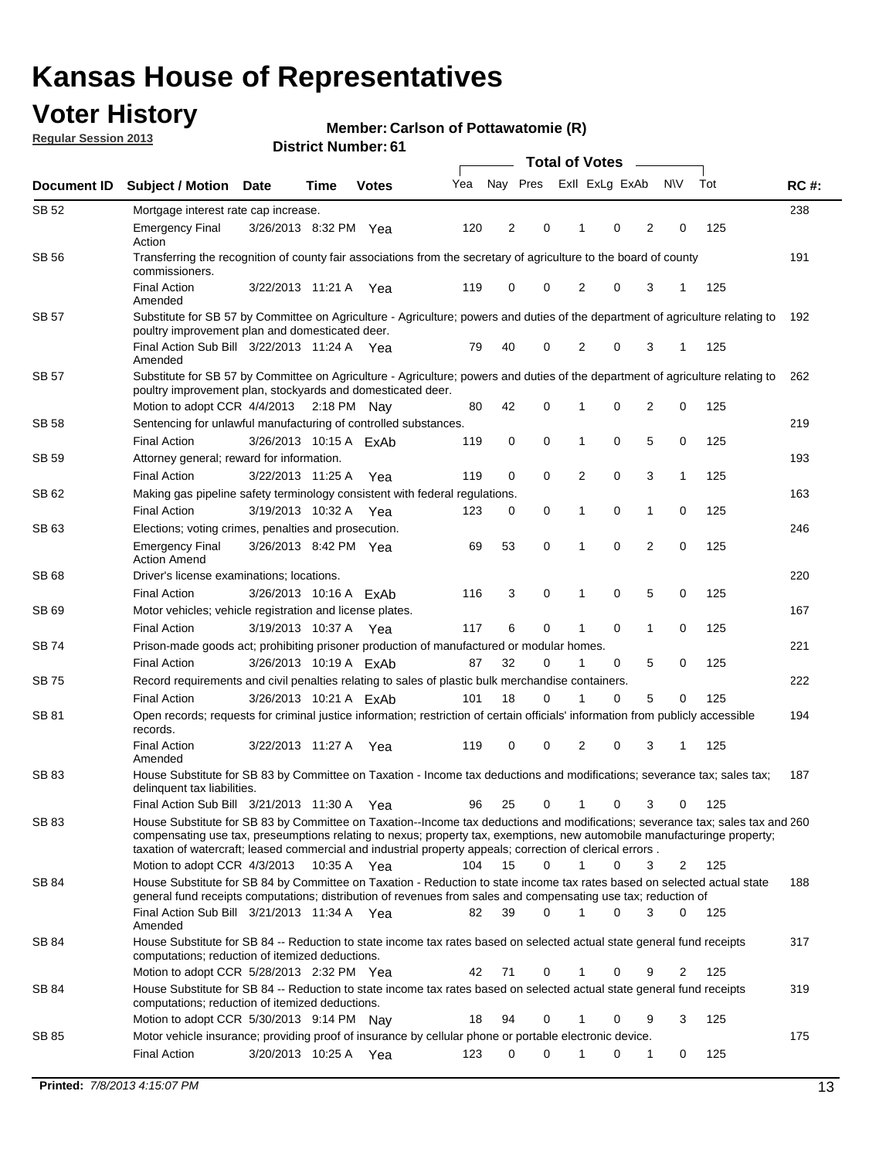## **Voter History**

**Member: Carlson of Pottawatomie (R)** 

**Regular Session 2013**

|              | <b>Total of Votes</b>                                                                                                                                                                                                                                                                                                                                                                                               |                        |      |              |     |          |          |                |             |                |                |     |             |
|--------------|---------------------------------------------------------------------------------------------------------------------------------------------------------------------------------------------------------------------------------------------------------------------------------------------------------------------------------------------------------------------------------------------------------------------|------------------------|------|--------------|-----|----------|----------|----------------|-------------|----------------|----------------|-----|-------------|
| Document ID  | <b>Subject / Motion</b>                                                                                                                                                                                                                                                                                                                                                                                             | <b>Date</b>            | Time | <b>Votes</b> | Yea | Nay Pres |          | Exll ExLg ExAb |             |                | <b>NV</b>      | Tot | <b>RC#:</b> |
| SB 52        | Mortgage interest rate cap increase.                                                                                                                                                                                                                                                                                                                                                                                |                        |      |              |     |          |          |                |             |                |                |     | 238         |
|              | <b>Emergency Final</b><br>Action                                                                                                                                                                                                                                                                                                                                                                                    | 3/26/2013 8:32 PM Yea  |      |              | 120 | 2        | 0        |                | 0           | 2              | 0              | 125 |             |
| <b>SB 56</b> | Transferring the recognition of county fair associations from the secretary of agriculture to the board of county<br>commissioners.                                                                                                                                                                                                                                                                                 |                        |      |              |     |          |          |                |             |                |                |     | 191         |
|              | <b>Final Action</b><br>Amended                                                                                                                                                                                                                                                                                                                                                                                      | 3/22/2013 11:21 A      |      | Yea          | 119 | 0        | 0        | 2              | 0           | 3              | 1              | 125 |             |
| SB 57        | Substitute for SB 57 by Committee on Agriculture - Agriculture; powers and duties of the department of agriculture relating to<br>poultry improvement plan and domesticated deer.                                                                                                                                                                                                                                   |                        |      |              |     |          |          |                |             |                |                |     | 192         |
|              | Final Action Sub Bill 3/22/2013 11:24 A Yea<br>Amended                                                                                                                                                                                                                                                                                                                                                              |                        |      |              | 79  | 40       | 0        | 2              | 0           | 3              | -1             | 125 |             |
| SB 57        | Substitute for SB 57 by Committee on Agriculture - Agriculture; powers and duties of the department of agriculture relating to<br>poultry improvement plan, stockyards and domesticated deer.                                                                                                                                                                                                                       |                        |      |              |     |          |          |                |             |                |                |     | 262         |
|              | Motion to adopt CCR 4/4/2013 2:18 PM Nay                                                                                                                                                                                                                                                                                                                                                                            |                        |      |              | 80  | 42       | 0        | 1              | 0           | $\overline{2}$ | 0              | 125 |             |
| SB 58        | Sentencing for unlawful manufacturing of controlled substances.<br><b>Final Action</b>                                                                                                                                                                                                                                                                                                                              | 3/26/2013 10:15 A ExAb |      |              |     |          | 0        | 1              | 0           |                | 0              | 125 | 219         |
| SB 59        | Attorney general; reward for information.                                                                                                                                                                                                                                                                                                                                                                           |                        |      |              | 119 | 0        |          |                |             | 5              |                |     | 193         |
|              | <b>Final Action</b>                                                                                                                                                                                                                                                                                                                                                                                                 | 3/22/2013 11:25 A Yea  |      |              | 119 | 0        | 0        |                | 0           | 3              | 1              | 125 |             |
|              |                                                                                                                                                                                                                                                                                                                                                                                                                     |                        |      |              |     |          |          | 2              |             |                |                |     |             |
| SB 62        | Making gas pipeline safety terminology consistent with federal regulations.                                                                                                                                                                                                                                                                                                                                         |                        |      |              |     |          |          |                | 0           |                |                |     | 163         |
| SB 63        | <b>Final Action</b>                                                                                                                                                                                                                                                                                                                                                                                                 | 3/19/2013 10:32 A Yea  |      |              | 123 | 0        | 0        | 1              |             | 1              | 0              | 125 |             |
|              | Elections; voting crimes, penalties and prosecution.<br><b>Emergency Final</b><br><b>Action Amend</b>                                                                                                                                                                                                                                                                                                               | 3/26/2013 8:42 PM Yea  |      |              | 69  | 53       | 0        | 1              | $\mathbf 0$ | $\overline{2}$ | $\mathbf 0$    | 125 | 246         |
| <b>SB68</b>  | Driver's license examinations; locations.                                                                                                                                                                                                                                                                                                                                                                           |                        |      |              |     |          |          |                |             |                |                |     | 220         |
|              | <b>Final Action</b>                                                                                                                                                                                                                                                                                                                                                                                                 | 3/26/2013 10:16 A ExAb |      |              | 116 | 3        | 0        | 1              | 0           | 5              | 0              | 125 |             |
| SB 69        | Motor vehicles; vehicle registration and license plates.                                                                                                                                                                                                                                                                                                                                                            |                        |      |              |     |          |          |                |             |                |                |     | 167         |
|              | <b>Final Action</b>                                                                                                                                                                                                                                                                                                                                                                                                 | 3/19/2013 10:37 A Yea  |      |              | 117 | 6        | 0        | 1              | 0           | 1              | 0              | 125 |             |
| SB 74        | Prison-made goods act; prohibiting prisoner production of manufactured or modular homes.                                                                                                                                                                                                                                                                                                                            |                        |      |              |     |          |          |                |             |                |                |     | 221         |
|              | <b>Final Action</b>                                                                                                                                                                                                                                                                                                                                                                                                 | 3/26/2013 10:19 A ExAb |      |              | 87  | 32       | 0        | 1              | 0           | 5              | 0              | 125 |             |
| SB 75        | Record requirements and civil penalties relating to sales of plastic bulk merchandise containers.                                                                                                                                                                                                                                                                                                                   |                        |      |              |     |          |          |                |             |                |                |     | 222         |
|              | <b>Final Action</b>                                                                                                                                                                                                                                                                                                                                                                                                 | 3/26/2013 10:21 A ExAb |      |              | 101 | 18       | 0        | 1              | 0           | 5              | 0              | 125 |             |
| SB 81        | Open records; requests for criminal justice information; restriction of certain officials' information from publicly accessible<br>records.                                                                                                                                                                                                                                                                         |                        |      |              |     |          |          |                |             |                |                |     | 194         |
|              | <b>Final Action</b><br>Amended                                                                                                                                                                                                                                                                                                                                                                                      | 3/22/2013 11:27 A      |      | Yea          | 119 | 0        | 0        | 2              | 0           | 3              | 1              | 125 |             |
| <b>SB83</b>  | House Substitute for SB 83 by Committee on Taxation - Income tax deductions and modifications; severance tax; sales tax;<br>delinquent tax liabilities.                                                                                                                                                                                                                                                             |                        |      |              |     |          |          |                |             |                |                |     | 187         |
|              | Final Action Sub Bill 3/21/2013 11:30 A Yea                                                                                                                                                                                                                                                                                                                                                                         |                        |      |              | 96  | 25       | 0        | $\mathbf{1}$   | 0           | 3              | 0              | 125 |             |
| SB 83        | House Substitute for SB 83 by Committee on Taxation--Income tax deductions and modifications; severance tax; sales tax and 260<br>compensating use tax, preseumptions relating to nexus; property tax, exemptions, new automobile manufacturinge property;<br>taxation of watercraft; leased commercial and industrial property appeals; correction of clerical errors.<br>Motion to adopt CCR 4/3/2013 10:35 A Yea |                        |      |              | 104 | 15       | 0        | $\mathbf{1}$   | 0           | 3              | 2              | 125 |             |
| SB 84        | House Substitute for SB 84 by Committee on Taxation - Reduction to state income tax rates based on selected actual state                                                                                                                                                                                                                                                                                            |                        |      |              |     |          |          |                |             |                |                |     | 188         |
|              | general fund receipts computations; distribution of revenues from sales and compensating use tax; reduction of<br>Final Action Sub Bill 3/21/2013 11:34 A Yea                                                                                                                                                                                                                                                       |                        |      |              | 82  | 39       | $\Omega$ | 1              | $\Omega$    | 3              | $\mathbf{0}$   | 125 |             |
| SB 84        | Amended<br>House Substitute for SB 84 -- Reduction to state income tax rates based on selected actual state general fund receipts                                                                                                                                                                                                                                                                                   |                        |      |              |     |          |          |                |             |                |                |     | 317         |
|              | computations; reduction of itemized deductions.<br>Motion to adopt CCR 5/28/2013 2:32 PM Yea                                                                                                                                                                                                                                                                                                                        |                        |      |              | 42  | 71       | 0        | 1              | 0           | 9              | $\overline{2}$ | 125 |             |
| SB 84        | House Substitute for SB 84 -- Reduction to state income tax rates based on selected actual state general fund receipts                                                                                                                                                                                                                                                                                              |                        |      |              |     |          |          |                |             |                |                |     | 319         |
|              | computations; reduction of itemized deductions.<br>Motion to adopt CCR 5/30/2013 9:14 PM Nay                                                                                                                                                                                                                                                                                                                        |                        |      |              | 18  | 94       | 0        | 1              | 0           | 9              | 3              | 125 |             |
| SB 85        | Motor vehicle insurance; providing proof of insurance by cellular phone or portable electronic device.                                                                                                                                                                                                                                                                                                              |                        |      |              |     |          |          |                |             |                |                |     | 175         |
|              | <b>Final Action</b>                                                                                                                                                                                                                                                                                                                                                                                                 | 3/20/2013 10:25 A Yea  |      |              | 123 | 0        | $\Omega$ |                | 0           | 1              | 0              | 125 |             |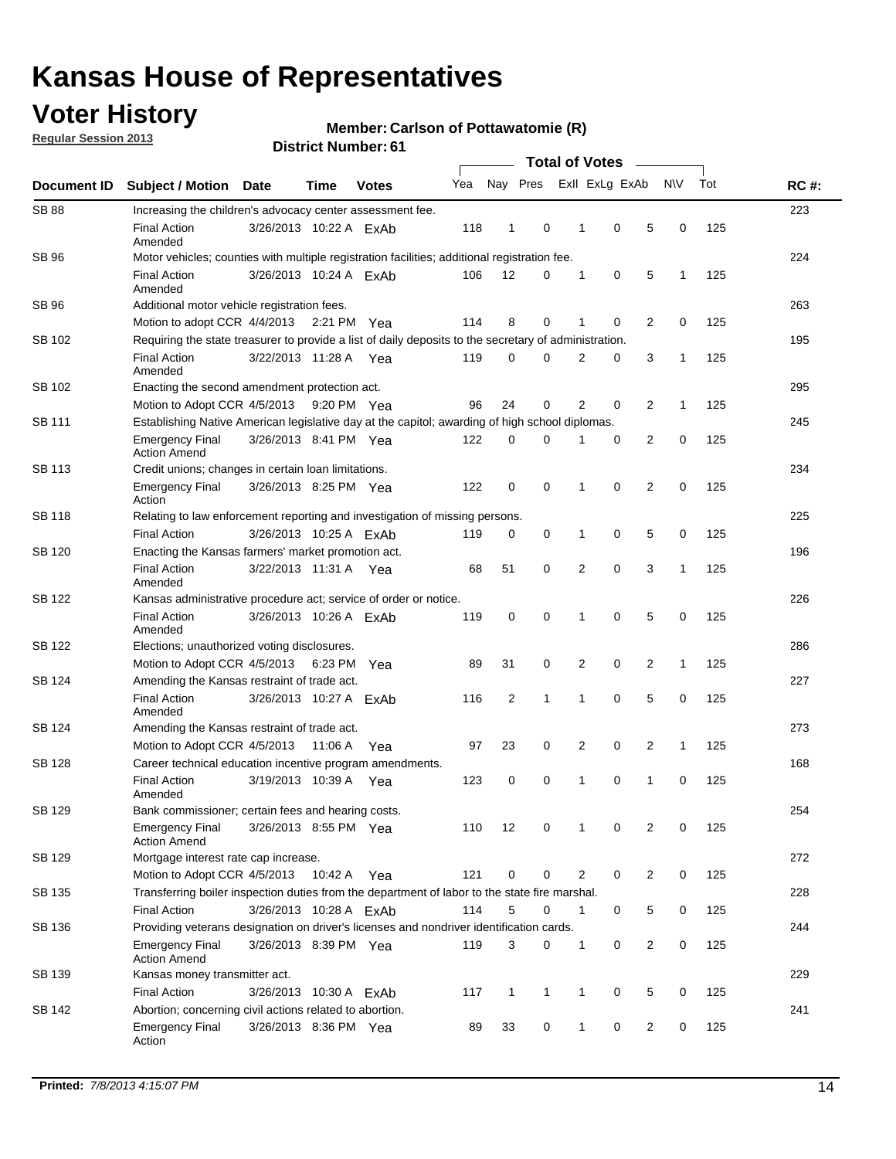## **Voter History**

**Regular Session 2013**

#### **Member: Carlson of Pottawatomie (R)**

| Document ID   |                                                                                                       |                        |             |              |     | <b>Total of Votes</b>   |              |                |   |                |              |     |             |  |  |  |  |  |  |  |
|---------------|-------------------------------------------------------------------------------------------------------|------------------------|-------------|--------------|-----|-------------------------|--------------|----------------|---|----------------|--------------|-----|-------------|--|--|--|--|--|--|--|
|               | <b>Subject / Motion</b>                                                                               | Date                   | Time        | <b>Votes</b> | Yea | Nay Pres                |              | Exll ExLg ExAb |   |                | <b>NV</b>    | Tot | <b>RC#:</b> |  |  |  |  |  |  |  |
| <b>SB 88</b>  | Increasing the children's advocacy center assessment fee.                                             |                        |             |              |     |                         |              |                |   |                |              |     | 223         |  |  |  |  |  |  |  |
|               | <b>Final Action</b><br>Amended                                                                        | 3/26/2013 10:22 A ExAb |             |              | 118 | 1                       | 0            | 1              | 0 | 5              | 0            | 125 |             |  |  |  |  |  |  |  |
| <b>SB 96</b>  | Motor vehicles; counties with multiple registration facilities; additional registration fee.          |                        |             |              |     |                         |              |                |   |                |              |     | 224         |  |  |  |  |  |  |  |
|               | <b>Final Action</b><br>Amended                                                                        | 3/26/2013 10:24 A ExAb |             |              | 106 | 12                      | 0            | 1              | 0 | 5              | 1            | 125 |             |  |  |  |  |  |  |  |
| SB 96         | Additional motor vehicle registration fees.                                                           |                        |             |              |     |                         |              |                |   |                |              |     | 263         |  |  |  |  |  |  |  |
|               | Motion to adopt CCR 4/4/2013 2:21 PM                                                                  |                        |             | Yea          | 114 | 8                       | 0            | 1              | 0 | 2              | $\mathbf 0$  | 125 |             |  |  |  |  |  |  |  |
| SB 102        | Requiring the state treasurer to provide a list of daily deposits to the secretary of administration. |                        |             |              |     |                         |              |                |   |                |              |     | 195         |  |  |  |  |  |  |  |
|               | <b>Final Action</b><br>Amended                                                                        | 3/22/2013 11:28 A Yea  |             |              | 119 | 0                       | $\Omega$     | 2              | 0 | 3              | $\mathbf{1}$ | 125 |             |  |  |  |  |  |  |  |
| SB 102        | Enacting the second amendment protection act.                                                         |                        |             |              |     |                         |              |                |   |                |              |     | 295         |  |  |  |  |  |  |  |
|               | Motion to Adopt CCR 4/5/2013                                                                          |                        | 9:20 PM Yea |              | 96  | 24                      | 0            | 2              | 0 | 2              | $\mathbf{1}$ | 125 |             |  |  |  |  |  |  |  |
| SB 111        | Establishing Native American legislative day at the capitol; awarding of high school diplomas.        |                        |             |              |     |                         |              |                |   |                |              |     | 245         |  |  |  |  |  |  |  |
|               | <b>Emergency Final</b><br><b>Action Amend</b>                                                         | 3/26/2013 8:41 PM Yea  |             |              | 122 | 0                       | 0            | 1              | 0 | 2              | 0            | 125 |             |  |  |  |  |  |  |  |
| <b>SB 113</b> | Credit unions; changes in certain loan limitations.                                                   |                        |             |              |     |                         |              |                |   |                |              |     | 234         |  |  |  |  |  |  |  |
|               | <b>Emergency Final</b><br>Action                                                                      | 3/26/2013 8:25 PM Yea  |             |              | 122 | 0                       | 0            | 1              | 0 | 2              | 0            | 125 |             |  |  |  |  |  |  |  |
| <b>SB 118</b> | Relating to law enforcement reporting and investigation of missing persons.                           |                        |             |              |     |                         |              |                |   |                |              |     | 225         |  |  |  |  |  |  |  |
|               | <b>Final Action</b>                                                                                   | 3/26/2013 10:25 A FxAb |             |              | 119 | 0                       | 0            | 1              | 0 | 5              | 0            | 125 |             |  |  |  |  |  |  |  |
| SB 120        | Enacting the Kansas farmers' market promotion act.                                                    |                        |             |              |     |                         |              |                |   |                |              |     | 196         |  |  |  |  |  |  |  |
|               | <b>Final Action</b><br>Amended                                                                        | 3/22/2013 11:31 A Yea  |             |              | 68  | 51                      | 0            | 2              | 0 | 3              | 1            | 125 |             |  |  |  |  |  |  |  |
| <b>SB 122</b> | Kansas administrative procedure act; service of order or notice.                                      |                        |             |              |     |                         |              |                |   |                |              |     | 226         |  |  |  |  |  |  |  |
|               | <b>Final Action</b><br>Amended                                                                        | 3/26/2013 10:26 A ExAb |             |              | 119 | 0                       | 0            | 1              | 0 | 5              | 0            | 125 |             |  |  |  |  |  |  |  |
| SB 122        | Elections; unauthorized voting disclosures.                                                           |                        |             |              |     |                         |              |                |   |                |              | 286 |             |  |  |  |  |  |  |  |
|               | Motion to Adopt CCR 4/5/2013                                                                          |                        | 6:23 PM     | Yea          | 89  | 31                      | 0            | 2              | 0 | 2              | $\mathbf{1}$ | 125 |             |  |  |  |  |  |  |  |
| SB 124        | Amending the Kansas restraint of trade act.                                                           |                        |             |              |     |                         |              |                |   |                |              |     | 227         |  |  |  |  |  |  |  |
|               | <b>Final Action</b><br>Amended                                                                        | 3/26/2013 10:27 A ExAb |             |              | 116 | $\overline{\mathbf{c}}$ | 1            | 1              | 0 | 5              | 0            | 125 |             |  |  |  |  |  |  |  |
| SB 124        | Amending the Kansas restraint of trade act.                                                           |                        |             |              |     |                         |              |                |   |                |              |     | 273         |  |  |  |  |  |  |  |
|               | Motion to Adopt CCR 4/5/2013                                                                          |                        | 11:06 A     | Yea          | 97  | 23                      | 0            | 2              | 0 | 2              | $\mathbf{1}$ | 125 |             |  |  |  |  |  |  |  |
| <b>SB 128</b> | Career technical education incentive program amendments.                                              |                        |             |              |     |                         |              |                |   |                |              |     | 168         |  |  |  |  |  |  |  |
|               | <b>Final Action</b><br>Amended                                                                        | 3/19/2013 10:39 A      |             | Yea          | 123 | 0                       | 0            | 1              | 0 | 1              | 0            | 125 |             |  |  |  |  |  |  |  |
| SB 129        | Bank commissioner: certain fees and hearing costs.                                                    |                        |             |              |     |                         |              |                |   |                |              |     | 254         |  |  |  |  |  |  |  |
|               | <b>Emergency Final</b><br><b>Action Amend</b>                                                         | 3/26/2013 8:55 PM Yea  |             |              | 110 | 12                      | 0            |                | 0 | 2              | 0            | 125 |             |  |  |  |  |  |  |  |
| SB 129        | Mortgage interest rate cap increase.                                                                  |                        |             |              |     |                         |              |                |   |                |              |     | 272         |  |  |  |  |  |  |  |
|               | Motion to Adopt CCR 4/5/2013 10:42 A                                                                  |                        |             | Yea          | 121 | 0                       | 0            | 2              | 0 | 2              | 0            | 125 |             |  |  |  |  |  |  |  |
| SB 135        | Transferring boiler inspection duties from the department of labor to the state fire marshal.         |                        |             |              |     |                         |              |                |   |                |              |     | 228         |  |  |  |  |  |  |  |
|               | <b>Final Action</b>                                                                                   | 3/26/2013 10:28 A ExAb |             |              | 114 | 5                       | 0            | $\mathbf 1$    | 0 | 5              | 0            | 125 |             |  |  |  |  |  |  |  |
| SB 136        | Providing veterans designation on driver's licenses and nondriver identification cards.               |                        |             |              |     |                         |              |                |   |                |              |     | 244         |  |  |  |  |  |  |  |
|               | <b>Emergency Final</b><br><b>Action Amend</b>                                                         | 3/26/2013 8:39 PM Yea  |             |              | 119 | 3                       | 0            | $\mathbf{1}$   | 0 | $\overline{2}$ | 0            | 125 |             |  |  |  |  |  |  |  |
| SB 139        | Kansas money transmitter act.                                                                         |                        |             |              |     |                         |              |                |   |                |              |     | 229         |  |  |  |  |  |  |  |
|               | <b>Final Action</b>                                                                                   | 3/26/2013 10:30 A ExAb |             |              | 117 | $\mathbf{1}$            | $\mathbf{1}$ | $\mathbf{1}$   | 0 | 5              | 0            | 125 |             |  |  |  |  |  |  |  |
| SB 142        | Abortion; concerning civil actions related to abortion.                                               |                        |             |              |     |                         |              |                |   |                |              |     | 241         |  |  |  |  |  |  |  |
|               | <b>Emergency Final</b><br>Action                                                                      | 3/26/2013 8:36 PM Yea  |             |              | 89  | 33                      | 0            | $\mathbf{1}$   | 0 | $\overline{c}$ | 0            | 125 |             |  |  |  |  |  |  |  |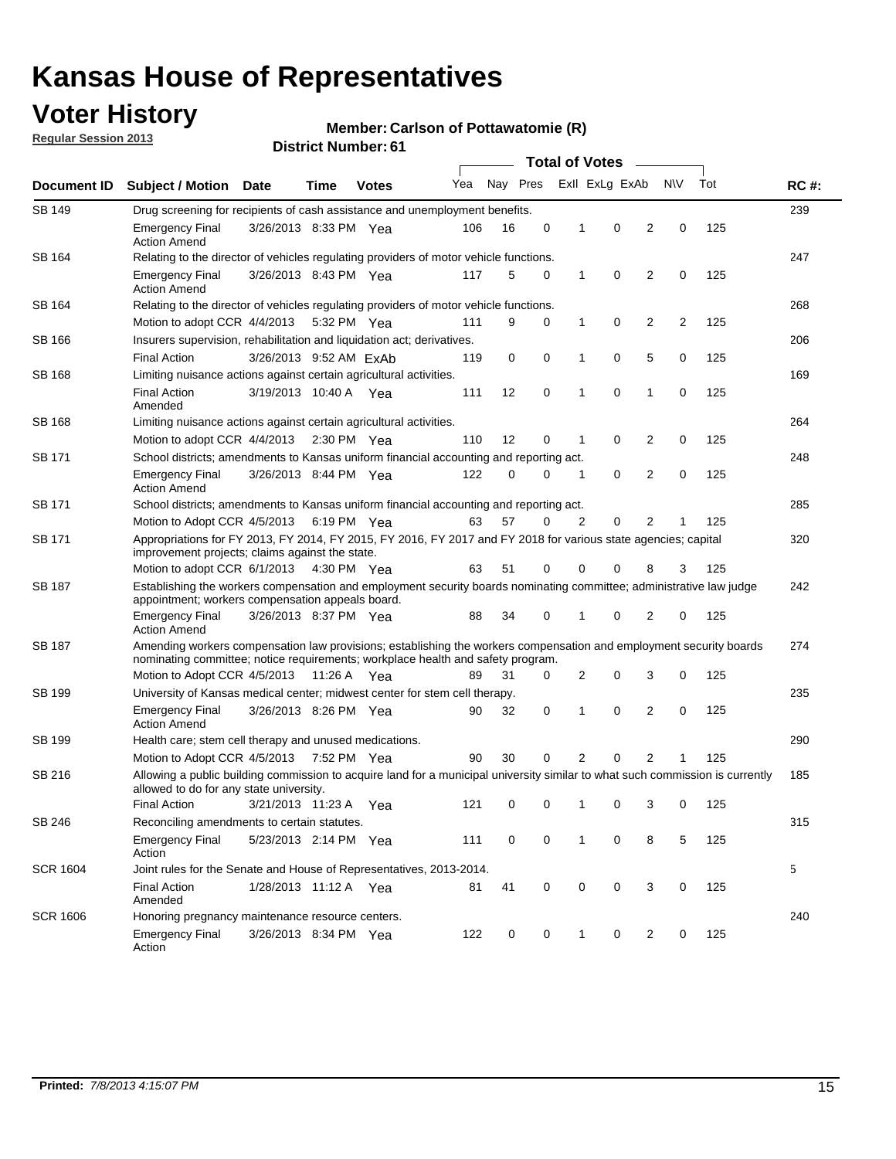## **Voter History**

**Regular Session 2013**

#### **Member: Carlson of Pottawatomie (R)**

| Document ID     |                                                                                                                                                                                                       |                                                                                       |             |              |     | <b>Total of Votes</b><br>$\overline{\phantom{a}}$ |             |              |                |                |                |     |             |
|-----------------|-------------------------------------------------------------------------------------------------------------------------------------------------------------------------------------------------------|---------------------------------------------------------------------------------------|-------------|--------------|-----|---------------------------------------------------|-------------|--------------|----------------|----------------|----------------|-----|-------------|
|                 | Subject / Motion Date                                                                                                                                                                                 |                                                                                       | Time        | <b>Votes</b> | Yea | Nay Pres                                          |             |              | Exll ExLg ExAb |                | N\V            | Tot | <b>RC#:</b> |
| SB 149          | Drug screening for recipients of cash assistance and unemployment benefits.                                                                                                                           |                                                                                       |             |              |     |                                                   |             |              |                |                |                |     | 239         |
|                 | <b>Emergency Final</b><br><b>Action Amend</b>                                                                                                                                                         | 3/26/2013 8:33 PM Yea                                                                 |             |              | 106 | 16                                                | 0           | $\mathbf 1$  | 0              | 2              | 0              | 125 |             |
| SB 164          | Relating to the director of vehicles regulating providers of motor vehicle functions.                                                                                                                 |                                                                                       |             |              |     |                                                   |             |              |                |                |                |     | 247         |
|                 | <b>Emergency Final</b><br><b>Action Amend</b>                                                                                                                                                         | 3/26/2013 8:43 PM Yea                                                                 |             |              | 117 | 5                                                 | 0           | $\mathbf{1}$ | 0              | 2              | 0              | 125 |             |
| SB 164          |                                                                                                                                                                                                       | Relating to the director of vehicles regulating providers of motor vehicle functions. |             |              |     |                                                   |             |              |                |                |                |     | 268         |
|                 | Motion to adopt CCR 4/4/2013                                                                                                                                                                          |                                                                                       | 5:32 PM Yea |              | 111 | 9                                                 | 0           | $\mathbf{1}$ | 0              | 2              | $\overline{c}$ | 125 |             |
| SB 166          | Insurers supervision, rehabilitation and liquidation act; derivatives.                                                                                                                                |                                                                                       |             |              |     |                                                   |             |              |                |                |                |     | 206         |
|                 | <b>Final Action</b>                                                                                                                                                                                   | 3/26/2013 9:52 AM ExAb                                                                |             |              | 119 | 0                                                 | $\mathbf 0$ | 1            | 0              | 5              | 0              | 125 |             |
| <b>SB 168</b>   | Limiting nuisance actions against certain agricultural activities.                                                                                                                                    |                                                                                       |             |              |     |                                                   |             |              |                |                |                |     | 169         |
|                 | <b>Final Action</b><br>Amended                                                                                                                                                                        | 3/19/2013 10:40 A Yea                                                                 |             |              | 111 | 12                                                | $\mathbf 0$ | 1            | 0              | 1              | 0              | 125 |             |
| <b>SB 168</b>   | Limiting nuisance actions against certain agricultural activities.                                                                                                                                    |                                                                                       |             |              |     |                                                   |             |              |                |                |                |     | 264         |
|                 | Motion to adopt CCR 4/4/2013                                                                                                                                                                          |                                                                                       | 2:30 PM Yea |              | 110 | 12                                                | 0           | 1            | 0              | 2              | 0              | 125 |             |
| SB 171          | School districts; amendments to Kansas uniform financial accounting and reporting act.                                                                                                                |                                                                                       |             |              |     |                                                   |             |              |                |                |                |     | 248         |
|                 | <b>Emergency Final</b><br><b>Action Amend</b>                                                                                                                                                         | 3/26/2013 8:44 PM Yea                                                                 |             |              | 122 | 0                                                 | 0           | $\mathbf 1$  | 0              | 2              | 0              | 125 |             |
| SB 171          | School districts; amendments to Kansas uniform financial accounting and reporting act.                                                                                                                |                                                                                       |             |              |     |                                                   |             |              |                |                |                |     | 285         |
|                 | Motion to Adopt CCR 4/5/2013                                                                                                                                                                          |                                                                                       | 6:19 PM Yea |              | 63  | 57                                                | 0           | 2            | 0              | 2              | 1              | 125 |             |
| SB 171          | Appropriations for FY 2013, FY 2014, FY 2015, FY 2016, FY 2017 and FY 2018 for various state agencies; capital<br>improvement projects; claims against the state.                                     |                                                                                       |             |              |     |                                                   |             |              |                |                |                |     | 320         |
|                 | Motion to adopt CCR 6/1/2013 4:30 PM Yea                                                                                                                                                              |                                                                                       |             |              | 63  | 51                                                | 0           | 0            | 0              | 8              | 3              | 125 |             |
| <b>SB 187</b>   | Establishing the workers compensation and employment security boards nominating committee; administrative law judge<br>appointment; workers compensation appeals board.                               |                                                                                       |             |              |     |                                                   |             |              |                |                | 242            |     |             |
|                 | <b>Emergency Final</b><br><b>Action Amend</b>                                                                                                                                                         | 3/26/2013 8:37 PM Yea                                                                 |             |              | 88  | 34                                                | 0           |              | 0              | 2              | 0              | 125 |             |
| <b>SB 187</b>   | Amending workers compensation law provisions; establishing the workers compensation and employment security boards<br>nominating committee; notice requirements; workplace health and safety program. |                                                                                       |             |              |     |                                                   |             |              |                |                |                |     | 274         |
|                 | Motion to Adopt CCR 4/5/2013 11:26 A Yea                                                                                                                                                              |                                                                                       |             |              | 89  | 31                                                | 0           | 2            | 0              | 3              | 0              | 125 |             |
| SB 199          | University of Kansas medical center; midwest center for stem cell therapy.                                                                                                                            |                                                                                       |             |              |     |                                                   |             |              |                |                |                |     | 235         |
|                 | <b>Emergency Final</b><br><b>Action Amend</b>                                                                                                                                                         | 3/26/2013 8:26 PM Yea                                                                 |             |              | 90  | 32                                                | 0           | 1            | 0              | 2              | 0              | 125 |             |
| SB 199          | Health care; stem cell therapy and unused medications.                                                                                                                                                |                                                                                       |             |              |     |                                                   |             |              |                |                |                |     | 290         |
|                 | Motion to Adopt CCR 4/5/2013 7:52 PM Yea                                                                                                                                                              |                                                                                       |             |              | 90  | 30                                                | 0           | 2            | 0              | $\overline{2}$ | 1              | 125 |             |
| SB 216          | Allowing a public building commission to acquire land for a municipal university similar to what such commission is currently<br>allowed to do for any state university.                              |                                                                                       |             |              |     |                                                   |             |              |                |                |                |     | 185         |
|                 | <b>Final Action</b>                                                                                                                                                                                   | 3/21/2013 11:23 A Yea                                                                 |             |              | 121 | 0                                                 | 0           | 1            | 0              | 3              | 0              | 125 |             |
| SB 246          | Reconciling amendments to certain statutes.                                                                                                                                                           |                                                                                       |             |              |     |                                                   |             |              |                |                |                |     | 315         |
|                 | <b>Emergency Final</b><br>Action                                                                                                                                                                      | 5/23/2013 2:14 PM Yea                                                                 |             |              | 111 | 0                                                 | 0           | 1            | 0              | 8              | 5              | 125 |             |
| <b>SCR 1604</b> | Joint rules for the Senate and House of Representatives, 2013-2014.                                                                                                                                   |                                                                                       |             |              |     |                                                   |             |              |                |                |                |     | 5           |
|                 | <b>Final Action</b><br>Amended                                                                                                                                                                        | 1/28/2013 11:12 A Yea                                                                 |             |              | 81  | 41                                                | 0           | 0            | 0              | 3              | 0              | 125 |             |
| <b>SCR 1606</b> | Honoring pregnancy maintenance resource centers.                                                                                                                                                      |                                                                                       |             |              |     |                                                   |             |              |                |                |                |     | 240         |
|                 | <b>Emergency Final</b><br>Action                                                                                                                                                                      | 3/26/2013 8:34 PM Yea                                                                 |             |              | 122 | 0                                                 | 0           | 1            | 0              | 2              | 0              | 125 |             |